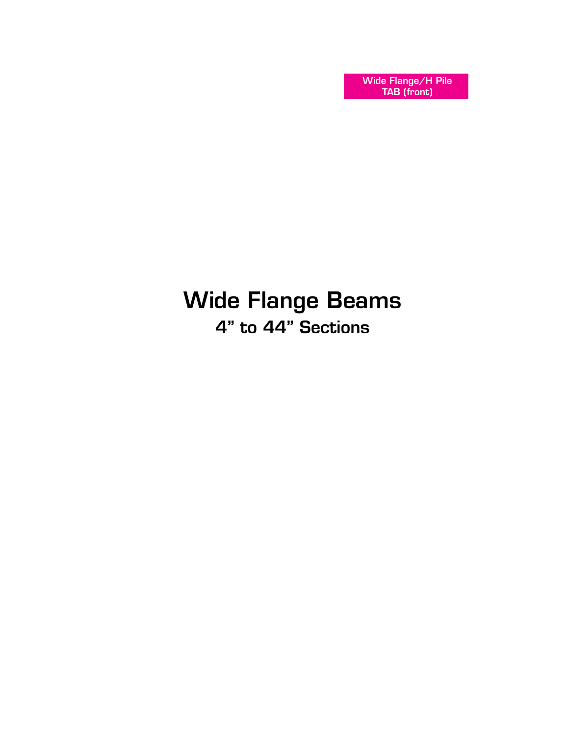Wide Flange/H Pile TAB (front)

## Wide Flange Beams 4" to 44" Sections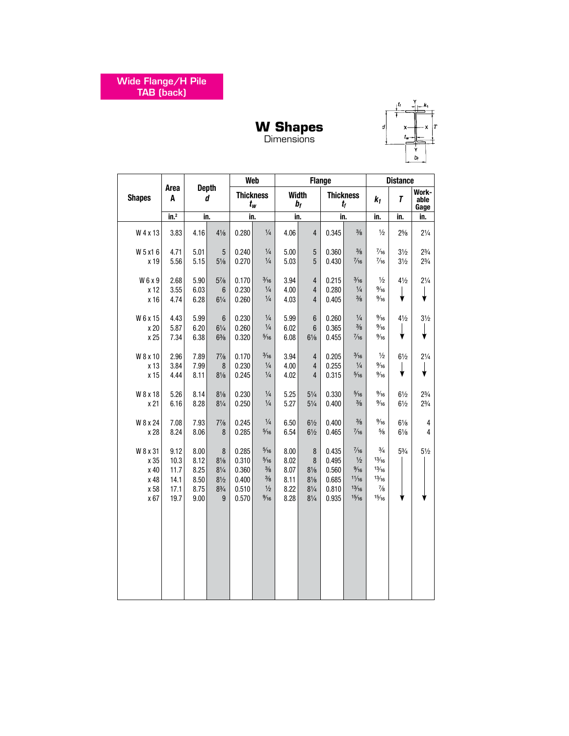

#### **W Shapes** Dimensions

|                                                  |                                              |                                              |                                                                                |                                                    | Web                                                                                                   |                                              |                                                                                            | <b>Flange</b>                                      |                                                                              |                                                                    | <b>Distance</b>                  |                                  |
|--------------------------------------------------|----------------------------------------------|----------------------------------------------|--------------------------------------------------------------------------------|----------------------------------------------------|-------------------------------------------------------------------------------------------------------|----------------------------------------------|--------------------------------------------------------------------------------------------|----------------------------------------------------|------------------------------------------------------------------------------|--------------------------------------------------------------------|----------------------------------|----------------------------------|
| <b>Shapes</b>                                    | Area<br>A                                    |                                              | <b>Depth</b><br>d                                                              |                                                    | <b>Thickness</b><br>$t_w$                                                                             |                                              | <b>Width</b><br>$b_f$                                                                      |                                                    | <b>Thickness</b><br>$t_{\it f}$                                              | $k_1$                                                              | T                                | Work-<br>able<br>Gage            |
|                                                  | in. <sup>2</sup>                             |                                              | in.                                                                            | in.                                                |                                                                                                       |                                              | in.                                                                                        | in.                                                |                                                                              | in.                                                                | in.                              | in.                              |
| W 4 x 13                                         | 3.83                                         | 4.16                                         | $4\frac{1}{8}$                                                                 | 0.280                                              | $\frac{1}{4}$                                                                                         | 4.06                                         | $\overline{\mathbf{4}}$                                                                    | 0.345                                              | $\frac{3}{8}$                                                                | $\frac{1}{2}$                                                      | $2^{5/8}$                        | $2\frac{1}{4}$                   |
| W 5 x 1 6<br>x 19                                | 4.71<br>5.56                                 | 5.01<br>5.15                                 | 5<br>$5\frac{1}{8}$                                                            | 0.240<br>0.270                                     | $\frac{1}{4}$<br>$\frac{1}{4}$                                                                        | 5.00<br>5.03                                 | $\overline{5}$<br>5                                                                        | 0.360<br>0.430                                     | $\frac{3}{8}$<br>$\frac{7}{16}$                                              | $\frac{7}{16}$<br>$\frac{7}{16}$                                   | $3\frac{1}{2}$<br>$3\frac{1}{2}$ | $2\frac{3}{4}$<br>$2\frac{3}{4}$ |
| W6x9<br>x 12<br>x 16                             | 2.68<br>3.55<br>4.74                         | 5.90<br>6.03<br>6.28                         | $5\frac{7}{8}$<br>$\boldsymbol{6}$<br>$6\frac{1}{4}$                           | 0.170<br>0.230<br>0.260                            | $\frac{3}{16}$<br>$\frac{1}{4}$<br>$\frac{1}{4}$                                                      | 3.94<br>4.00<br>4.03                         | 4<br>$\overline{4}$<br>4                                                                   | 0.215<br>0.280<br>0.405                            | $\frac{3}{16}$<br>$\frac{1}{4}$<br>$\frac{3}{8}$                             | $\frac{1}{2}$<br>$\frac{9}{16}$<br>$\frac{9}{16}$                  | $4\frac{1}{2}$<br>╈              | $2\frac{1}{4}$                   |
| W 6 x 15<br>x 20<br>x 25                         | 4.43<br>5.87<br>7.34                         | 5.99<br>6.20<br>6.38                         | $6\phantom{1}$<br>$6\frac{1}{4}$<br>$6\frac{3}{8}$                             | 0.230<br>0.260<br>0.320                            | $\frac{1}{4}$<br>$\frac{1}{4}$<br>$\frac{5}{16}$                                                      | 5.99<br>6.02<br>6.08                         | $6\phantom{1}$<br>$6\phantom{1}$<br>$6\frac{1}{8}$                                         | 0.260<br>0.365<br>0.455                            | $\frac{1}{4}$<br>$\frac{3}{8}$<br>$\frac{7}{16}$                             | $\frac{9}{16}$<br>$\frac{9}{16}$<br>$\frac{9}{16}$                 | $4\frac{1}{2}$<br>╈              | $3\frac{1}{2}$                   |
| W 8 x 10<br>x 13<br>x 15                         | 2.96<br>3.84<br>4.44                         | 7.89<br>7.99<br>8.11                         | $7\frac{7}{8}$<br>8<br>$8\frac{1}{8}$                                          | 0.170<br>0.230<br>0.245                            | $\frac{3}{16}$<br>$\frac{1}{4}$<br>$\frac{1}{4}$                                                      | 3.94<br>4.00<br>4.02                         | 4<br>4<br>4                                                                                | 0.205<br>0.255<br>0.315                            | $\frac{3}{16}$<br>$\frac{1}{4}$<br>$\frac{5}{16}$                            | $\frac{1}{2}$<br>$\frac{9}{16}$<br>$\frac{9}{16}$                  | $6\frac{1}{2}$<br>╈              | $2\frac{1}{4}$<br>↓              |
| W 8 x 18<br>x 21                                 | 5.26<br>6.16                                 | 8.14<br>8.28                                 | $8\frac{1}{8}$<br>$8\frac{1}{4}$                                               | 0.230<br>0.250                                     | $\frac{1}{4}$<br>$\frac{1}{4}$                                                                        | 5.25<br>5.27                                 | $5\frac{1}{4}$<br>$5\frac{1}{4}$                                                           | 0.330<br>0.400                                     | $\frac{5}{16}$<br>$\frac{3}{8}$                                              | $\frac{9}{16}$<br>$\frac{9}{16}$                                   | $6\frac{1}{2}$<br>$6\frac{1}{2}$ | $2\frac{3}{4}$<br>$2\frac{3}{4}$ |
| W 8 x 24<br>x 28                                 | 7.08<br>8.24                                 | 7.93<br>8.06                                 | $7\frac{7}{8}$<br>8                                                            | 0.245<br>0.285                                     | $\frac{1}{4}$<br>$\frac{5}{16}$                                                                       | 6.50<br>6.54                                 | $6\frac{1}{2}$<br>$6\frac{1}{2}$                                                           | 0.400<br>0.465                                     | $\frac{3}{8}$<br>$\frac{7}{16}$                                              | $\frac{9}{16}$<br>$\frac{5}{8}$                                    | $6\frac{1}{8}$<br>$6\frac{1}{8}$ | 4<br>4                           |
| W 8 x 31<br>x 35<br>x 40<br>x 48<br>x 58<br>x 67 | 9.12<br>10.3<br>11.7<br>14.1<br>17.1<br>19.7 | 8.00<br>8.12<br>8.25<br>8.50<br>8.75<br>9.00 | 8<br>$8\frac{1}{8}$<br>$8\frac{1}{4}$<br>$8\frac{1}{2}$<br>$8\frac{3}{4}$<br>9 | 0.285<br>0.310<br>0.360<br>0.400<br>0.510<br>0.570 | $\frac{5}{16}$<br>$\frac{5}{16}$<br>$\frac{3}{8}$<br>$\frac{3}{8}$<br>$\frac{1}{2}$<br>$\frac{9}{16}$ | 8.00<br>8.02<br>8.07<br>8.11<br>8.22<br>8.28 | $\bf 8$<br>$\bf 8$<br>$8\frac{1}{8}$<br>$8\frac{1}{8}$<br>$8\frac{1}{4}$<br>$8\frac{1}{4}$ | 0.435<br>0.495<br>0.560<br>0.685<br>0.810<br>0.935 | $\frac{7}{16}$<br>$\frac{1}{2}$<br>$\frac{9}{16}$<br>11/16<br>13/16<br>15/16 | $\frac{3}{4}$<br>13/16<br>13/16<br>13/16<br>$\frac{7}{8}$<br>15/16 | $5\frac{3}{4}$                   | $5\frac{1}{2}$                   |
|                                                  |                                              |                                              |                                                                                |                                                    |                                                                                                       |                                              |                                                                                            |                                                    |                                                                              |                                                                    |                                  |                                  |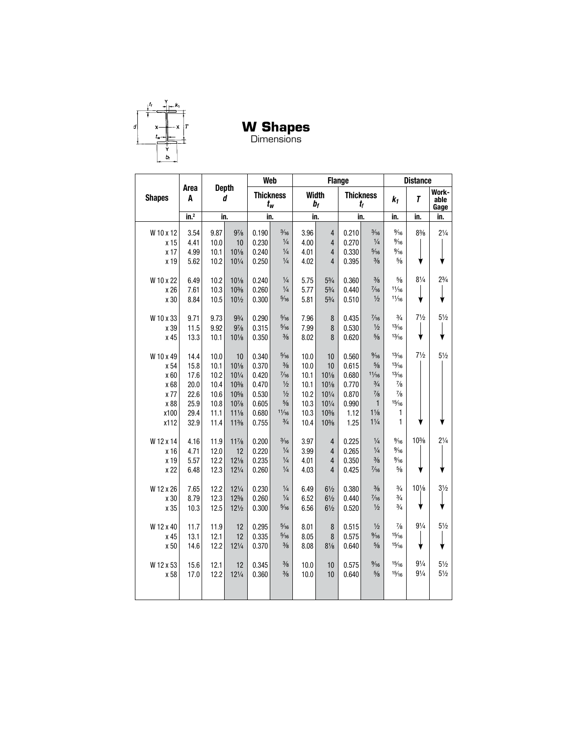

**W Shapes**

Dimensions

|                                                           |                                                      |                                                      |                                                                                           |                                                             | Web                                                                                                           |                                                      | <b>Flange</b>                                                                |                                                            |                                                                                                              |                                                                         | <b>Distance</b>                  |                                  |
|-----------------------------------------------------------|------------------------------------------------------|------------------------------------------------------|-------------------------------------------------------------------------------------------|-------------------------------------------------------------|---------------------------------------------------------------------------------------------------------------|------------------------------------------------------|------------------------------------------------------------------------------|------------------------------------------------------------|--------------------------------------------------------------------------------------------------------------|-------------------------------------------------------------------------|----------------------------------|----------------------------------|
| <b>Shapes</b>                                             | Area<br>A                                            |                                                      | <b>Depth</b><br>d                                                                         |                                                             | <b>Thickness</b><br>$t_w$                                                                                     |                                                      | <b>Width</b><br>bf                                                           |                                                            | <b>Thickness</b><br>$t_{f}$                                                                                  | $k_1$                                                                   | T                                | Work-<br>able<br>Gage            |
|                                                           | $\overline{\text{in.}}^2$                            |                                                      | in.                                                                                       |                                                             | in.                                                                                                           |                                                      | in.                                                                          |                                                            | in.                                                                                                          | in.                                                                     | in.                              | in.                              |
| W 10 x 12<br>x 15                                         | 3.54<br>4.41                                         | 9.87<br>10.0                                         | $9\frac{7}{8}$<br>10                                                                      | 0.190<br>0.230                                              | $\frac{3}{16}$<br>$\frac{1}{4}$                                                                               | 3.96<br>4.00                                         | $\overline{4}$<br>4                                                          | 0.210<br>0.270                                             | $\frac{3}{16}$<br>$\frac{1}{4}$                                                                              | $\frac{9}{16}$<br>$\frac{9}{16}$                                        | $8\frac{3}{8}$                   | $2\frac{1}{4}$                   |
| x 17<br>x 19                                              | 4.99<br>5.62                                         | 10.1<br>10.2                                         | $10\frac{1}{8}$<br>$10\frac{1}{4}$                                                        | 0.240<br>0.250                                              | $\frac{1}{4}$<br>$\frac{1}{4}$                                                                                | 4.01<br>4.02                                         | 4<br>4                                                                       | 0.330<br>0.395                                             | $\frac{5}{16}$<br>$\frac{3}{8}$                                                                              | $\frac{9}{16}$<br>$\frac{5}{8}$                                         |                                  |                                  |
| W 10 x 22                                                 | 6.49                                                 | 10.2                                                 | $10\frac{1}{8}$                                                                           | 0.240                                                       | $\frac{1}{4}$                                                                                                 | 5.75                                                 | $5\frac{3}{4}$                                                               | 0.360                                                      | $\frac{3}{8}$                                                                                                | $\frac{5}{8}$                                                           | $8\frac{1}{4}$                   | $2\frac{3}{4}$                   |
| x 26<br>x 30                                              | 7.61<br>8.84                                         | 10.3<br>10.5                                         | $10\%$<br>10 <sub>1/2</sub>                                                               | 0.260<br>0.300                                              | $\frac{1}{4}$<br>$\frac{5}{16}$                                                                               | 5.77<br>5.81                                         | $5\frac{3}{4}$<br>$5\frac{3}{4}$                                             | 0.440<br>0.510                                             | $\frac{7}{16}$<br>$\frac{1}{2}$                                                                              | 11/16<br>11/16                                                          | ╈                                | v                                |
| W 10 x 33<br>x 39<br>x 45                                 | 9.71<br>11.5<br>13.3                                 | 9.73<br>9.92<br>10.1                                 | $9\frac{3}{4}$<br>$9\frac{7}{8}$<br>$10\frac{1}{8}$                                       | 0.290<br>0.315<br>0.350                                     | $\frac{5}{16}$<br>$\frac{5}{16}$<br>$\frac{3}{8}$                                                             | 7.96<br>7.99<br>8.02                                 | $\bf 8$<br>8<br>8                                                            | 0.435<br>0.530<br>0.620                                    | $\frac{7}{16}$<br>$\frac{1}{2}$<br>$\frac{5}{8}$                                                             | $\frac{3}{4}$<br>13/16<br>13/16                                         | $7\frac{1}{2}$<br>♦              | $5\frac{1}{2}$<br>₩              |
| W 10 x 49<br>x 54<br>x 60<br>x 68<br>x 77<br>x 88<br>x100 | 14.4<br>15.8<br>17.6<br>20.0<br>22.6<br>25.9<br>29.4 | 10.0<br>10.1<br>10.2<br>10.4<br>10.6<br>10.8<br>11.1 | 10<br>$10\frac{1}{8}$<br>$10\frac{1}{4}$<br>$10\%$<br>$10\%$<br>$10\%$<br>$11\frac{1}{8}$ | 0.340<br>0.370<br>0.420<br>0.470<br>0.530<br>0.605<br>0.680 | $\frac{5}{16}$<br>$\frac{3}{8}$<br>$\frac{7}{16}$<br>$\frac{1}{2}$<br>$\frac{1}{2}$<br>$\frac{5}{8}$<br>11/16 | 10.0<br>10.0<br>10.1<br>10.1<br>10.2<br>10.3<br>10.3 | 10<br>10<br>$10\%$<br>$10\%$<br>$10\frac{1}{4}$<br>$10\frac{1}{4}$<br>$10\%$ | 0.560<br>0.615<br>0.680<br>0.770<br>0.870<br>0.990<br>1.12 | $\frac{9}{16}$<br>$\frac{5}{8}$<br>11/16<br>$\frac{3}{4}$<br>$\frac{7}{8}$<br>$\mathbf{1}$<br>$1\frac{1}{8}$ | 13/16<br>13/16<br>13/16<br>$\frac{7}{8}$<br>$\frac{7}{8}$<br>15/16<br>1 | $7\frac{1}{2}$                   | $5\frac{1}{2}$                   |
| x112                                                      | 32.9                                                 | 11.4                                                 | $11\frac{3}{8}$                                                                           | 0.755                                                       | $\frac{3}{4}$                                                                                                 | 10.4                                                 | $10\%$                                                                       | 1.25                                                       | $1\frac{1}{4}$                                                                                               | 1                                                                       |                                  |                                  |
| W 12 x 14<br>x 16<br>x 19<br>x 22                         | 4.16<br>4.71<br>5.57<br>6.48                         | 11.9<br>12.0<br>12.2<br>12.3                         | $11\frac{7}{8}$<br>12<br>$12\frac{1}{8}$<br>$12\frac{1}{4}$                               | 0.200<br>0.220<br>0.235<br>0.260                            | $\frac{3}{16}$<br>$\frac{1}{4}$<br>$\frac{1}{4}$<br>$\frac{1}{4}$                                             | 3.97<br>3.99<br>4.01<br>4.03                         | 4<br>4<br>4<br>4                                                             | 0.225<br>0.265<br>0.350<br>0.425                           | $\frac{1}{4}$<br>$\frac{1}{4}$<br>$\frac{3}{8}$<br>$\frac{7}{16}$                                            | $\frac{9}{16}$<br>$\frac{9}{16}$<br>$\frac{9}{16}$<br>$\frac{5}{8}$     | $10\%$                           | $2\frac{1}{4}$                   |
| W 12 x 26<br>x 30<br>x 35                                 | 7.65<br>8.79<br>10.3                                 | 12.2<br>12.3<br>12.5                                 | $12\frac{1}{4}$<br>$12\frac{3}{8}$<br>$12\frac{1}{2}$                                     | 0.230<br>0.260<br>0.300                                     | $\frac{1}{4}$<br>$\frac{1}{4}$<br>$\frac{5}{16}$                                                              | 6.49<br>6.52<br>6.56                                 | $6\frac{1}{2}$<br>$6\frac{1}{2}$<br>$6\frac{1}{2}$                           | 0.380<br>0.440<br>0.520                                    | $\frac{3}{8}$<br>$\frac{7}{16}$<br>$\frac{1}{2}$                                                             | $\frac{3}{4}$<br>$\frac{3}{4}$<br>$\frac{3}{4}$                         | $10\frac{1}{8}$                  | $3\frac{1}{2}$                   |
| W 12 x 40<br>x 45<br>x 50                                 | 11.7<br>13.1<br>14.6                                 | 11.9<br>12.1<br>12.2                                 | 12<br>12<br>$12\frac{1}{4}$                                                               | 0.295<br>0.335<br>0.370                                     | $\frac{5}{16}$<br>$\frac{5}{16}$<br>$\frac{3}{8}$                                                             | 8.01<br>8.05<br>8.08                                 | 8<br>8<br>$8\frac{1}{8}$                                                     | 0.515<br>0.575<br>0.640                                    | $\frac{1}{2}$<br>$\frac{9}{16}$<br>$\frac{5}{8}$                                                             | $\frac{7}{8}$<br>15/16<br>15/16                                         | $9\frac{1}{4}$<br>╈              | $5\frac{1}{2}$                   |
| W 12 x 53<br>x 58                                         | 15.6<br>17.0                                         | 12.1<br>12.2                                         | 12<br>$12\frac{1}{4}$                                                                     | 0.345<br>0.360                                              | $\frac{3}{8}$<br>$\frac{3}{8}$                                                                                | 10.0<br>10.0                                         | 10<br>10                                                                     | 0.575<br>0.640                                             | $\frac{9}{16}$<br>$\frac{5}{8}$                                                                              | 15/16<br>15/16                                                          | $9\frac{1}{4}$<br>$9\frac{1}{4}$ | $5\frac{1}{2}$<br>$5\frac{1}{2}$ |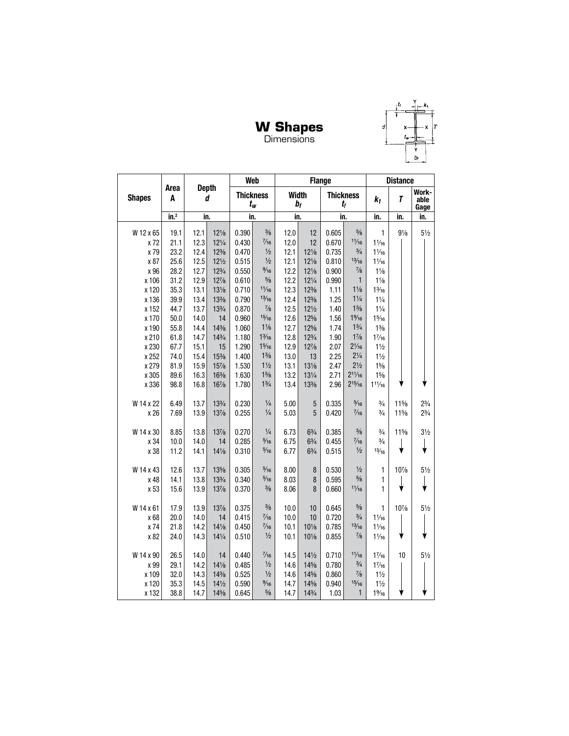#### **W Shapes Dimensions**



**Web Flange Distance Depth Area Work-Thickness Width Thickness** *d* **Shapes A**  $k_1$  *T* **able** *bf tf tw* **Gage in.2 in. in. in. in. in. in. in.** W 12 x 65 19.1 12.1 121/8 0.390  $\frac{3}{8}$ 12.0 12 0.605  $\frac{5}{8}$ 1  $9\frac{1}{8}$  $5\frac{1}{2}$ x 72 21.1 12.3 121/4 0.430  $\frac{7}{16}$ 12.0 12 0.670  $11/16$  $1\frac{1}{16}$  $\frac{3}{4}$  $\frac{1}{2}$ x 79 23.2 12.4 12% 0.470 12.1 12 0.735  $1\frac{1}{16}$  $\frac{1}{2}$  $13/16$ x 87 25.6 12.5 121/2 0.515 12.1 121/8 0.810  $1\frac{1}{16}$ 12.2 x 96 28.2 12.7  $12\frac{3}{4}$ 0.550  $\frac{9}{16}$ 121/8 0.900  $\frac{7}{8}$  $1\frac{1}{8}$ 0.610 x 106 31.2 12.9 12%  $\frac{5}{8}$ 12.2  $12\frac{1}{4}$ 0.990 1  $1\frac{1}{8}$ x 120 35.3 13.1  $13\frac{1}{8}$ 0.710  $11/16$ 12.3  $12\frac{3}{8}$ 1.11  $1\frac{1}{8}$  $1\frac{3}{16}$ x 136 39.9 13.4 13% 0.790  $13/16$ 12.4 12% 1.25  $1\frac{1}{4}$  $1\frac{1}{4}$ x 152 44.7 13.7 13% 0.870  $\frac{7}{8}$ 12.5 121/2 1.40  $1\frac{3}{8}$  $1\frac{1}{4}$  $15/16$  $1\%$ x 170 50.0 14.0 14 0.960 12.6 12% 1.56  $1\frac{5}{16}$  $1\frac{1}{6}$ 12% 1.74  $1\frac{3}{4}$ x 190 55.8 14.4 14 1.060 12.7  $1\frac{3}{8}$  $1\frac{3}{16}$ 61.8 14.7 143/4 12.8 123/4 1.90  $1\frac{7}{8}$ x 210 1.180  $1\frac{7}{16}$  $1\frac{5}{16}$ 12.9 12% 2.07  $2\frac{1}{16}$ x 230 67.7 15.1 15 1.290  $1\frac{1}{2}$ 1.400  $1\frac{3}{8}$ 2.25  $2\frac{1}{4}$ x 252 74.0 15.4  $15\frac{3}{8}$ 13.0 13  $1\frac{1}{2}$ x 279 81.9 15.9 157/8 1.530  $1\frac{1}{2}$ 13.1 131/8 2.47  $2\frac{1}{2}$  $1\frac{5}{8}$ x 305 89.6 1.630  $1\frac{5}{8}$ 13.2 131/4 2.71  $2^{11}/_{16}$  $1\frac{5}{8}$ 16.3 163/8  $2^{15}/_{16}$  $1\frac{3}{4}$ x 336 98.8 16.8 167/8 1.780 13.4 13 2.96  $11\frac{1}{16}$ W 14 x 22 6.49 13.7 13% 0.230  $\frac{1}{4}$ 5.00 5 0.335  $\frac{5}{16}$  $\frac{3}{4}$  $11\frac{5}{8}$  $2\frac{3}{4}$ x 26 13% 0.255  $\frac{1}{4}$ 5.03 5 0.420  $\frac{7}{16}$  $\frac{3}{4}$ 11%  $2\frac{3}{4}$ 7.69 13.9 W 14 x 30 8.85 13.8 137/8 0.270  $\frac{1}{4}$ 6.73  $6\frac{3}{4}$ 0.385  $\frac{3}{8}$  $\frac{3}{4}$ 11%  $3\frac{1}{2}$ x 34 10.0 14.0 0.285  $\frac{5}{16}$ 6.75  $6\frac{3}{4}$ 0.455  $\frac{7}{16}$  $\frac{3}{4}$ 14 ↓ ↓  $\frac{1}{2}$  $13/16$ x 38 11.2 14.1 141/8 0.310  $\frac{5}{16}$ 6.77  $6\frac{3}{4}$ 0.515 W 14 x 43 12.6 13.7 13 0.305  $\frac{5}{16}$ 8.00 8 0.530  $\frac{1}{2}$ 1 10%  $5\frac{1}{2}$ x 48 14.1 13.8 133/4 0.340  $\frac{5}{16}$ 8.03 8 0.595  $\frac{5}{8}$ 1 ↓ ↓  $11/16$ x 53 15.6 13.9 137/8 0.370  $\frac{3}{8}$ 8.06 8 0.660 1 W 14 x 61 17.9 13.9 137/8 0.375  $\frac{3}{8}$ 10.0 10 0.645  $\frac{5}{8}$ 10%  $5\frac{1}{2}$ 1  $\frac{3}{4}$ x 68 20.0 14.0 14 0.415  $\frac{7}{16}$ 10.0 10 0.720  $1\frac{1}{16}$  $\frac{7}{16}$  $13/16$ x 74 21.8 14.2 14 0.450 10.1 10 0.785  $1\frac{1}{16}$  $\frac{7}{8}$  $1/2$ x 82 24.0 14.3 14 0.510 10.1 10 0.855  $1\frac{1}{16}$ W 14 x 90 26.5 0.440  $\frac{7}{16}$ 141/2  $11/16$  $5\frac{1}{2}$ 14.0 14 14.5 0.710  $1\frac{7}{16}$ 10 x 99 29.1 14.2 141/8 0.485  $\frac{1}{2}$ 14.6 14% 0.780  $\frac{3}{4}$  $1\frac{7}{16}$ x 109 32.0 14.3 14% 0.525  $\frac{1}{2}$ 14.6 14% 0.860  $\frac{7}{8}$  $1\frac{1}{2}$ x 120 35.3 14.5 14 0.590  $\frac{9}{16}$ 14.7 14 0.940  $15/16$  $1\frac{1}{2}$  $5/8$ 1 x 132 38.8 14.7 14 0.645 14.7 143/4 1.03  $1\%$ <sub>16</sub>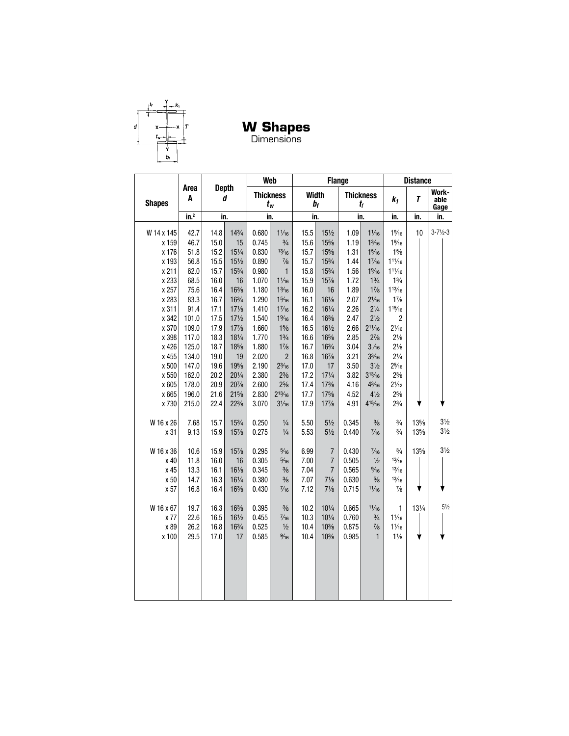

**W Shapes**

Dimensions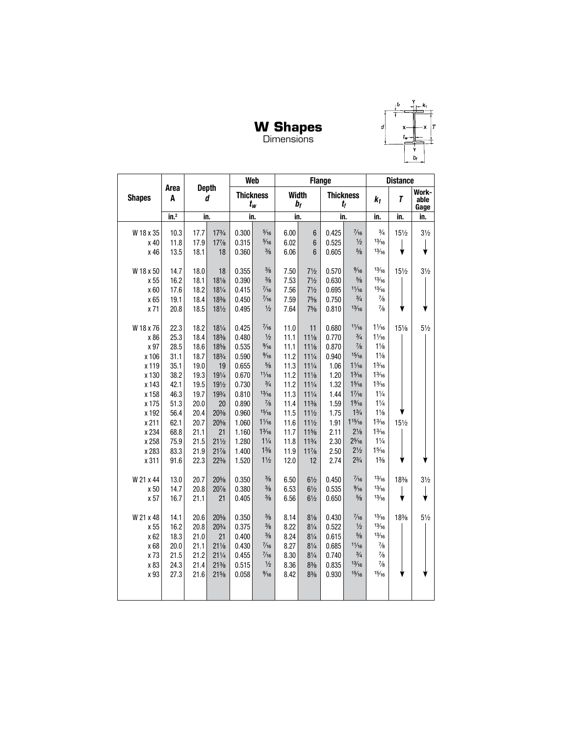# **W Shapes**<br>Dimensions



|                |                  |                          |                 |                | Web                              |              | <b>Flange</b>   |                  |                         |                                   | <b>Distance</b> |                       |
|----------------|------------------|--------------------------|-----------------|----------------|----------------------------------|--------------|-----------------|------------------|-------------------------|-----------------------------------|-----------------|-----------------------|
| <b>Shapes</b>  | Area<br>A        | <b>Depth</b><br>d<br>in. |                 |                | <b>Thickness</b><br>$t_w$        | <b>Width</b> | $b_f$           | <b>Thickness</b> | $t_{f}$                 | $k_1$                             | $\overline{I}$  | Work-<br>able<br>Gage |
|                | in. <sup>2</sup> |                          |                 | in.            |                                  | in.          |                 | in.              |                         | in.                               | in.             | in.                   |
| W 18 x 35      | 10.3             | 17.7                     | $17^{3}/4$      | 0.300          | $\frac{5}{16}$                   | 6.00         | $6\phantom{1}$  | 0.425            | $\frac{7}{16}$          | $\frac{3}{4}$                     | 151/2           | $3\frac{1}{2}$        |
| x 40           | 11.8             | 17.9                     | $17\frac{7}{8}$ | 0.315          | $\frac{5}{16}$                   | 6.02         | $6\phantom{1}$  | 0.525            | $1/2$                   | 13/16                             |                 |                       |
| x 46           | 13.5             | 18.1                     | 18              | 0.360          | $\frac{3}{8}$                    | 6.06         | $6\phantom{1}6$ | 0.605            | $\frac{5}{8}$           | 13/16                             |                 |                       |
|                |                  |                          |                 |                |                                  |              |                 |                  |                         |                                   |                 |                       |
| W 18 x 50      | 14.7             | 18.0                     | 18              | 0.355          | $\frac{3}{8}$                    | 7.50         | $7\frac{1}{2}$  | 0.570            | $\frac{9}{16}$          | 13/16                             | 151/2           | $3\frac{1}{2}$        |
| x 55           | 16.2             | 18.1                     | $18\frac{1}{8}$ | 0.390          | $\frac{3}{8}$                    | 7.53         | $7\frac{1}{2}$  | 0.630            | $\frac{5}{8}$           | 13/16                             |                 |                       |
| x 60           | 17.6             | 18.2                     | $18\frac{1}{4}$ | 0.415          | $\frac{7}{16}$                   | 7.56         | $7\frac{1}{2}$  | 0.695            | 11/16                   | 13/16                             |                 |                       |
| x 65           | 19.1             | 18.4                     | 18%             | 0.450          | $\frac{7}{16}$                   | 7.59         | 75/8            | 0.750            | $\frac{3}{4}$           | $\frac{7}{8}$                     |                 |                       |
| x 71           | 20.8             | 18.5                     | 181/2           | 0.495          | $\frac{1}{2}$                    | 7.64         | 75/8            | 0.810            | 13/16                   | $\frac{7}{8}$                     |                 |                       |
|                |                  |                          |                 |                |                                  |              |                 |                  |                         |                                   |                 |                       |
| W 18 x 76      | 22.3             | 18.2                     | 181/4           | 0.425          | $\frac{7}{16}$                   | 11.0         | 11              | 0.680            | 11/16                   | $1\frac{1}{16}$                   | 151/8           | $5\frac{1}{2}$        |
| x 86           | 25.3             | 18.4                     | 18%             | 0.480          | $\frac{1}{2}$                    | 11.1         | $11\frac{1}{8}$ | 0.770            | $\frac{3}{4}$           | $1\frac{1}{16}$                   |                 |                       |
| x 97           | 28.5             | 18.6                     | 18%             | 0.535          | $\frac{9}{16}$                   | 11.1         | $11\frac{1}{8}$ | 0.870            | $\frac{7}{8}$           | $1\frac{1}{8}$                    |                 |                       |
| x 106          | 31.1             | 18.7                     | 183/4           | 0.590          | $\frac{9}{16}$                   | 11.2         | $11\frac{1}{4}$ | 0.940            | 15/16                   | $1\frac{1}{8}$                    |                 |                       |
| x 119          | 35.1             | 19.0                     | 19              | 0.655          | $\frac{5}{8}$                    | 11.3         | $11\frac{1}{4}$ | 1.06             | $1\frac{1}{16}$         | $1\frac{3}{16}$                   |                 |                       |
| x 130          | 38.2             | 19.3                     | 191/4           | 0.670          | 11/16                            | 11.2         | $11\frac{1}{8}$ | 1.20             | $1\frac{3}{16}$         | $1\frac{3}{16}$                   |                 |                       |
| x 143          | 42.1             | 19.5                     | 191/2           | 0.730          | $\frac{3}{4}$                    | 11.2         | $11\frac{1}{4}$ | 1.32             | $1\frac{5}{16}$         | $1\frac{3}{16}$                   |                 |                       |
| x 158          | 46.3             | 19.7                     | 193/4           | 0.810          | 13/16                            | 11.3         | $11\frac{1}{4}$ | 1.44             | $1\frac{7}{16}$         | $1\frac{1}{4}$                    |                 |                       |
| x 175          | 51.3             | 20.0                     | 20              | 0.890          | $\frac{7}{8}$                    | 11.4         | $11\frac{3}{8}$ | 1.59             | $1\%6$                  | $1\frac{1}{4}$                    |                 |                       |
| x 192          | 56.4             | 20.4                     | 20%             | 0.960          | 15/16                            | 11.5         | $11\frac{1}{2}$ | 1.75             | $1\frac{3}{4}$          | $1\frac{1}{8}$                    |                 |                       |
| x 211          | 62.1             | 20.7                     | 20%             | 1.060          | $1\frac{1}{16}$                  | 11.6         | $11\frac{1}{2}$ | 1.91             | 115/16                  | $1\frac{3}{16}$                   | 151/2           |                       |
| x 234          | 68.8             | 21.1                     | 21              | 1.160          | $1\frac{3}{16}$                  | 11.7         | $11\frac{5}{8}$ | 2.11             | $2\frac{1}{8}$          | $1\frac{3}{16}$<br>$1\frac{1}{4}$ |                 |                       |
| x 258          | 75.9             | 21.5                     | $21\frac{1}{2}$ | 1.280<br>1.400 | $1\frac{1}{4}$<br>$1\frac{3}{8}$ | 11.8         | $11^{3}/4$      | 2.30             | 25/16<br>$2\frac{1}{2}$ | $1\frac{5}{16}$                   |                 |                       |
| x 283<br>x 311 | 83.3             | 21.9<br>22.3             | $21\%$          |                | $1\frac{1}{2}$                   | 11.9         | $11\frac{7}{8}$ | 2.50             | $2\frac{3}{4}$          | $1\frac{3}{8}$                    |                 |                       |
|                | 91.6             |                          | $22\frac{3}{8}$ | 1.520          |                                  | 12.0         | 12              | 2.74             |                         |                                   |                 |                       |
| W 21 x 44      | 13.0             | 20.7                     | 20%             | 0.350          | $\frac{3}{8}$                    | 6.50         | $6\frac{1}{2}$  | 0.450            | $\frac{7}{16}$          | 13/16                             | 18%             | $3\frac{1}{2}$        |
| x 50           | 14.7             | 20.8                     | 207/8           | 0.380          | $\frac{3}{8}$                    | 6.53         | $6\frac{1}{2}$  | 0.535            | $\frac{9}{16}$          | 13/16                             |                 |                       |
| x 57           | 16.7             | 21.1                     | 21              | 0.405          | $\frac{3}{8}$                    | 6.56         | $6\frac{1}{2}$  | 0.650            | $\frac{5}{8}$           | 13/16                             | ∀               |                       |
|                |                  |                          |                 |                |                                  |              |                 |                  |                         |                                   |                 |                       |
| W 21 x 48      | 14.1             | 20.6                     | 20%             | 0.350          | $\frac{3}{8}$                    | 8.14         | $8\frac{1}{8}$  | 0.430            | $\frac{7}{16}$          | 13/16                             | 18%             | $5\frac{1}{2}$        |
| x 55           | 16.2             | 20.8                     | 203/4           | 0.375          | $\frac{3}{8}$                    | 8.22         | $8\frac{1}{4}$  | 0.522            | $\frac{1}{2}$           | 13/16                             |                 |                       |
| x 62           | 18.3             | 21.0                     | 21              | 0.400          | $\frac{3}{8}$                    | 8.24         | $8\frac{1}{4}$  | 0.615            | $\frac{5}{8}$           | 13/16                             |                 |                       |
| x 68           | 20.0             | 21.1                     | $21\frac{1}{8}$ | 0.430          | $\frac{7}{16}$                   | 8.27         | $8\frac{1}{4}$  | 0.685            | 11/16                   | $\frac{7}{8}$                     |                 |                       |
| x 73           | 21.5             | 21.2                     | $21\frac{1}{4}$ | 0.455          | $\frac{7}{16}$                   | 8.30         | $8\frac{1}{4}$  | 0.740            | $\frac{3}{4}$           | $\frac{7}{8}$                     |                 |                       |
| x 83           | 24.3             | 21.4                     | $21\frac{3}{8}$ | 0.515          | $\frac{1}{2}$                    | 8.36         | $8\frac{3}{8}$  | 0.835            | 13/16                   | $\frac{7}{8}$                     |                 |                       |
| x 93           | 27.3             | 21.6                     | $21\frac{5}{8}$ | 0.058          | $\frac{9}{16}$                   | 8.42         | $8\frac{3}{8}$  | 0.930            | 15/16                   | 15/16                             |                 |                       |
|                |                  |                          |                 |                |                                  |              |                 |                  |                         |                                   |                 |                       |
|                |                  |                          |                 |                |                                  |              |                 |                  |                         |                                   |                 |                       |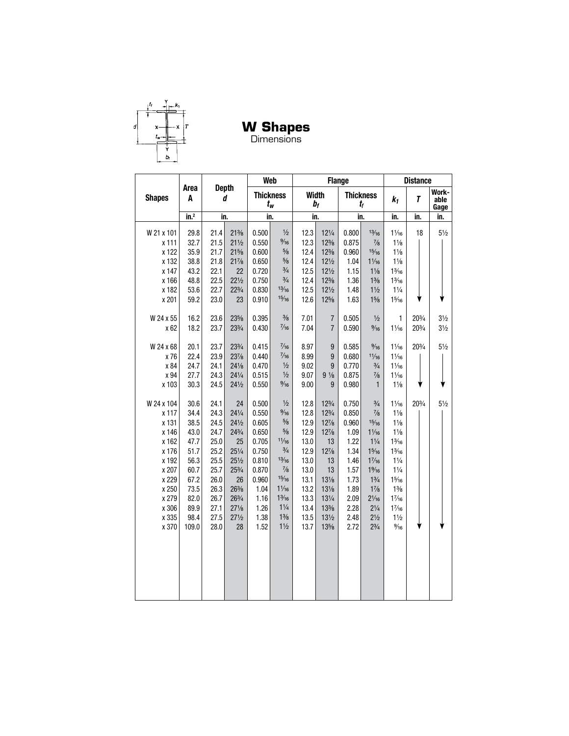

**W Shapes**

Dimensions

|                                                                                                                                 | <b>Depth</b>                                                                                                  |                                                                                                              |                                                                                                                                                                                              |                                                                                                                       | Web                                                                                                                                                                                                                     |                                                                                                              |                                                                                                                                                                  | <b>Flange</b>                                                                                                   |                                                                                                                                                                                                                     |                                                                                                                                                                                                                                                                | <b>Distance</b> |                                  |
|---------------------------------------------------------------------------------------------------------------------------------|---------------------------------------------------------------------------------------------------------------|--------------------------------------------------------------------------------------------------------------|----------------------------------------------------------------------------------------------------------------------------------------------------------------------------------------------|-----------------------------------------------------------------------------------------------------------------------|-------------------------------------------------------------------------------------------------------------------------------------------------------------------------------------------------------------------------|--------------------------------------------------------------------------------------------------------------|------------------------------------------------------------------------------------------------------------------------------------------------------------------|-----------------------------------------------------------------------------------------------------------------|---------------------------------------------------------------------------------------------------------------------------------------------------------------------------------------------------------------------|----------------------------------------------------------------------------------------------------------------------------------------------------------------------------------------------------------------------------------------------------------------|-----------------|----------------------------------|
| <b>Shapes</b>                                                                                                                   | Area<br>A                                                                                                     |                                                                                                              | d<br>in.                                                                                                                                                                                     |                                                                                                                       | <b>Thickness</b><br>$t_w$                                                                                                                                                                                               |                                                                                                              | <b>Width</b><br>$b_f$                                                                                                                                            |                                                                                                                 | <b>Thickness</b><br>$t_{\rm f}$                                                                                                                                                                                     | $k_1$                                                                                                                                                                                                                                                          | T               | Work-<br>able<br>Gage            |
|                                                                                                                                 | in. <sup>2</sup>                                                                                              |                                                                                                              |                                                                                                                                                                                              | in.                                                                                                                   |                                                                                                                                                                                                                         |                                                                                                              | in.                                                                                                                                                              |                                                                                                                 | in.                                                                                                                                                                                                                 | in.                                                                                                                                                                                                                                                            | in.             | in.                              |
| W 21 x 101<br>x 111<br>x 122<br>x 132<br>x 147<br>x 166<br>x 182                                                                | 29.8<br>32.7<br>35.9<br>38.8<br>43.2<br>48.8<br>53.6                                                          | 21.4<br>21.5<br>21.7<br>21.8<br>22.1<br>22.5<br>22.7                                                         | $21\%$<br>$21\frac{1}{2}$<br>$21\%$<br>$21\%$<br>22<br>$22\frac{1}{2}$<br>$22^{3}/4$                                                                                                         | 0.500<br>0.550<br>0.600<br>0.650<br>0.720<br>0.750<br>0.830                                                           | $\frac{1}{2}$<br>$\frac{9}{16}$<br>$\frac{5}{8}$<br>$\frac{5}{8}$<br>$\frac{3}{4}$<br>$\frac{3}{4}$<br>13/16                                                                                                            | 12.3<br>12.3<br>12.4<br>12.4<br>12.5<br>12.4<br>12.5                                                         | $12\frac{1}{4}$<br>$12\frac{3}{8}$<br>$12\frac{3}{8}$<br>$12\frac{1}{2}$<br>$12\frac{1}{2}$<br>$12\frac{3}{8}$<br>$12\frac{1}{2}$                                | 0.800<br>0.875<br>0.960<br>1.04<br>1.15<br>1.36<br>1.48                                                         | 13/16<br>$\frac{7}{8}$<br>15/16<br>$1\frac{1}{16}$<br>$1\frac{1}{8}$<br>$1\frac{3}{8}$<br>$1\frac{1}{2}$                                                                                                            | $1\frac{1}{16}$<br>$1\frac{1}{8}$<br>$1\frac{1}{8}$<br>$1\frac{1}{8}$<br>$1\frac{3}{16}$<br>$1\frac{3}{16}$<br>$1\frac{1}{4}$                                                                                                                                  | 18              | $5\frac{1}{2}$                   |
| x 201<br>W 24 x 55<br>x 62                                                                                                      | 59.2<br>16.2<br>18.2                                                                                          | 23.0<br>23.6<br>23.7                                                                                         | 23<br>23%<br>233/4                                                                                                                                                                           | 0.910<br>0.395<br>0.430                                                                                               | 15/16<br>$\frac{3}{8}$<br>$\frac{7}{16}$                                                                                                                                                                                | 12.6<br>7.01<br>7.04                                                                                         | 125/8<br>$\overline{7}$<br>$\overline{7}$                                                                                                                        | 1.63<br>0.505<br>0.590                                                                                          | $1\frac{5}{8}$<br>$\frac{1}{2}$<br>$\frac{9}{16}$                                                                                                                                                                   | 15/16<br>1<br>$1\frac{1}{16}$                                                                                                                                                                                                                                  | 203/4<br>20%    | $3\frac{1}{2}$<br>$3\frac{1}{2}$ |
| W 24 x 68<br>x 76<br>x 84<br>x 94<br>x 103                                                                                      | 20.1<br>22.4<br>24.7<br>27.7<br>30.3                                                                          | 23.7<br>23.9<br>24.1<br>24.3<br>24.5                                                                         | 233/4<br>237/8<br>$24\frac{1}{8}$<br>$24\frac{1}{4}$<br>$24\frac{1}{2}$                                                                                                                      | 0.415<br>0.440<br>0.470<br>0.515<br>0.550                                                                             | $\frac{7}{16}$<br>$\frac{7}{16}$<br>$\frac{1}{2}$<br>$\frac{1}{2}$<br>$\frac{9}{16}$                                                                                                                                    | 8.97<br>8.99<br>9.02<br>9.07<br>9.00                                                                         | $\boldsymbol{9}$<br>9<br>9<br>$9\frac{1}{8}$<br>9                                                                                                                | 0.585<br>0.680<br>0.770<br>0.875<br>0.980                                                                       | $\frac{9}{16}$<br>11/16<br>$\frac{3}{4}$<br>$\frac{7}{8}$<br>$\mathbf{1}$                                                                                                                                           | $1\frac{1}{16}$<br>$1\frac{1}{16}$<br>$1\frac{1}{16}$<br>$1\frac{1}{16}$<br>$1\frac{1}{8}$                                                                                                                                                                     | 203/4           | $5\frac{1}{2}$                   |
| W 24 x 104<br>x 117<br>x 131<br>x 146<br>x 162<br>x 176<br>x 192<br>x 207<br>x 229<br>x 250<br>x 279<br>x 306<br>x 335<br>x 370 | 30.6<br>34.4<br>38.5<br>43.0<br>47.7<br>51.7<br>56.3<br>60.7<br>67.2<br>73.5<br>82.0<br>89.9<br>98.4<br>109.0 | 24.1<br>24.3<br>24.5<br>24.7<br>25.0<br>25.2<br>25.5<br>25.7<br>26.0<br>26.3<br>26.7<br>27.1<br>27.5<br>28.0 | 24<br>$24\frac{1}{4}$<br>$24\frac{1}{2}$<br>$24\frac{3}{4}$<br>25<br>$25\frac{1}{4}$<br>$25\frac{1}{2}$<br>$25\frac{3}{4}$<br>26<br>26%<br>263/4<br>$27\frac{1}{8}$<br>$27\frac{1}{2}$<br>28 | 0.500<br>0.550<br>0.605<br>0.650<br>0.705<br>0.750<br>0.810<br>0.870<br>0.960<br>1.04<br>1.16<br>1.26<br>1.38<br>1.52 | $\frac{1}{2}$<br>$\frac{9}{16}$<br>$\frac{5}{8}$<br>$5\!/\!_8$<br>11/16<br>$\frac{3}{4}$<br>13/16<br>$\frac{7}{8}$<br>15/16<br>$1\frac{1}{16}$<br>$1\frac{3}{16}$<br>$1\frac{1}{4}$<br>$1\frac{3}{8}$<br>$1\frac{1}{2}$ | 12.8<br>12.8<br>12.9<br>12.9<br>13.0<br>12.9<br>13.0<br>13.0<br>13.1<br>13.2<br>13.3<br>13.4<br>13.5<br>13.7 | $12\frac{3}{4}$<br>123/4<br>$12\frac{7}{8}$<br>$12\%$<br>13<br>$12\frac{7}{8}$<br>13<br>13<br>131/8<br>$13\frac{1}{8}$<br>131/4<br>13%<br>$13\frac{1}{2}$<br>13% | 0.750<br>0.850<br>0.960<br>1.09<br>1.22<br>1.34<br>1.46<br>1.57<br>1.73<br>1.89<br>2.09<br>2.28<br>2.48<br>2.72 | $\frac{3}{4}$<br>$\frac{7}{8}$<br>15/16<br>$1\frac{1}{16}$<br>$1\frac{1}{4}$<br>15/16<br>17/16<br>$1\%6$<br>$1\frac{3}{4}$<br>$1\frac{7}{8}$<br>$2\frac{1}{16}$<br>$2\frac{1}{4}$<br>$2\frac{1}{2}$<br>$2^{3}/_{4}$ | $1\frac{1}{16}$<br>$1\frac{1}{8}$<br>$1\frac{1}{8}$<br>$1\frac{1}{8}$<br>$1\frac{3}{16}$<br>$1\frac{3}{16}$<br>$1\frac{1}{4}$<br>$1\frac{1}{4}$<br>$1\frac{5}{16}$<br>$1\frac{3}{8}$<br>$1\frac{7}{16}$<br>$1\frac{7}{16}$<br>$1\frac{1}{2}$<br>$\frac{9}{16}$ | 203/4           | $5\frac{1}{2}$                   |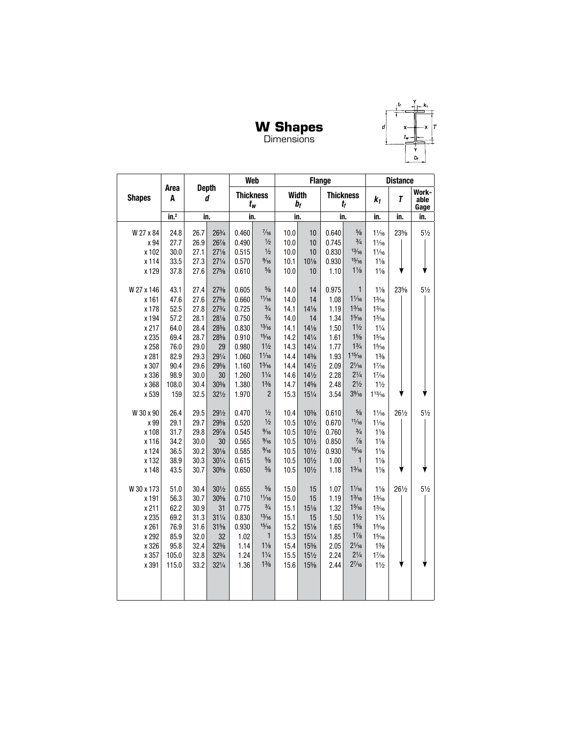#### **W Shapes** Dimensions



|               |                                |      |                 |       | Web                       |      | <b>Flange</b>      |                  |                 |                 | <b>Distance</b> |                       |
|---------------|--------------------------------|------|-----------------|-------|---------------------------|------|--------------------|------------------|-----------------|-----------------|-----------------|-----------------------|
| <b>Shapes</b> | <b>Depth</b><br>Area<br>A<br>d |      |                 |       | <b>Thickness</b><br>$t_w$ |      | <b>Width</b><br>bf | <b>Thickness</b> | $t_{\it f}$     | k <sub>1</sub>  | $\overline{I}$  | Work-<br>able<br>Gage |
|               | in. <sup>2</sup>               | in.  |                 | in.   |                           |      | in.                | in.              |                 | in.             | in.             | in.                   |
| W 27 x 84     | 24.8                           | 26.7 | 263/4           | 0.460 | $\frac{7}{16}$            | 10.0 | 10                 | 0.640            | $\frac{5}{8}$   | $1\frac{1}{16}$ | 23%             | $5\frac{1}{2}$        |
| x 94          | 27.7                           | 26.9 | $26\%$          | 0.490 | $\frac{1}{2}$             | 10.0 | 10                 | 0.745            | $\frac{3}{4}$   | $1\frac{1}{16}$ |                 |                       |
| x 102         | 30.0                           | 27.1 | $27\frac{1}{8}$ | 0.515 | $\frac{1}{2}$             | 10.0 | 10                 | 0.830            | 13/16           | $1\frac{1}{16}$ |                 |                       |
| x 114         | 33.5                           | 27.3 | $27\frac{1}{4}$ | 0.570 | $\frac{9}{16}$            | 10.1 | $10\%$             | 0.930            | 15/16           | $1\frac{1}{8}$  |                 |                       |
| x 129         | 37.8                           | 27.6 | $27\frac{5}{8}$ | 0.610 | $\frac{5}{8}$             | 10.0 | 10                 | 1.10             | $1\frac{1}{8}$  | $1\frac{1}{8}$  |                 |                       |
|               |                                |      |                 |       |                           |      |                    |                  |                 |                 |                 |                       |
| W 27 x 146    | 43.1                           | 27.4 | $27\frac{3}{8}$ | 0.605 | $\frac{5}{8}$             | 14.0 | 14                 | 0.975            | 1               | $1\frac{1}{8}$  | 23%             | $5\frac{1}{2}$        |
| x 161         | 47.6                           | 27.6 | $27\frac{5}{8}$ | 0.660 | 11/16                     | 14.0 | 14                 | 1.08             | $1\frac{1}{16}$ | $1\frac{3}{16}$ |                 |                       |
| x 178         | 52.5                           | 27.8 | $27^{3}/4$      | 0.725 | $\frac{3}{4}$             | 14.1 | $14\frac{1}{8}$    | 1.19             | $1\frac{3}{16}$ | $1\frac{3}{16}$ |                 |                       |
| x 194         | 57.2                           | 28.1 | 281/8           | 0.750 | $\frac{3}{4}$             | 14.0 | 14                 | 1.34             | $1\frac{5}{16}$ | $1\frac{3}{16}$ |                 |                       |
| x 217         | 64.0                           | 28.4 | 28%             | 0.830 | 13/16                     | 14.1 | $14\frac{1}{8}$    | 1.50             | $1\frac{1}{2}$  | $1\frac{1}{4}$  |                 |                       |
| x 235         | 69.4                           | 28.7 | 28%             | 0.910 | 15/16                     | 14.2 | $14\frac{1}{4}$    | 1.61             | $1\frac{5}{8}$  | $1\frac{5}{16}$ |                 |                       |
| x 258         | 76.0                           | 29.0 | 29              | 0.980 | $1\frac{1}{2}$            | 14.3 | $14\frac{1}{4}$    | 1.77             | $1\frac{3}{4}$  | 15/16           |                 |                       |
| x 281         | 82.9                           | 29.3 | 291/4           | 1.060 | $1\frac{1}{16}$           | 14.4 | $14\frac{3}{8}$    | 1.93             | $1^{15}/_{16}$  | $1\frac{3}{8}$  |                 |                       |
| x 307         | 90.4                           | 29.6 | 29%             | 1.160 | $1\frac{3}{16}$           | 14.4 | $14\frac{1}{2}$    | 2.09             | $2\frac{1}{16}$ | $1\frac{7}{16}$ |                 |                       |
| x 336         | 98.9                           | 30.0 | 30              | 1.260 | $1\frac{1}{4}$            | 14.6 | $14\frac{1}{2}$    | 2.28             | $2\frac{1}{4}$  | 17/16           |                 |                       |
| x 368         | 108.0                          | 30.4 | $30\%$          | 1.380 | $1\frac{3}{8}$            | 14.7 | 14%                | 2.48             | $2\frac{1}{2}$  | $1\frac{1}{2}$  |                 |                       |
| x 539         | 159                            | 32.5 | $32\frac{1}{2}$ | 1.970 | $\overline{2}$            | 15.3 | $15\frac{1}{4}$    | 3.54             | $3\frac{9}{16}$ | $1^{13}/_{16}$  |                 |                       |
| W 30 x 90     | 26.4                           | 29.5 | 291/2           | 0.470 | $\frac{1}{2}$             | 10.4 | $10\%$             | 0.610            | $\frac{5}{8}$   | $1\frac{1}{16}$ | 261/2           | $5\frac{1}{2}$        |
| x 99          | 29.1                           | 29.7 | 29%             | 0.520 | $\frac{1}{2}$             | 10.5 | $10\frac{1}{2}$    | 0.670            | 11/16           | $1\frac{1}{16}$ |                 |                       |
| x 108         | 31.7                           | 29.8 | 297/8           | 0.545 | $\frac{9}{16}$            | 10.5 | $10\frac{1}{2}$    | 0.760            | $\frac{3}{4}$   | $1\frac{1}{8}$  |                 |                       |
| x 116         | 34.2                           | 30.0 | 30              | 0.565 | $\frac{9}{16}$            | 10.5 | 10 <sub>1</sub>    | 0.850            | $\frac{7}{8}$   | $1\frac{1}{8}$  |                 |                       |
| x 124         | 36.5                           | 30.2 | $30\%$          | 0.585 | $\frac{9}{16}$            | 10.5 | $10\frac{1}{2}$    | 0.930            | 15/16           | $1\frac{1}{8}$  |                 |                       |
| x 132         | 38.9                           | 30.3 | $30\frac{1}{4}$ | 0.615 | $\frac{5}{8}$             | 10.5 | 10 <sub>1</sub>    | 1.00             | $\mathbf{1}$    | $1\frac{1}{8}$  |                 |                       |
| x 148         | 43.5                           | 30.7 | 30%             | 0.650 | $\frac{5}{8}$             | 10.5 | 10 <sub>1/2</sub>  | 1.18             | $1\frac{3}{16}$ | $1\frac{1}{8}$  |                 |                       |
| W 30 x 173    | 51.0                           | 30.4 | $30\frac{1}{2}$ | 0.655 | $\frac{5}{8}$             | 15.0 | 15                 | 1.07             | $1\frac{1}{16}$ | $1\frac{1}{8}$  | 261/2           | $5\frac{1}{2}$        |
| x 191         | 56.3                           | 30.7 | $30\%$          | 0.710 | 11/16                     | 15.0 | 15                 | 1.19             | $1\frac{3}{16}$ | $1\frac{3}{16}$ |                 |                       |
| x 211         | 62.2                           | 30.9 | 31              | 0.775 | $\frac{3}{4}$             | 15.1 | $15\frac{1}{8}$    | 1.32             | $1\frac{5}{16}$ | $1\frac{3}{16}$ |                 |                       |
| x 235         | 69.2                           | 31.3 | $31\frac{1}{4}$ | 0.830 | 13/16                     | 15.1 | 15                 | 1.50             | $1\frac{1}{2}$  | $1\frac{1}{4}$  |                 |                       |
| x 261         | 76.9                           | 31.6 | $31\%$          | 0.930 | 15/16                     | 15.2 | $15\frac{1}{8}$    | 1.65             | $1\frac{5}{8}$  | $1\frac{5}{16}$ |                 |                       |
| x 292         | 85.9                           | 32.0 | 32              | 1.02  | $\mathbf{1}$              | 15.3 | $15\frac{1}{4}$    | 1.85             | $1\frac{7}{8}$  | $1\frac{5}{16}$ |                 |                       |
| x 326         | 95.8                           | 32.4 | 32%             | 1.14  | $1\frac{1}{8}$            | 15.4 | $15\frac{3}{8}$    | 2.05             | $2\frac{1}{16}$ | $1\frac{3}{8}$  |                 |                       |
| x 357         | 105.0                          | 32.8 | 323/4           | 1.24  | $1\frac{1}{4}$            | 15.5 | $15\frac{1}{2}$    | 2.24             | $2\frac{1}{4}$  | $1\frac{7}{16}$ |                 |                       |
| x 391         | 115.0                          | 33.2 | $32\frac{1}{4}$ | 1.36  | $1\frac{3}{8}$            | 15.6 | 15%                | 2.44             | $2^{7}/_{16}$   | $1\frac{1}{2}$  |                 |                       |
|               |                                |      |                 |       |                           |      |                    |                  |                 |                 |                 |                       |
|               |                                |      |                 |       |                           |      |                    |                  |                 |                 |                 |                       |
|               |                                |      |                 |       |                           |      |                    |                  |                 |                 |                 |                       |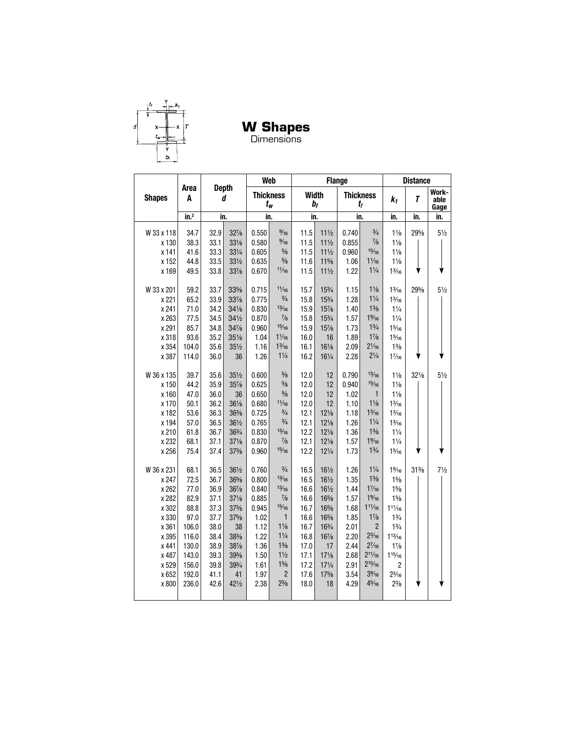

**W Shapes**

Dimensions

|                |                  |              |                 | Web              |                        |              | <b>Flange</b>         |                  |                                  |                          | <b>Distance</b> |                       |
|----------------|------------------|--------------|-----------------|------------------|------------------------|--------------|-----------------------|------------------|----------------------------------|--------------------------|-----------------|-----------------------|
| <b>Shapes</b>  | Area<br>A        | <b>Depth</b> | d               | <b>Thickness</b> | t <sub>w</sub>         |              | <b>Width</b><br>$b_f$ | <b>Thickness</b> | tı                               | $k_1$                    | T               | Work-<br>able<br>Gage |
|                | in. <sup>2</sup> | in.          |                 | in.              |                        | in.          |                       | in.              |                                  | in.                      | in.             | in.                   |
| W 33 x 118     | 34.7             | 32.9         | $32\frac{7}{8}$ | 0.550            | $\frac{9}{16}$         | 11.5         | $11\frac{1}{2}$       | 0.740            | $\frac{3}{4}$                    | $1\frac{1}{8}$           | 295/8           | $5\frac{1}{2}$        |
| x 130          | 38.3             | 33.1         | $33\frac{1}{8}$ | 0.580            | $\frac{9}{16}$         | 11.5         | $11\frac{1}{2}$       | 0.855            | $\frac{7}{8}$                    | $1\frac{1}{8}$           |                 |                       |
| x 141          | 41.6             | 33.3         | 331/4           | 0.605            | $\frac{5}{8}$          | 11.5         | $11\frac{1}{2}$       | 0.960            | 15/16                            | $1\frac{1}{8}$           |                 |                       |
| x 152          | 44.8             | 33.5         | 331/2           | 0.635            | $5\!/\!_8$             | 11.6         | $11\frac{5}{8}$       | 1.06             | $1\frac{1}{16}$                  | $1\frac{1}{8}$           |                 |                       |
| x 169          | 49.5             | 33.8         | 33%             | 0.670            | 11/16                  | 11.5         | $11\frac{1}{2}$       | 1.22             | $1\frac{1}{4}$                   | $1\frac{3}{16}$          |                 |                       |
|                |                  |              |                 |                  |                        |              |                       |                  |                                  |                          |                 |                       |
| W 33 x 201     | 59.2             | 33.7         | 33%             | 0.715            | 11/16                  | 15.7         | 153/4                 | 1.15             | $1\frac{1}{8}$                   | $1\frac{3}{16}$          | 295/8           | $5\frac{1}{2}$        |
| x 221          | 65.2             | 33.9         | 33%             | 0.775            | $\frac{3}{4}$          | 15.8         | $15\frac{3}{4}$       | 1.28             | $1\frac{1}{4}$                   | $1\frac{3}{16}$          |                 |                       |
| x 241          | 71.0             | 34.2         | $34\frac{1}{8}$ | 0.830            | 13/16                  | 15.9         | 157/8                 | 1.40             | $1\frac{3}{8}$                   | $1\frac{1}{4}$           |                 |                       |
| x 263          | 77.5             | 34.5         | $34\frac{1}{2}$ | 0.870            | $\frac{7}{8}$          | 15.8         | 153/4                 | 1.57             | $1\%6$                           | $1\frac{1}{4}$           |                 |                       |
| x 291          | 85.7             | 34.8         | 34%             | 0.960            | 15/16                  | 15.9         | 157/8                 | 1.73             | $1\frac{3}{4}$                   | $1\frac{5}{16}$          |                 |                       |
| x 318          | 93.6             | 35.2         | 35%             | 1.04             | $1\frac{1}{16}$        | 16.0         | 16                    | 1.89             | $1\frac{7}{8}$                   | $1\frac{5}{16}$          |                 |                       |
| x 354          | 104.0            | 35.6         | $35\frac{1}{2}$ | 1.16             | $1\frac{3}{16}$        | 16.1         | 161/8                 | 2.09             | $2\frac{1}{16}$                  | $1\frac{3}{8}$           |                 |                       |
| x 387          | 114.0            | 36.0         | 36              | 1.26             | $1\frac{1}{4}$         | 16.2         | 161/4                 | 2.28             | $2\frac{1}{4}$                   | $1\frac{7}{16}$          |                 |                       |
| W 36 x 135     | 39.7             | 35.6         | $35\frac{1}{2}$ | 0.600            | $\frac{5}{8}$          | 12.0         | 12                    | 0.790            | 13/16                            | $1\frac{1}{8}$           | $32\frac{1}{8}$ | $5\frac{1}{2}$        |
| x 150          | 44.2             | 35.9         | 35%             | 0.625            | $5\!/\!_8$             | 12.0         | 12                    | 0.940            | 15/16                            | $1\frac{1}{8}$           |                 |                       |
| x 160          | 47.0             | 36.0         | 36              | 0.650            | $\frac{5}{8}$          | 12.0         | 12                    | 1.02             | $\mathbf{1}$                     | $1\frac{1}{8}$           |                 |                       |
| x 170          | 50.1             | 36.2         | $36\frac{1}{8}$ | 0.680            | 11/16                  | 12.0         | 12                    | 1.10             | $1\frac{1}{8}$                   | $1\frac{3}{16}$          |                 |                       |
| x 182          | 53.6             | 36.3         | 36%             | 0.725            | $\frac{3}{4}$          | 12.1         | $12\frac{1}{8}$       | 1.18             | $1\frac{3}{16}$                  | $1\frac{3}{16}$          |                 |                       |
| x 194          | 57.0             | 36.5         | 361/2           | 0.765            | $\frac{3}{4}$          | 12.1         | $12\frac{1}{8}$       | 1.26             | $1\frac{1}{4}$                   | $1\frac{3}{16}$          |                 |                       |
| x 210          | 61.8             | 36.7         | 363/4           | 0.830            | 13/16                  | 12.2         | $12\frac{1}{8}$       | 1.36             | $1\frac{3}{8}$                   | $1\frac{1}{4}$           |                 |                       |
| x 232          | 68.1             | 37.1         | $37\frac{1}{8}$ | 0.870            | $\frac{7}{8}$          | 12.1         | $12\frac{1}{8}$       | 1.57             | $1\%16$                          | $1\frac{1}{4}$           |                 |                       |
| x 256          | 75.4             | 37.4         | $37\frac{3}{8}$ | 0.960            | 15/16                  | 12.2         | $12\frac{1}{4}$       | 1.73             | $1\frac{3}{4}$                   | $1\frac{5}{16}$          |                 |                       |
|                |                  |              |                 |                  |                        |              |                       |                  |                                  |                          |                 |                       |
| W 36 x 231     | 68.1             | 36.5         | 361/2<br>36%    | 0.760<br>0.800   | $\frac{3}{4}$<br>13/16 | 16.5         | 161/2<br>161/2        | 1.26             | $1\frac{1}{4}$<br>$1\frac{3}{8}$ | $1\%6$<br>$1\frac{5}{8}$ | $31\%$          | $7\frac{1}{2}$        |
| x 247<br>x 262 | 72.5<br>77.0     | 36.7<br>36.9 | 367/8           | 0.840            | 13/16                  | 16.5<br>16.6 | 161/2                 | 1.35<br>1.44     | 17/16                            | $1\frac{5}{8}$           |                 |                       |
| x 282          | 82.9             |              | $37\frac{1}{8}$ | 0.885            | $\frac{7}{8}$          | 16.6         | 16%                   | 1.57             | $1\%6$                           | $1\frac{5}{8}$           |                 |                       |
| x 302          | 88.8             | 37.1<br>37.3 | $37\frac{3}{8}$ | 0.945            | 15/16                  | 16.7         | 16%                   | 1.68             | $11\frac{1}{16}$                 | $11\frac{1}{16}$         |                 |                       |
| x 330          | 97.0             | 37.7         | 37%             | 1.02             | 1                      | 16.6         | 16%                   | 1.85             | $1\frac{7}{8}$                   | $1\frac{3}{4}$           |                 |                       |
| x 361          | 106.0            | 38.0         | 38              | 1.12             | $1\frac{1}{8}$         | 16.7         | 163/4                 | 2.01             | $\overline{2}$                   | $1\frac{3}{4}$           |                 |                       |
| x 395          | 116.0            | 38.4         | 38%             | 1.22             | $1\frac{1}{4}$         | 16.8         | 167/8                 | 2.20             | $2\frac{3}{16}$                  | $1^{13}/_{16}$           |                 |                       |
| x 441          | 130.0            | 38.9         | 387/8           | 1.36             | $1\frac{3}{8}$         | 17.0         | 17                    | 2.44             | $2^{7/16}$                       | $1\frac{7}{8}$           |                 |                       |
| x 487          | 143.0            | 39.3         | 39%             | 1.50             | $1\frac{1}{2}$         | 17.1         | $17\frac{1}{8}$       | 2.68             | $2^{11}/_{16}$                   | $1^{15}/_{16}$           |                 |                       |
| x 529          | 156.0            | 39.8         | 393/4           | 1.61             | $1\frac{5}{8}$         | 17.2         | $17\frac{1}{4}$       | 2.91             | $2^{15}/_{16}$                   | $\overline{c}$           |                 |                       |
| x 652          | 192.0            | 41.1         | 41              | 1.97             | $\overline{2}$         | 17.6         | 175/8                 | 3.54             | $3\frac{9}{16}$                  | $2\frac{3}{16}$          |                 |                       |
| x 800          | 236.0            | 42.6         | 421/2           | 2.38             | $2\frac{3}{8}$         | 18.0         | 18                    | 4.29             | 45/16                            | $2\frac{3}{8}$           |                 |                       |
|                |                  |              |                 |                  |                        |              |                       |                  |                                  |                          |                 |                       |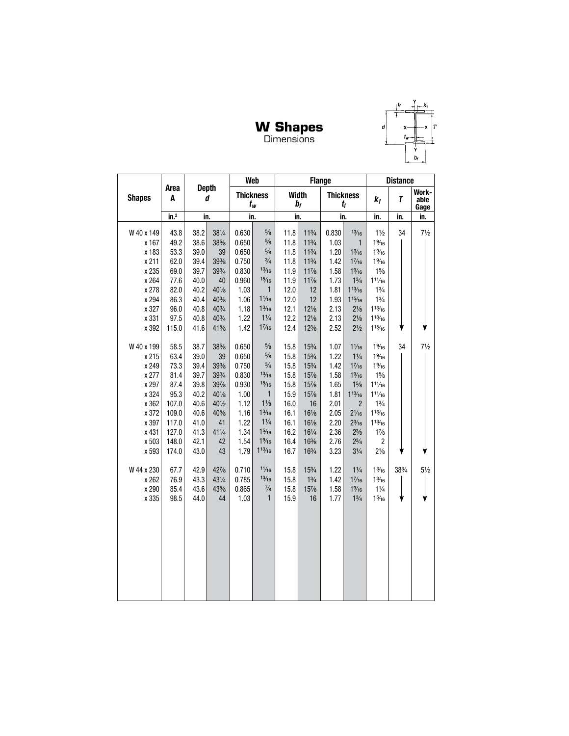#### **W Shapes** Dimensions



d

|               |                  |      |                   |       | <b>Web</b>                |      |                  | <b>Flange</b> |                                 |                  | <b>Distance</b> |                       |
|---------------|------------------|------|-------------------|-------|---------------------------|------|------------------|---------------|---------------------------------|------------------|-----------------|-----------------------|
| <b>Shapes</b> | Area<br>A        |      | <b>Depth</b><br>d |       | <b>Thickness</b><br>$t_w$ |      | Width<br>$b_{f}$ |               | <b>Thickness</b><br>$t_{\it f}$ | $k_1$            | T               | Work-<br>able<br>Gage |
|               | in. <sup>2</sup> |      | in.               |       | in.                       | in.  |                  | in.           |                                 | in.              | in.             | in.                   |
| W 40 x 149    | 43.8             | 38.2 | 381/4             | 0.630 | $\frac{5}{8}$             | 11.8 | $11^{3}/4$       | 0.830         | 13/16                           | $1\frac{1}{2}$   | 34              | $7\frac{1}{2}$        |
| x 167         | 49.2             | 38.6 | 38%               | 0.650 | $\frac{5}{8}$             | 11.8 | $11^{3}/4$       | 1.03          | $\mathbf{1}$                    | $1\%6$           |                 |                       |
| x 183         | 53.3             | 39.0 | 39                | 0.650 | $\frac{5}{8}$             | 11.8 | $11^{3}/4$       | 1.20          | $1\frac{3}{16}$                 | $1\%6$           |                 |                       |
| x 211         | 62.0             | 39.4 | $39\%$            | 0.750 | $\frac{3}{4}$             | 11.8 | 113/4            | 1.42          | $1\frac{7}{16}$                 | $1\%6$           |                 |                       |
| x 235         | 69.0             | 39.7 | 393/4             | 0.830 | 13/16                     | 11.9 | $11\frac{7}{8}$  | 1.58          | $1\%6$                          | $1\frac{5}{8}$   |                 |                       |
| x 264         | 77.6             | 40.0 | 40                | 0.960 | 15/16                     | 11.9 | $11\frac{7}{8}$  | 1.73          | $1\frac{3}{4}$                  | $11\frac{1}{16}$ |                 |                       |
| x 278         | 82.0             | 40.2 | 401/8             | 1.03  | $\mathbf{1}$              | 12.0 | 12               | 1.81          | $1^{13}/16$                     | $1\frac{3}{4}$   |                 |                       |
| x 294         | 86.3             | 40.4 | 40%               | 1.06  | $1\frac{1}{16}$           | 12.0 | 12               | 1.93          | 115/16                          | $1\frac{3}{4}$   |                 |                       |
| x 327         | 96.0             | 40.8 | 403/4             | 1.18  | $1\frac{3}{16}$           | 12.1 | $12\frac{1}{8}$  | 2.13          | $2\frac{1}{8}$                  | $1^{13}/_{16}$   |                 |                       |
| x 331         | 97.5             | 40.8 | 403/4             | 1.22  | $1\frac{1}{4}$            | 12.2 | $12\frac{1}{8}$  | 2.13          | $2\frac{1}{8}$                  | $1^{13}/_{16}$   |                 |                       |
| x 392         | 115.0            | 41.6 | 41%               | 1.42  | 17/16                     | 12.4 | $12\frac{3}{8}$  | 2.52          | $2\frac{1}{2}$                  | $1^{15}/_{16}$   |                 |                       |
| W 40 x 199    | 58.5             | 38.7 | 38%               | 0.650 | $\frac{5}{8}$             | 15.8 | 153/4            | 1.07          | $1\frac{1}{6}$                  | $1\%6$           | 34              | $7\frac{1}{2}$        |
| x 215         | 63.4             | 39.0 | 39                | 0.650 | $5/8$                     | 15.8 | 153/4            | 1.22          | $1\frac{1}{4}$                  | $1\%6$           |                 |                       |
| x 249         | 73.3             | 39.4 | 39%               | 0.750 | $\frac{3}{4}$             | 15.8 | 153/4            | 1.42          | $1\frac{7}{16}$                 | $1\%6$           |                 |                       |
| x 277         | 81.4             | 39.7 | 393/4             | 0.830 | 13/16                     | 15.8 | 15%              | 1.58          | $1\%6$                          | $1\frac{5}{8}$   |                 |                       |
| x 297         | 87.4             | 39.8 | 397/8             | 0.930 | 15/16                     | 15.8 | 15%              | 1.65          | $1\frac{5}{8}$                  | $11\frac{1}{16}$ |                 |                       |
| x 324         | 95.3             | 40.2 | 401/8             | 1.00  | 1                         | 15.9 | 15%              | 1.81          | $1^{13}/_{16}$                  | $11\frac{1}{16}$ |                 |                       |
| x 362         | 107.0            | 40.6 | $40\frac{1}{2}$   | 1.12  | $1\frac{1}{8}$            | 16.0 | 16               | 2.01          | $\overline{2}$                  | $1\frac{3}{4}$   |                 |                       |
| x 372         | 109.0            | 40.6 | 40%               | 1.16  | $1\frac{3}{16}$           | 16.1 | $16\frac{1}{8}$  | 2.05          | $2\frac{1}{16}$                 | $1^{13}/_{16}$   |                 |                       |
| x 397         | 117.0            | 41.0 | 41                | 1.22  | $1\frac{1}{4}$            | 16.1 | $16\frac{1}{8}$  | 2.20          | $2\frac{3}{16}$                 | $1^{13}/_{16}$   |                 |                       |
| x 431         | 127.0            | 41.3 | 411/4             | 1.34  | 15/16                     | 16.2 | 161/4            | 2.36          | $2\frac{3}{8}$                  | $1\frac{7}{8}$   |                 |                       |
| x 503         | 148.0            | 42.1 | 42                | 1.54  | $1\%6$                    | 16.4 | $16\%$           | 2.76          | $2\frac{3}{4}$                  | $\overline{c}$   |                 |                       |
| x 593         | 174.0            | 43.0 | 43                | 1.79  | $1^{13}/_{16}$            | 16.7 | 163/4            | 3.23          | $3\frac{1}{4}$                  | $2\frac{1}{8}$   |                 |                       |
| W 44 x 230    | 67.7             | 42.9 | $42\frac{7}{8}$   | 0.710 | 11/16                     | 15.8 | $15\frac{3}{4}$  | 1.22          | $1\frac{1}{4}$                  | $1\frac{3}{16}$  | 383/4           | $5\frac{1}{2}$        |
| x 262         | 76.9             | 43.3 | 431/4             | 0.785 | 13/16                     | 15.8 | $1\frac{3}{4}$   | 1.42          | $1\frac{7}{16}$                 | $1\frac{3}{16}$  |                 |                       |
| x 290         | 85.4             | 43.6 | 43%               | 0.865 | $\frac{7}{8}$             | 15.8 | 15%              | 1.58          | $1\%6$                          | $1\frac{1}{4}$   |                 |                       |
| x 335         | 98.5             | 44.0 | 44                | 1.03  | $\mathbf{1}$              | 15.9 | 16               | 1.77          | $1\frac{3}{4}$                  | $1\frac{5}{16}$  |                 |                       |
|               |                  |      |                   |       |                           |      |                  |               |                                 |                  |                 |                       |
|               |                  |      |                   |       |                           |      |                  |               |                                 |                  |                 |                       |
|               |                  |      |                   |       |                           |      |                  |               |                                 |                  |                 |                       |
|               |                  |      |                   |       |                           |      |                  |               |                                 |                  |                 |                       |
|               |                  |      |                   |       |                           |      |                  |               |                                 |                  |                 |                       |
|               |                  |      |                   |       |                           |      |                  |               |                                 |                  |                 |                       |
|               |                  |      |                   |       |                           |      |                  |               |                                 |                  |                 |                       |
|               |                  |      |                   |       |                           |      |                  |               |                                 |                  |                 |                       |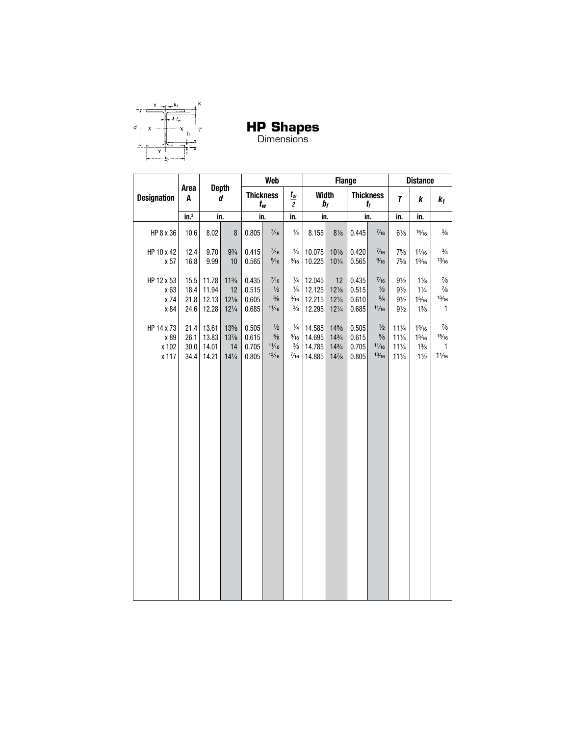

**HP Shapes**<br>Dimensions

|                                      |                              |                                  | <b>Web</b>                          |                                  |                                                  | <b>Flange</b>                                              |                                      |                                                              |                                  | <b>Distance</b>                                  |                                                                          |                                                                        |                                                |
|--------------------------------------|------------------------------|----------------------------------|-------------------------------------|----------------------------------|--------------------------------------------------|------------------------------------------------------------|--------------------------------------|--------------------------------------------------------------|----------------------------------|--------------------------------------------------|--------------------------------------------------------------------------|------------------------------------------------------------------------|------------------------------------------------|
| <b>Designation</b>                   | Area<br>A                    |                                  | <b>Depth</b><br>d                   |                                  | <b>Thickness</b><br>$t_{w}$                      | $t_{\rm w}$<br>$\overline{c}$                              | <b>Width</b>                         | b <sub>f</sub>                                               |                                  | <b>Thickness</b><br>t <sub>f</sub>               | $\boldsymbol{\tau}$                                                      | k                                                                      | $k_1$                                          |
|                                      | $\overline{\mathsf{in.}}^2$  |                                  | in.                                 |                                  | in.                                              | in.                                                        | in.                                  |                                                              |                                  | in.                                              | in.                                                                      | in.                                                                    |                                                |
| HP 8 x 36                            | 10.6                         | 8.02                             | $\bf 8$                             | 0.805                            | $\frac{7}{16}$                                   | $\frac{1}{4}$                                              | 8.155                                | $8\frac{1}{8}$                                               | 0.445                            | $\frac{7}{16}$                                   | $6\frac{1}{8}$                                                           | 15/16                                                                  | $\frac{5}{8}$                                  |
| HP 10 x 42<br>x 57                   | 12.4<br>16.8                 | 9.70<br>9.99                     | $9\frac{3}{4}$<br>10                | 0.415<br>0.565                   | $\frac{7}{16}$<br>$\frac{9}{16}$                 | $\frac{1}{4}$<br>$\frac{5}{16}$                            | 10.075<br>10.225                     | $10\%$<br>$10\frac{1}{4}$                                    | 0.420<br>0.565                   | $\frac{7}{16}$<br>$\frac{9}{16}$                 | 75/8<br>75/8                                                             | $1\frac{1}{16}$<br>$1\frac{3}{16}$                                     | $\frac{3}{4}$<br>13/16                         |
| HP 12 x 53<br>x 63<br>x 74           | 15.5<br>18.4<br>21.8         | 11.78<br>11.94<br>12.13          | $11^{3}/4$<br>12<br>$12\frac{1}{8}$ | 0.435<br>0.515<br>0.605          | $\frac{7}{16}$<br>$\frac{1}{2}$<br>$\frac{5}{8}$ | $\frac{1}{4}$<br>$\frac{1}{4}$<br>$\frac{5}{16}$           | 12.045<br>12.125<br>12.215           | 12<br>$12\frac{1}{8}$<br>$12\frac{1}{4}$                     | 0.435<br>0.515<br>0.610          | $\frac{7}{16}$<br>$\frac{1}{2}$<br>$\frac{5}{8}$ | $9\frac{1}{2}$<br>$9\frac{1}{2}$<br>$9\frac{1}{2}$                       | $1\frac{1}{8}$<br>$1\frac{1}{4}$<br>$1\frac{5}{16}$                    | $\frac{7}{8}$<br>$\frac{7}{8}$<br>15/16        |
| x 84                                 | 24.6                         | 12.28                            | $12\frac{1}{4}$                     | 0.685                            | 11/16                                            | $\frac{3}{8}$                                              | 12.295                               | $12\frac{1}{4}$                                              | 0.685                            | 11/16                                            | $9\frac{1}{2}$                                                           | $1\frac{3}{8}$                                                         | 1                                              |
| HP 14 x 73<br>x 89<br>x 102<br>x 117 | 21.4<br>26.1<br>30.0<br>34.4 | 13.61<br>13.83<br>14.01<br>14.21 | 13%<br>13%<br>14<br>$14\frac{1}{4}$ | 0.505<br>0.615<br>0.705<br>0.805 | $\frac{1}{2}$<br>$5\!/\!_8$<br>11/16<br>13/16    | $\frac{1}{4}$<br>$5/16$<br>$\frac{3}{8}$<br>$\frac{7}{16}$ | 14.585<br>14.695<br>14.785<br>14.885 | 14%<br>$14\frac{3}{4}$<br>$14\frac{3}{4}$<br>$14\frac{7}{8}$ | 0.505<br>0.615<br>0.705<br>0.805 | $\frac{1}{2}$<br>$5\!/\!_8$<br>11/16<br>13/16    | $11\frac{1}{4}$<br>$11\frac{1}{4}$<br>$11\frac{1}{4}$<br>$11\frac{1}{4}$ | $1\frac{3}{16}$<br>$1\frac{5}{16}$<br>$1\frac{3}{8}$<br>$1\frac{1}{2}$ | $\frac{7}{8}$<br>15/16<br>1<br>$1\frac{1}{16}$ |
|                                      |                              |                                  |                                     |                                  |                                                  |                                                            |                                      |                                                              |                                  |                                                  |                                                                          |                                                                        |                                                |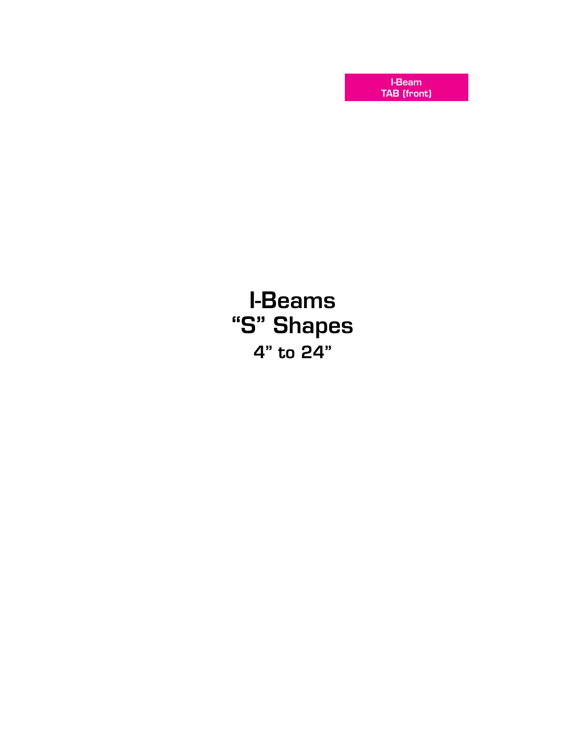I-Beam TAB (front)

# I-Beams "S" Shapes 4" to 24"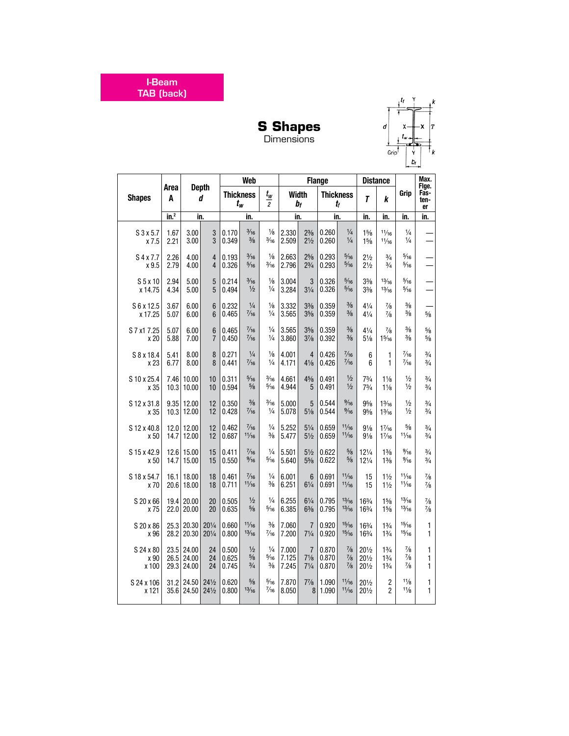I-Beam TAB (back)



**S Shapes** Dimensions

|               |                  |                |                   |                  | <b>Web</b>     |                         |              |                | <b>Flange</b>    |                |                 | <b>Distance</b> |                | Max.                        |
|---------------|------------------|----------------|-------------------|------------------|----------------|-------------------------|--------------|----------------|------------------|----------------|-----------------|-----------------|----------------|-----------------------------|
| <b>Shapes</b> | Area<br>A        |                | <b>Depth</b><br>d | <b>Thickness</b> | $t_w$          | $t_w$<br>$\overline{2}$ | <b>Width</b> | $b_f$          | <b>Thickness</b> | $t_{\rm f}$    | T               | k               | Grip           | Fige.<br>Fas-<br>ten-<br>er |
|               | in. <sup>2</sup> | in.            |                   |                  | in.            |                         | in.          |                | in.              |                | in.             | in.             | in.            | in.                         |
| $S$ 3 x 5.7   | 1.67             | 3.00           | $\sqrt{3}$        | 0.170            | $\frac{3}{16}$ | $\frac{1}{8}$           | 2.330        | $2\frac{3}{8}$ | 0.260            | $\frac{1}{4}$  | 15/8            | 11/16           | $\frac{1}{4}$  |                             |
| x 7.5         | 2.21             | 3.00           | 3                 | 0.349            | $\frac{3}{8}$  | $\frac{3}{16}$          | 2.509        | $2\frac{1}{2}$ | 0.260            | $\frac{1}{4}$  | 15/8            | 11/16           | $\frac{1}{4}$  |                             |
| S 4 x 7.7     | 2.26             | 4.00           | 4                 | 0.193            | $\frac{3}{16}$ | $\frac{1}{8}$           | 2.663        | $2^{5/8}$      | 0.293            | $\frac{5}{16}$ | $2\frac{1}{2}$  | $\frac{3}{4}$   | $\frac{5}{16}$ |                             |
| x 9.5         | 2.79             | 4.00           | $\overline{4}$    | 0.326            | $\frac{5}{16}$ | $\frac{3}{16}$          | 2.796        | $2\frac{3}{4}$ | 0.293            | $\frac{5}{16}$ | $2\frac{1}{2}$  | $\frac{3}{4}$   | $\frac{5}{16}$ |                             |
| $S5$ x 10     | 2.94             | 5.00           | 5                 | 0.214            | $\frac{3}{16}$ | $\frac{1}{8}$           | 3.004        | 3              | 0.326            | $\frac{5}{16}$ | $3\frac{3}{8}$  | 13/16           | $\frac{5}{16}$ |                             |
| x 14.75       | 4.34             | 5.00           | $\overline{5}$    | 0.494            | $\frac{1}{2}$  | $\frac{1}{4}$           | 3.284        | $3\frac{1}{4}$ | 0.326            | $\frac{5}{16}$ | $3\frac{3}{8}$  | 13/16           | $\frac{5}{16}$ |                             |
| S 6 x 12.5    | 3.67             | 6.00           | $6\phantom{1}$    | 0.232            | $\frac{1}{4}$  | $\frac{1}{8}$           | 3.332        | $3\frac{3}{8}$ | 0.359            | $\frac{3}{8}$  | $4\frac{1}{4}$  | $\frac{7}{8}$   | $\frac{3}{8}$  | $\frac{5}{8}$               |
| x 17.25       | 5.07             | 6.00           | $6\phantom{1}$    | 0.465            | $\frac{7}{16}$ | $\frac{1}{4}$           | 3.565        | $3\frac{5}{8}$ | 0.359            | $\frac{3}{8}$  | $4\frac{1}{4}$  | $\frac{7}{8}$   | $\frac{3}{8}$  |                             |
| S 7 x1 7.25   | 5.07             | 6.00           | $6\phantom{1}6$   | 0.465            | $\frac{7}{16}$ | $\frac{1}{4}$           | 3.565        | $3\frac{5}{8}$ | 0.359            | $\frac{3}{8}$  | $4\frac{1}{4}$  | $\frac{7}{8}$   | $\frac{3}{8}$  | $\frac{5}{8}$               |
| x 20          | 5.88             | 7.00           | $\overline{7}$    | 0.450            | $\frac{7}{16}$ | $\frac{1}{4}$           | 3.860        | $3\frac{7}{8}$ | 0.392            | $\frac{3}{8}$  | $5\frac{1}{8}$  | $1\frac{5}{16}$ | $\frac{3}{8}$  | $\frac{5}{8}$               |
| S 8 x 18.4    | 5.41             | 8.00           | 8                 | 0.271            | $\frac{1}{4}$  | $\frac{1}{8}$           | 4.001        | $\overline{4}$ | 0.426            | $\frac{7}{16}$ | 6               | $\mathbf{1}$    | $\frac{7}{16}$ | $\frac{3}{4}$               |
| x 23          | 6.77             | 8.00           | 8                 | 0.441            | $\frac{7}{16}$ | $\frac{1}{4}$           | 4.171        | $4\frac{1}{8}$ | 0.426            | $\frac{7}{16}$ | 6               | 1               | $\frac{7}{16}$ | $\frac{3}{4}$               |
| S 10 x 25.4   | 7.46             | 10.00          | 10                | 0.311            | $\frac{5}{16}$ | $\frac{3}{16}$          | 4.661        | $4\frac{5}{8}$ | 0.491            | $\frac{1}{2}$  | $7\frac{3}{4}$  | $1\frac{1}{8}$  | $\frac{1}{2}$  | $\frac{3}{4}$               |
| x 35          |                  | $10.3$   10.00 | 10                | 0.594            | $\frac{5}{8}$  | $\frac{5}{16}$          | 4.944        | 5              | 0.491            | $\frac{1}{2}$  | $7^{3}/_{4}$    | $1\frac{1}{8}$  | $\frac{1}{2}$  | $\frac{3}{4}$               |
| S 12 x 31.8   |                  | $9.35$   12.00 | 12                | 0.350            | $\frac{3}{8}$  | $\frac{3}{16}$          | 5.000        | 5              | 0.544            | $\frac{9}{16}$ | $9\frac{5}{8}$  | $1\frac{3}{16}$ | $\frac{1}{2}$  | $\frac{3}{4}$               |
| x 35          |                  | $10.3$ 12.00   | 12                | 0.428            | $\frac{7}{16}$ | $\frac{1}{4}$           | 5.078        | $5\frac{1}{8}$ | 0.544            | $\frac{9}{16}$ | $9\frac{5}{8}$  | $1\frac{3}{16}$ | $\frac{1}{2}$  | $\frac{3}{4}$               |
| S 12 x 40.8   | 14.7             | 12.0 12.00     | 12                | 0.462            | $\frac{7}{16}$ | $\frac{1}{4}$           | 5.252        | $5\frac{1}{4}$ | 0.659            | 11/16          | $9\frac{1}{8}$  | $1\frac{7}{16}$ | $\frac{5}{8}$  | $\frac{3}{4}$               |
| x 50          |                  | 12.00          | 12                | 0.687            | 11/16          | $\frac{3}{8}$           | 5.477        | $5\frac{1}{2}$ | 0.659            | 11/16          | $9\frac{1}{8}$  | $1\frac{7}{16}$ | 11/16          | $\frac{3}{4}$               |
| S 15 x 42.9   | 14.7             | 12.6 15.00     | 15                | 0.411            | $\frac{7}{16}$ | $\frac{1}{4}$           | 5.501        | $5\frac{1}{2}$ | 0.622            | $\frac{5}{8}$  | $12\frac{1}{4}$ | $1\frac{3}{8}$  | $\frac{9}{16}$ | $\frac{3}{4}$               |
| x 50          |                  | 15.00          | 15                | 0.550            | $\frac{9}{16}$ | $\frac{5}{16}$          | 5.640        | $5\frac{5}{8}$ | 0.622            | $\frac{5}{8}$  | 121/4           | $1\frac{3}{8}$  | $\frac{9}{16}$ | $\frac{3}{4}$               |
| S 18 x 54.7   | 16.1             | 18.00          | 18                | 0.461            | $\frac{7}{16}$ | $\frac{1}{4}$           | 6.001        | 6              | 0.691            | 11/16          | 15              | $1\frac{1}{2}$  | 11/16          | $\frac{7}{8}$               |
| x 70          |                  | 20.6 18.00     | 18                | 0.711            | 11/16          | $\frac{3}{8}$           | 6.251        | $6\frac{1}{4}$ | 0.691            | 11/16          | 15              | $1\frac{1}{2}$  | 11/16          | $\frac{7}{8}$               |
| S 20 x 66     | 19.4             | 20.00          | 20                | 0.505            | $\frac{1}{2}$  | $\frac{1}{4}$           | 6.255        | $6\frac{1}{4}$ | 0.795            | 13/16          | 163/4           | 15/8            | 13/16          | $\frac{7}{8}$               |
| x 75          |                  | 22.0 20.00     | 20                | 0.635            | $\frac{5}{8}$  | $\frac{5}{16}$          | 6.385        | $6\frac{3}{8}$ | 0.795            | 13/16          | 163/4           | 15/8            | 13/16          | $\frac{7}{8}$               |
| S 20 x 86     | 25.3             | 20.30          | $20\frac{1}{4}$   | 0.660            | 11/16          | $\frac{3}{8}$           | 7.060        | $\overline{7}$ | 0.920            | 15/16          | 163/4           | $1\frac{3}{4}$  | 15/16          | 1                           |
| x 96          | 28.2             | 20.30          | $20\frac{1}{4}$   | 0.800            | 13/16          | $\frac{7}{16}$          | 7.200        | $7\frac{1}{4}$ | 0.920            | 15/16          | 163/4           | $1\frac{3}{4}$  | 15/16          | $\mathbf{1}$                |
| S 24 x 80     | 26.5             | 23.5 24.00     | 24                | 0.500            | $\frac{1}{2}$  | $\frac{1}{4}$           | 7.000        | $\overline{7}$ | 0.870            | $\frac{7}{8}$  | 201/2           | 13/4            | $\frac{7}{8}$  | 1                           |
| x 90          |                  | 24.00          | 24                | 0.625            | $\frac{5}{8}$  | $\frac{5}{16}$          | 7.125        | $7\frac{1}{8}$ | 0.870            | $\frac{7}{8}$  | 201/2           | $1\frac{3}{4}$  | $\frac{7}{8}$  | 1                           |
| x 100         |                  | 29.3 24.00     | 24                | 0.745            | $\frac{3}{4}$  | $\frac{3}{8}$           | 7.245        | $7\frac{1}{4}$ | 0.870            | $\frac{7}{8}$  | $20\frac{1}{2}$ | 13/4            | $\frac{7}{8}$  | 1                           |
| S 24 x 106    | 31.2             | 24.50          | $24\frac{1}{2}$   | 0.620            | $\frac{5}{8}$  | $\frac{5}{16}$          | 7.870        | $7\frac{7}{8}$ | 1.090            | 11/16          | 201/2           | $\mathbf{2}$    | 11/8           | 1                           |
| x 121         |                  | 35.6 24.50     | $24\frac{1}{2}$   | 0.800            | 13/16          | $\frac{7}{16}$          | 8.050        | 8              | 1.090            | 11/16          | 201/2           | $\overline{2}$  | 11/8           | $\mathbf{1}$                |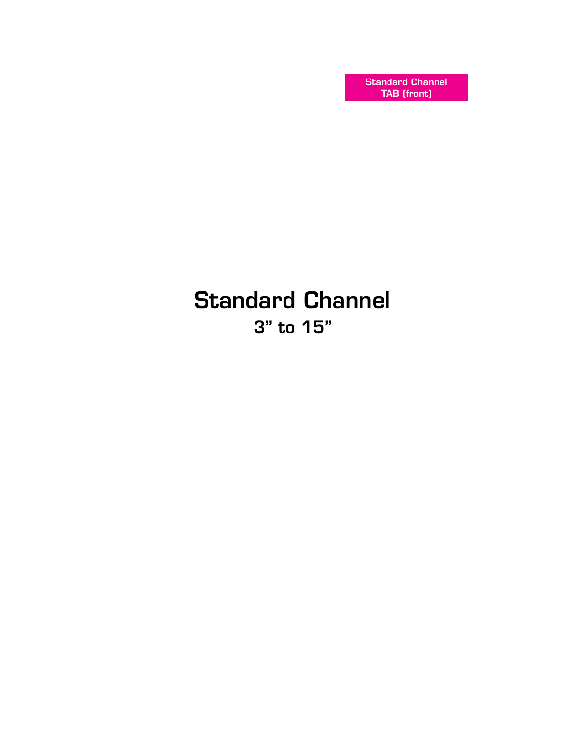Standard Channel TAB (front)

# Standard Channel 3" to 15"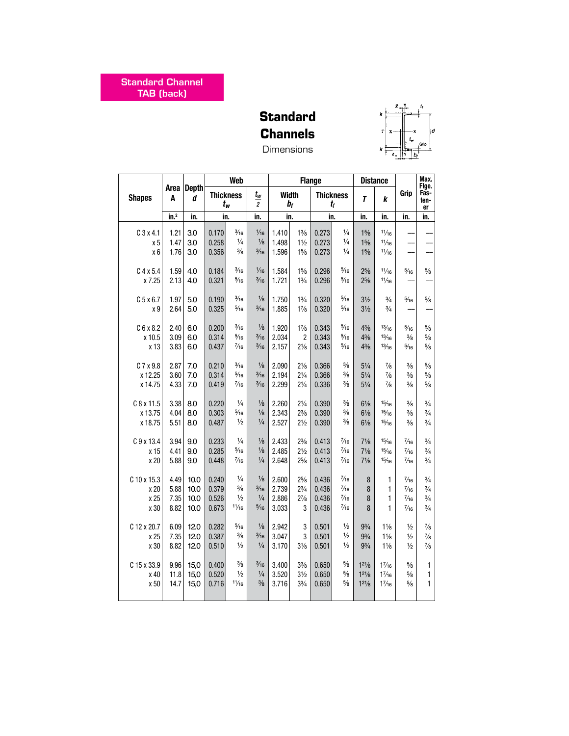## **Standard Channels Dimensions**



|               |                           |                   |                  | Web            |                                              |                |                                  | <b>Flange</b>    |                |                                  | <b>Distance</b> |                | Max.<br>Fige.      |
|---------------|---------------------------|-------------------|------------------|----------------|----------------------------------------------|----------------|----------------------------------|------------------|----------------|----------------------------------|-----------------|----------------|--------------------|
| <b>Shapes</b> | Area<br>A                 | <b>Depth</b><br>d | <b>Thickness</b> | $t_w$          | $t_{\scriptscriptstyle W}$<br>$\overline{2}$ | <b>Width</b>   | bf                               | <b>Thickness</b> | t,             | T                                | k               | Grip           | Fas-<br>ten-<br>er |
|               | $\overline{\text{in.}^2}$ | in.               | in.              |                | in.                                          | in.            |                                  | in.              |                | in.                              | in.             | in.            | in.                |
|               |                           |                   |                  | $\frac{3}{16}$ | $\frac{1}{16}$                               |                |                                  |                  | $\frac{1}{4}$  |                                  | 11/16           |                |                    |
| $C$ 3 x 4.1   | 1.21<br>1.47              | 3.0<br>3.0        | 0.170<br>0.258   | $\frac{1}{4}$  | $1/8$                                        | 1.410<br>1.498 | $1\frac{3}{8}$<br>$1\frac{1}{2}$ | 0.273<br>0.273   | $\frac{1}{4}$  | $1\frac{5}{8}$<br>$1\frac{5}{8}$ | 11/16           |                |                    |
| x 5<br>$x_6$  | 1.76                      | 3.0               | 0.356            | $\frac{3}{8}$  | $\frac{3}{16}$                               | 1.596          | 15/8                             | 0.273            | $\frac{1}{4}$  | $1\frac{5}{8}$                   | 11/16           |                |                    |
|               |                           |                   |                  |                |                                              |                |                                  |                  |                |                                  |                 |                |                    |
| $C$ 4 x 5.4   | 1.59                      | 4.0               | 0.184            | $\frac{3}{16}$ | $\frac{1}{16}$                               | 1.584          | $1\frac{5}{8}$                   | 0.296            | $\frac{5}{16}$ | $2\frac{5}{8}$                   | 11/16           | $\frac{5}{16}$ | $5\!/\!{\rm s}$    |
| x 7.25        | 2.13                      | 4.0               | 0.321            | $\frac{5}{16}$ | $\frac{3}{16}$                               | 1.721          | $1\frac{3}{4}$                   | 0.296            | $\frac{5}{16}$ | $2^{5}/8$                        | 11/16           |                |                    |
|               |                           |                   |                  |                |                                              |                |                                  |                  |                |                                  |                 |                |                    |
| $C$ 5 x 6.7   | 1.97                      | 5.0               | 0.190            | $\frac{3}{16}$ | $\frac{1}{8}$                                | 1.750          | $1\frac{3}{4}$                   | 0.320            | $\frac{5}{16}$ | $3\frac{1}{2}$                   | $\frac{3}{4}$   | $\frac{5}{16}$ | $5\!/\!_8$         |
| x 9           | 2.64                      | 5.0               | 0.325            | $\frac{5}{16}$ | $\frac{3}{16}$                               | 1.885          | $1\frac{7}{8}$                   | 0.320            | $\frac{5}{16}$ | $3\frac{1}{2}$                   | $\frac{3}{4}$   |                |                    |
|               |                           |                   |                  |                |                                              |                |                                  |                  |                |                                  |                 |                |                    |
| C6x8.2        | 2.40                      | 6.0               | 0.200            | $\frac{3}{16}$ | $\frac{1}{8}$                                | 1.920          | $1\frac{7}{8}$                   | 0.343            | $\frac{5}{16}$ | $4\frac{3}{8}$                   | 13/16           | $\frac{5}{16}$ | $\frac{5}{8}$      |
| x 10.5        | 3.09                      | 6.0               | 0.314            | $\frac{5}{16}$ | $\frac{3}{16}$                               | 2.034          | $\overline{2}$                   | 0.343            | $\frac{5}{16}$ | $4\frac{3}{8}$                   | 13/16           | $\frac{3}{8}$  | $5\!/\!_8$         |
| x 13          | 3.83                      | 6.0               | 0.437            | $\frac{7}{16}$ | $\frac{3}{16}$                               | 2.157          | $2\frac{1}{8}$                   | 0.343            | $\frac{5}{16}$ | $4\frac{3}{8}$                   | 13/16           | $\frac{5}{16}$ | $5\!/\!_8$         |
|               |                           |                   |                  |                |                                              |                |                                  |                  |                |                                  |                 |                |                    |
| C 7 x 9.8     | 2.87                      | 7.0               | 0.210            | $\frac{3}{16}$ | $1/8$                                        | 2.090          | $2\frac{1}{8}$                   | 0.366            | $\frac{3}{8}$  | $5\frac{1}{4}$                   | $\frac{7}{8}$   | $\frac{3}{8}$  | $5\!/\!_8$         |
| x 12.25       | 3.60                      | 7.0               | 0.314            | $\frac{5}{16}$ | $\frac{3}{16}$                               | 2.194          | $2\frac{1}{4}$                   | 0.366            | $\frac{3}{8}$  | $5\frac{1}{4}$                   | $\frac{7}{8}$   | $\frac{3}{8}$  | $5\!/\!_8$         |
| x 14.75       | 4.33                      | 7.0               | 0.419            | $\frac{7}{16}$ | $\frac{3}{16}$                               | 2.299          | $2\frac{1}{4}$                   | 0.336            | $\frac{3}{8}$  | $5\frac{1}{4}$                   | $\frac{7}{8}$   | $\frac{3}{8}$  | $5\!/\!_8$         |
|               |                           |                   |                  |                |                                              |                |                                  |                  |                |                                  |                 |                |                    |
| $C$ 8 x 11.5  | 3.38                      | 8.0               | 0.220            | $\frac{1}{4}$  | $\frac{1}{8}$                                | 2.260          | $2\frac{1}{4}$                   | 0.390            | $\frac{3}{8}$  | $6\frac{1}{8}$                   | 15/16           | $\frac{3}{8}$  | $\frac{3}{4}$      |
| x 13.75       | 4.04                      | 8.0               | 0.303            | $\frac{5}{16}$ | $\frac{1}{8}$                                | 2.343          | $2\frac{3}{8}$                   | 0.390            | $\frac{3}{8}$  | $6\frac{1}{8}$                   | 15/16           | $\frac{3}{8}$  | $\frac{3}{4}$      |
| x 18.75       | 5.51                      | 8.0               | 0.487            | $\frac{1}{2}$  | $\frac{1}{4}$                                | 2.527          | $2\frac{1}{2}$                   | 0.390            | $\frac{3}{8}$  | $6\frac{1}{8}$                   | 15/16           | $\frac{3}{8}$  | $\frac{3}{4}$      |
|               |                           |                   |                  |                |                                              |                |                                  |                  |                |                                  |                 |                |                    |
| C 9 x 13.4    | 3.94                      | 9.0               | 0.233            | $\frac{1}{4}$  | $\frac{1}{8}$                                | 2.433          | $2\frac{3}{8}$                   | 0.413            | $\frac{7}{16}$ | $7\frac{1}{8}$                   | 15/16           | $\frac{7}{16}$ | $\frac{3}{4}$      |
| x 15          | 4.41                      | 9.0               | 0.285            | $\frac{5}{16}$ | $\frac{1}{8}$                                | 2.485          | $2\frac{1}{2}$                   | 0.413            | $\frac{7}{16}$ | $7\frac{1}{8}$                   | 15/16           | $\frac{7}{16}$ | $\frac{3}{4}$      |
| x 20          | 5.88                      | 9.0               | 0.448            | $\frac{7}{16}$ | $\frac{1}{4}$                                | 2.648          | 25/8                             | 0.413            | $\frac{7}{16}$ | $7\frac{1}{8}$                   | 15/16           | $\frac{7}{16}$ | $\frac{3}{4}$      |
| C 10 x 15.3   | 4.49                      | 10.0              | 0.240            | $\frac{1}{4}$  | $\frac{1}{8}$                                | 2.600          | $2^{5/8}$                        | 0.436            | $\frac{7}{16}$ | $\bf 8$                          | 1               | $\frac{7}{16}$ | $\frac{3}{4}$      |
| x 20          | 5.88                      | 10.0              | 0.379            | $\frac{3}{8}$  | $\frac{3}{16}$                               | 2.739          | $2^{3}/_{4}$                     | 0.436            | $\frac{7}{16}$ | 8                                | 1               | $\frac{7}{16}$ | $\frac{3}{4}$      |
| x 25          | 7.35                      | 10.0              | 0.526            | $\frac{1}{2}$  | $\frac{1}{4}$                                | 2.886          | $2^{7}/_{8}$                     | 0.436            | $\frac{7}{16}$ | 8                                | 1               | $\frac{7}{16}$ | $\frac{3}{4}$      |
| x 30          | 8.82                      | 10.0              | 0.673            | 11/16          | $\frac{5}{16}$                               | 3.033          | 3                                | 0.436            | $\frac{7}{16}$ | 8                                | 1               | $\frac{7}{16}$ | $\frac{3}{4}$      |
|               |                           |                   |                  |                |                                              |                |                                  |                  |                |                                  |                 |                |                    |
| C 12 x 20.7   | 6.09                      | 12.0              | 0.282            | $\frac{5}{16}$ | $1/8$                                        | 2.942          | 3                                | 0.501            | $\frac{1}{2}$  | $9^{3}/_{4}$                     | $1\frac{1}{8}$  | $\frac{1}{2}$  | $\frac{7}{8}$      |
| x 25          | 7.35                      | 12.0              | 0.387            | $\frac{3}{8}$  | $\frac{3}{16}$                               | 3.047          | 3                                | 0.501            | $\frac{1}{2}$  | $9^{3}/_{4}$                     | $1\frac{1}{8}$  | $\frac{1}{2}$  | $\frac{7}{8}$      |
| x 30          | 8.82                      | 12.0              | 0.510            | $\frac{1}{2}$  | $\frac{1}{4}$                                | 3.170          | $3\frac{1}{8}$                   | 0.501            | $\frac{1}{2}$  | $9\frac{3}{4}$                   | $1\frac{1}{8}$  | $\frac{1}{2}$  | $\frac{7}{8}$      |
|               |                           |                   |                  |                |                                              |                |                                  |                  |                |                                  |                 |                |                    |
| C 15 x 33.9   | 9.96                      | 15,0              | 0.400            | $\frac{3}{8}$  | $\frac{3}{16}$                               | 3.400          | $3\frac{3}{8}$                   | 0.650            | $\frac{5}{8}$  | $1^{21/8}$                       | 17/16           | $\frac{5}{8}$  | 1                  |
| x 40          | 11.8                      | 15,0              | 0.520            | $\frac{1}{2}$  | $\frac{1}{4}$                                | 3.520          | $3\frac{1}{2}$                   | 0.650            | $\frac{5}{8}$  | $1^{21/8}$                       | 17/16           | $\frac{5}{8}$  | 1                  |
| x 50          | 14.7                      | 15,0              | 0.716            | 11/16          | $\frac{3}{8}$                                | 3.716          | $3\frac{3}{4}$                   | 0.650            | $\frac{5}{8}$  | $1^{21}/8$                       | $1\frac{7}{16}$ | $\frac{5}{8}$  | $\mathbf{1}$       |
|               |                           |                   |                  |                |                                              |                |                                  |                  |                |                                  |                 |                |                    |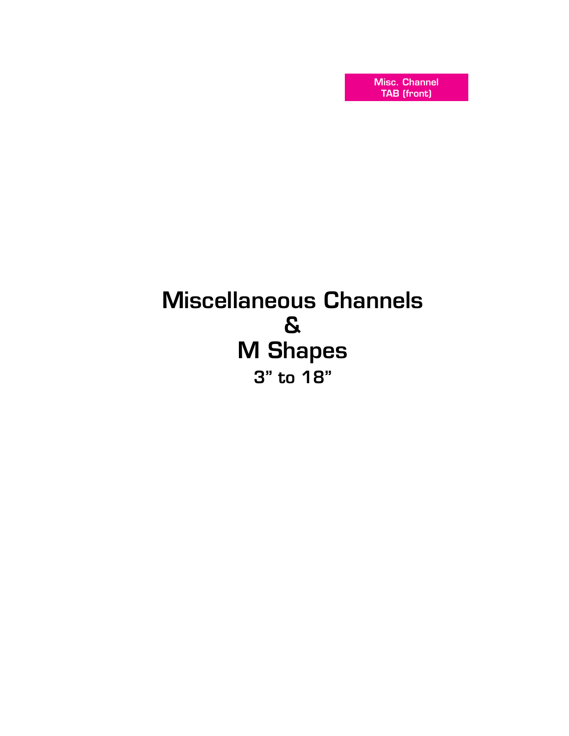Misc. Channel TAB (front)

# Miscellaneous Channels & M Shapes 3" to 18"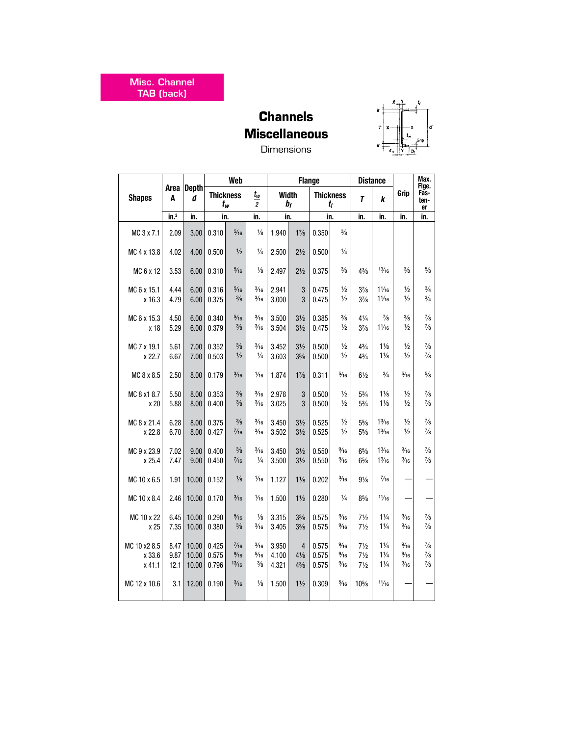Misc. Channel TAB (back)

## **Channels Miscellaneous** Dimensions



|                  |                 |                   |                  | Web                     |                                              |                |                                  | <b>Flange</b>    |                                  |                                  | <b>Distance</b>                  |                                  | Max.<br>Fige.                  |
|------------------|-----------------|-------------------|------------------|-------------------------|----------------------------------------------|----------------|----------------------------------|------------------|----------------------------------|----------------------------------|----------------------------------|----------------------------------|--------------------------------|
| <b>Shapes</b>    | Area  <br>A     | <b>Depth</b><br>d | <b>Thickness</b> | $t_w$                   | $t_{\scriptscriptstyle W}$<br>$\overline{c}$ | Width          | $b_{f}$                          | <b>Thickness</b> | $t_f$                            | T                                | k                                | Grip                             | Fas-<br>ten-<br>er             |
|                  | $\mathsf{in}^2$ | in.               | in.              |                         | in.                                          | in.            |                                  | in.              |                                  | in.                              | in.                              | in.                              | in.                            |
| MC 3 x 7.1       | 2.09            | 3.00              | 0.310            | $\frac{5}{16}$          | $\frac{1}{8}$                                | 1.940          | $1\frac{7}{8}$                   | 0.350            | $\frac{3}{8}$                    |                                  |                                  |                                  |                                |
| MC 4 x 13.8      | 4.02            | 4.00              | 0.500            | $\frac{1}{2}$           | $\frac{1}{4}$                                | 2.500          | $2\frac{1}{2}$                   | 0.500            | $\frac{1}{4}$                    |                                  |                                  |                                  |                                |
| MC 6 x 12        | 3.53            | 6.00              | 0.310            | $\frac{5}{16}$          | $\frac{1}{8}$                                | 2.497          | $2\frac{1}{2}$                   | 0.375            | $\frac{3}{8}$                    | $4\frac{3}{8}$                   | 13/16                            | $\frac{3}{8}$                    | $\frac{5}{8}$                  |
| MC 6 x 15.1      | 4.44            | 6.00              | 0.316            | $\frac{5}{16}$          | $\frac{3}{16}$                               | 2.941          | $\mathfrak{z}$                   | 0.475            | $\frac{1}{2}$                    | $3\frac{7}{8}$                   | $1\frac{1}{16}$                  | $\frac{1}{2}$                    | $\frac{3}{4}$                  |
| x 16.3           | 4.79            | 6.00              | 0.375            | $\frac{3}{8}$           | $\frac{3}{16}$                               | 3.000          | 3                                | 0.475            | $\frac{1}{2}$                    | $3\frac{7}{8}$                   | $1\frac{1}{16}$                  | $\frac{1}{2}$                    | $\frac{3}{4}$                  |
| MC 6 x 15.3      | 4.50            | 6.00              | 0.340            | $\frac{5}{16}$          | $\frac{3}{16}$                               | 3.500          | $3\frac{1}{2}$                   | 0.385            | $\frac{3}{8}$                    | $4\frac{1}{4}$                   | $\frac{7}{8}$                    | $\frac{3}{8}$                    | $\frac{7}{8}$                  |
| x 18             | 5.29            | 6.00              | 0.379            | $\frac{3}{8}$           | $\frac{3}{16}$                               | 3.504          | $3\frac{1}{2}$                   | 0.475            | $\frac{1}{2}$                    | $3\frac{7}{8}$                   | $1\frac{1}{16}$                  | $\frac{1}{2}$                    | $\frac{7}{8}$                  |
| MC 7 x 19.1      | 5.61            | 7.00              | 0.352            | $\frac{3}{8}$           | $\frac{3}{16}$                               | 3.452          | $3\frac{1}{2}$                   | 0.500            | $\frac{1}{2}$                    | $4\frac{3}{4}$                   | $1\frac{1}{8}$                   | $\frac{1}{2}$                    | $\frac{7}{8}$                  |
| x 22.7           | 6.67            | 7.00              | 0.503            | $\frac{1}{2}$           | $\frac{1}{4}$                                | 3.603          | $3\frac{5}{8}$                   | 0.500            | $\frac{1}{2}$                    | $4\frac{3}{4}$                   | $1\frac{1}{8}$                   | $\frac{1}{2}$                    | $\frac{7}{8}$                  |
| MC 8 x 8.5       | 2.50            | 8.00              | 0.179            | $\frac{3}{16}$          | $\frac{1}{16}$                               | 1.874          | $1\frac{7}{8}$                   | 0.311            | $\frac{5}{16}$                   | $6\frac{1}{2}$                   | $\frac{3}{4}$                    | $\frac{5}{16}$                   | $5\!/\!_8$                     |
| MC 8 x1 8.7      | 5.50            | 8.00              | 0.353            | $\frac{3}{8}$           | $\frac{3}{16}$                               | 2.978          | 3                                | 0.500            | $\frac{1}{2}$                    | $5\frac{3}{4}$                   | $1\frac{1}{8}$                   | $\frac{1}{2}$                    | $\frac{7}{8}$                  |
| x 20             | 5.88            | 8.00              | 0.400            | $\frac{3}{8}$           | $\frac{3}{16}$                               | 3.025          | 3                                | 0.500            | $\frac{1}{2}$                    | $5\frac{3}{4}$                   | $1\frac{1}{8}$                   | $\frac{1}{2}$                    | $\frac{7}{8}$                  |
| MC 8 x 21.4      | 6.28            | 8.00              | 0.375            | $\frac{3}{8}$           | $\frac{3}{16}$                               | 3.450          | $3\frac{1}{2}$                   | 0.525            | $\frac{1}{2}$                    | $5\frac{5}{8}$                   | $1\frac{3}{16}$                  | $\frac{1}{2}$                    | $\frac{7}{8}$                  |
| x 22.8           | 6.70            | 8.00              | 0.427            | $\frac{7}{16}$          | $\frac{3}{16}$                               | 3.502          | $3\frac{1}{2}$                   | 0.525            | $\frac{1}{2}$                    | $5\frac{5}{8}$                   | $1\frac{3}{16}$                  | $\frac{1}{2}$                    | $\frac{7}{8}$                  |
| MC 9 x 23.9      | 7.02            | 9.00              | 0.400            | $\frac{3}{8}$           | $\frac{3}{16}$                               | 3.450          | $3\frac{1}{2}$                   | 0.550            | $\frac{9}{16}$                   | $6\frac{5}{8}$                   | $1\frac{3}{16}$                  | $\frac{9}{16}$                   | $\frac{7}{8}$                  |
| x 25.4           | 7.47            | 9.00              | 0.450            | $\frac{7}{16}$          | $\frac{1}{4}$                                | 3.500          | $3\frac{1}{2}$                   | 0.550            | $\frac{9}{16}$                   | $6\frac{5}{8}$                   | $1\frac{3}{16}$                  | $\frac{9}{16}$                   | $\frac{7}{8}$                  |
| MC 10 x 6.5      | 1.91            | 10.00             | 0.152            | $\frac{1}{8}$           | $\frac{1}{16}$                               | 1.127          | $1\frac{1}{8}$                   | 0.202            | $\frac{3}{16}$                   | $9\frac{1}{8}$                   | $\frac{7}{16}$                   |                                  |                                |
| MC 10 x 8.4      | 2.46            | 10.00             | 0.170            | $\frac{3}{16}$          | $\frac{1}{16}$                               | 1.500          | $1\frac{1}{2}$                   | 0.280            | $\frac{1}{4}$                    | $8\frac{5}{8}$                   | 11/16                            |                                  |                                |
| MC 10 x 22       | 6.45            | 10.00             | 0.290            | $\frac{5}{16}$          | $\frac{1}{8}$                                | 3.315          | $3\frac{3}{8}$                   | 0.575            | $\frac{9}{16}$                   | $7\frac{1}{2}$                   | $1\frac{1}{4}$                   | $\frac{9}{16}$                   | $\frac{7}{8}$                  |
| x 25             | 7.35            | 10.00             | 0.380            | $\frac{3}{8}$           | $\frac{3}{16}$                               | 3.405          | $3\frac{3}{8}$                   | 0.575            | $\frac{9}{16}$                   | $7\frac{1}{2}$                   | $1\frac{1}{4}$                   | $\frac{9}{16}$                   | $\frac{7}{8}$                  |
|                  |                 |                   |                  |                         |                                              |                |                                  |                  |                                  |                                  |                                  |                                  |                                |
| MC 10 x2 8.5     | 8.47            | 10.00             | 0.425            | $\frac{7}{16}$          | $\frac{3}{16}$                               | 3.950          | 4                                | 0.575            | $\frac{9}{16}$                   | $7\frac{1}{2}$                   | $1\frac{1}{4}$                   | $\frac{9}{16}$                   | $\frac{7}{8}$                  |
| x 33.6<br>x 41.1 | 9.87<br>12.1    | 10.00<br>10.00    | 0.575<br>0.796   | $\frac{9}{16}$<br>13/16 | $\frac{5}{16}$<br>$\frac{3}{8}$              | 4.100<br>4.321 | $4\frac{1}{8}$<br>$4\frac{3}{8}$ | 0.575<br>0.575   | $\frac{9}{16}$<br>$\frac{9}{16}$ | $7\frac{1}{2}$<br>$7\frac{1}{2}$ | $1\frac{1}{4}$<br>$1\frac{1}{4}$ | $\frac{9}{16}$<br>$\frac{9}{16}$ | $\frac{7}{8}$<br>$\frac{7}{8}$ |
|                  |                 |                   |                  |                         |                                              |                |                                  |                  |                                  |                                  |                                  |                                  |                                |
| MC 12 x 10.6     | 3.1             | 12.00             | 0.190            | $\frac{3}{16}$          | $\frac{1}{8}$                                | 1.500          | $1\frac{1}{2}$                   | 0.309            | $\frac{5}{16}$                   | $10\%$                           | 11/16                            |                                  |                                |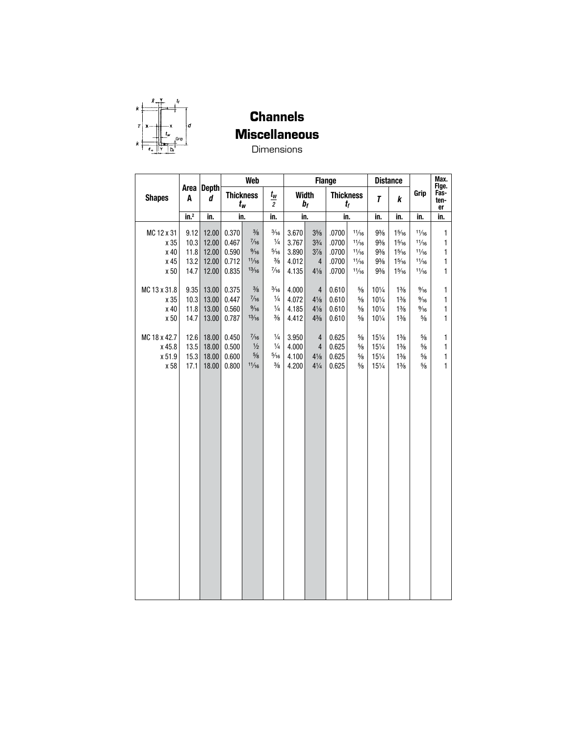

**Channels Miscellaneous** 

**Dimensions** 

|               |                  |                 |       | Web                       |                                    |       |                       | <b>Flange</b>    |               |                 | <b>Distance</b> |                | Max.<br>Fige.      |
|---------------|------------------|-----------------|-------|---------------------------|------------------------------------|-------|-----------------------|------------------|---------------|-----------------|-----------------|----------------|--------------------|
| <b>Shapes</b> | A                | Area Depth<br>d |       | <b>Thickness</b><br>$t_w$ | $t_{\mathsf{w}}$<br>$\overline{c}$ |       | <b>Width</b><br>$b_f$ | <b>Thickness</b> | $t_{\it f}$   | T               | k               | Grip           | Fas-<br>ten-<br>er |
|               | in. <sup>2</sup> | in.             |       | in.                       | in.                                |       | in.                   | in.              |               | in.             | in.             | in.            | in.                |
| MC 12 x 31    | 9.12             | 12.00           | 0.370 | $\frac{3}{8}$             | $\frac{3}{16}$                     | 3.670 | $3\frac{5}{8}$        | .0700            | 11/16         | $9\frac{3}{8}$  | $1\frac{5}{16}$ | 11/16          | 1                  |
| x 35          | 10.3             | 12.00           | 0.467 | $\frac{7}{16}$            | $\frac{1}{4}$                      | 3.767 | $3\frac{3}{4}$        | .0700            | 11/16         | $9\frac{3}{8}$  | $1\frac{5}{16}$ | 11/16          | 1                  |
| x 40          | 11.8             | 12.00           | 0.590 | $\frac{9}{16}$            | $\frac{5}{16}$                     | 3.890 | $3\frac{7}{8}$        | .0700            | 11/16         | $9\frac{3}{8}$  | $1\frac{5}{16}$ | 11/16          | 1                  |
| x 45          | 13.2             | 12.00           | 0.712 | 11/16                     | $\frac{3}{8}$                      | 4.012 | $\overline{4}$        | .0700            | 11/16         | $9\frac{3}{8}$  | $1\frac{5}{16}$ | 11/16          | 1                  |
| x 50          | 14.7             | 12.00           | 0.835 | 13/16                     | $\frac{7}{16}$                     | 4.135 | $4\frac{1}{8}$        | .0700            | 11/16         | $9\frac{3}{8}$  | $1\frac{5}{16}$ | 11/16          | 1                  |
| MC 13 x 31.8  | 9.35             | 13.00           | 0.375 | $\frac{3}{8}$             | $\frac{3}{16}$                     | 4.000 | $\overline{4}$        | 0.610            | $\frac{5}{8}$ | 101/4           | $1\frac{3}{8}$  | $\frac{9}{16}$ | 1                  |
| x 35          | 10.3             | 13.00           | 0.447 | $\frac{7}{16}$            | $\frac{1}{4}$                      | 4.072 | $4\frac{1}{8}$        | 0.610            | $5\!/\!_8$    | 101/4           | $1\frac{3}{8}$  | $\frac{9}{16}$ | 1                  |
| x 40          | 11.8             | 13.00           | 0.560 | $\frac{9}{16}$            | $\frac{1}{4}$                      | 4.185 | $4\frac{1}{8}$        | 0.610            | $\frac{5}{8}$ | 101/4           | $1\frac{3}{8}$  | $\frac{9}{16}$ | 1                  |
| x 50          | 14.7             | 13.00           | 0.787 | 13/16                     | $\frac{3}{8}$                      | 4.412 | $4\frac{3}{8}$        | 0.610            | $5\!/\!_8$    | 101/4           | $1\frac{3}{8}$  | $\frac{5}{8}$  | $\mathbf{1}$       |
| MC 18 x 42.7  | 12.6             | 18.00           | 0.450 | $\frac{7}{16}$            | $\frac{1}{4}$                      | 3.950 | $\overline{4}$        | 0.625            | $\frac{5}{8}$ | $15\frac{1}{4}$ | $1\frac{3}{8}$  | $\frac{5}{8}$  | $\mathbf{1}$       |
| x 45.8        | 13.5             | 18.00           | 0.500 | $\frac{1}{2}$             | $\frac{1}{4}$                      | 4.000 | 4                     | 0.625            | $\frac{5}{8}$ | $15\frac{1}{4}$ | $1\frac{3}{8}$  | $\frac{5}{8}$  | 1                  |
| x 51.9        | 15.3             | 18.00           | 0.600 | $\frac{5}{8}$             | $\frac{5}{16}$                     | 4.100 | $4\frac{1}{8}$        | 0.625            | $\frac{5}{8}$ | $15\frac{1}{4}$ | $1\frac{3}{8}$  | $\frac{5}{8}$  | 1                  |
| x 58          | 17.1             | 18.00           | 0.800 | 11/16                     | $\frac{3}{8}$                      | 4.200 | $4\frac{1}{4}$        | 0.625            | $5\!/\!_8$    | 151/4           | $1\frac{3}{8}$  | $\frac{5}{8}$  | $\mathbf{1}$       |
|               |                  |                 |       |                           |                                    |       |                       |                  |               |                 |                 |                |                    |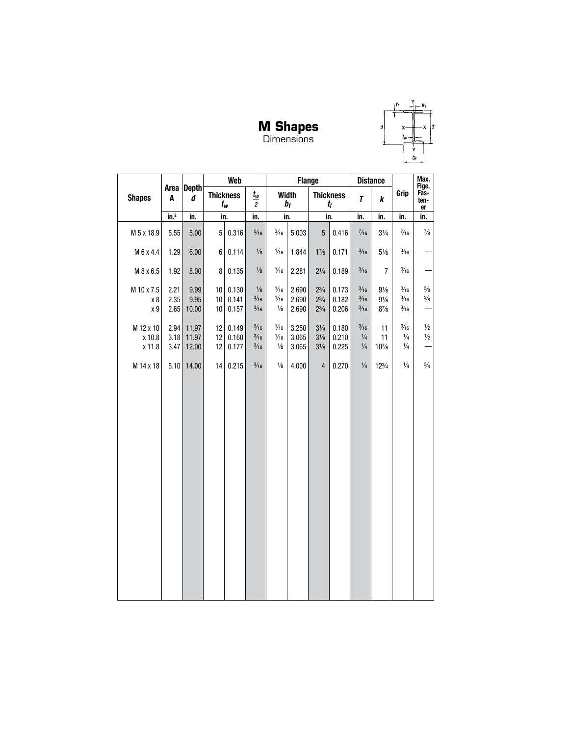

**M Shapes**<br>Dimensions

|                               |                      |                         |                | <b>Web</b>                |                                                    |                                                   | <b>Flange</b>           |                                                    |                                 |                                                    | <b>Distance</b>                                    |                                                    | Max.                           |
|-------------------------------|----------------------|-------------------------|----------------|---------------------------|----------------------------------------------------|---------------------------------------------------|-------------------------|----------------------------------------------------|---------------------------------|----------------------------------------------------|----------------------------------------------------|----------------------------------------------------|--------------------------------|
| <b>Shapes</b>                 | A                    | Area Depth<br>d         |                | <b>Thickness</b><br>$t_w$ | $t_{\scriptscriptstyle W}$<br>$\overline{2}$       |                                                   | <b>Width</b><br>$b_f$   |                                                    | <b>Thickness</b><br>$t_{\rm f}$ | T                                                  | k                                                  | Grip                                               | Fige.<br>Fas-<br>ten-<br>er    |
|                               | in. <sup>2</sup>     | in.                     | in.            |                           | in.                                                |                                                   | in.                     |                                                    | in.                             | in.                                                | in.                                                | in.                                                | in.                            |
| M 5 x 18.9                    | 5.55                 | 5.00                    | 5              | 0.316                     | $\frac{5}{16}$                                     | $\frac{3}{16}$                                    | 5.003                   | $\overline{5}$                                     | 0.416                           | $\frac{7}{16}$                                     | $3\frac{1}{4}$                                     | $\frac{7}{16}$                                     | $\frac{7}{8}$                  |
| M 6 x 4.4                     | 1.29                 | 6.00                    | 6              | 0.114                     | $\frac{1}{8}$                                      | 1/16                                              | 1.844                   | $1\frac{7}{8}$                                     | 0.171                           | $\frac{3}{16}$                                     | $5\frac{1}{8}$                                     | $\frac{3}{16}$                                     |                                |
| M 8 x 6.5                     | 1.92                 | 8.00                    | 8              | 0.135                     | $\frac{1}{8}$                                      | $\frac{1}{16}$                                    | 2.281                   | $2\frac{1}{4}$                                     | 0.189                           | $\frac{3}{16}$                                     | $\overline{7}$                                     | $\frac{3}{16}$                                     |                                |
| M 10 x 7.5<br>x 8<br>x 9      | 2.21<br>2.35<br>2.65 | 9.99<br>9.95<br>10.00   | 10<br>10<br>10 | 0.130<br>0.141<br>0.157   | $\frac{1}{8}$<br>$\frac{3}{16}$<br>$\frac{3}{16}$  | 1/16<br>$\frac{1}{16}$<br>$\frac{1}{8}$           | 2.690<br>2.690<br>2.690 | $2^{3/4}$<br>$2\frac{3}{4}$<br>$2\frac{3}{4}$      | 0.173<br>0.182<br>0.206         | $\frac{3}{16}$<br>$\frac{3}{16}$<br>$\frac{3}{16}$ | $9\frac{1}{8}$<br>$9\frac{1}{8}$<br>$8\frac{7}{8}$ | $\frac{3}{16}$<br>$\frac{3}{16}$<br>$\frac{3}{16}$ | $\frac{3}{8}$<br>$\frac{3}{8}$ |
| M 12 x 10<br>x 10.8<br>x 11.8 | 2.94<br>3.18<br>3.47 | 11.97<br>11.97<br>12.00 | 12<br>12<br>12 | 0.149<br>0.160<br>0.177   | $\frac{3}{16}$<br>$\frac{3}{16}$<br>$\frac{3}{16}$ | $\frac{1}{16}$<br>$\frac{1}{16}$<br>$\frac{1}{8}$ | 3.250<br>3.065<br>3.065 | $3\frac{1}{4}$<br>$3\frac{1}{8}$<br>$3\frac{1}{8}$ | 0.180<br>0.210<br>0.225         | $\frac{3}{16}$<br>$\frac{1}{4}$<br>$\frac{1}{4}$   | 11<br>11<br>$10\%$                                 | $\frac{3}{16}$<br>$\frac{1}{4}$<br>$\frac{1}{4}$   | $\frac{1}{2}$<br>$\frac{1}{2}$ |
| M 14 x 18                     | 5.10                 | 14.00                   | 14             | 0.215                     | $\frac{3}{16}$                                     | $\frac{1}{8}$                                     | 4.000                   | $\overline{4}$                                     | 0.270                           | $\frac{1}{4}$                                      | 12%                                                | $\frac{1}{4}$                                      | $\frac{3}{4}$                  |
|                               |                      |                         |                |                           |                                                    |                                                   |                         |                                                    |                                 |                                                    |                                                    |                                                    |                                |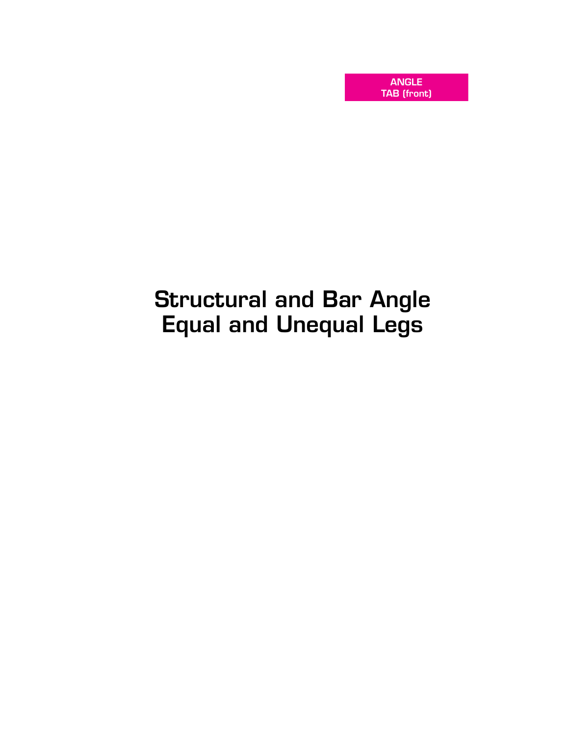ANGLE TAB (front)

# Structural and Bar Angle Equal and Unequal Legs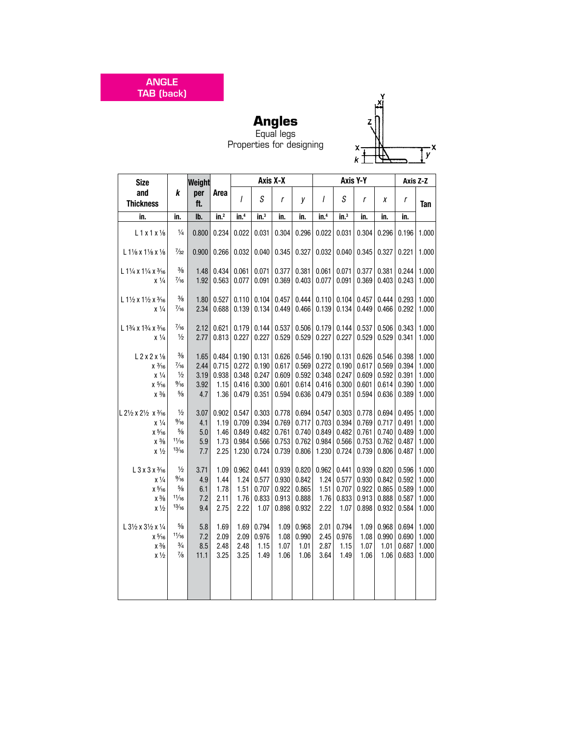ANGLE TAB (back)

# $\overline{z}$  $\overline{y}^{\mathsf{x}}$  $\frac{x}{k}$

**Angles** Equal legs Properties for designing

| <b>Size</b>                                      |                | Weight     |                  |                  |                 | Axis X-X |       |                  |                  | Axis Y-Y     |       |       | Axis Z-Z |
|--------------------------------------------------|----------------|------------|------------------|------------------|-----------------|----------|-------|------------------|------------------|--------------|-------|-------|----------|
| and<br><b>Thickness</b>                          | k              | per<br>ft. | Area             | $\overline{I}$   | S               | r        | V     | $\prime$         | S                | $\mathsf{r}$ | Χ     | r     | Tan      |
| in.                                              | in.            | lb.        | in. <sup>2</sup> | in. <sup>4</sup> | $\mathsf{in}^3$ | in.      | in.   | in. <sup>4</sup> | in. <sup>3</sup> | in.          | in.   | in.   |          |
| $L1x1x\frac{1}{8}$                               | $\frac{1}{4}$  | 0.800      | 0.234            | 0.022            | 0.031           | 0.304    | 0.296 | 0.022            | 0.031            | 0.304        | 0.296 | 0.196 | 1.000    |
| $L1\frac{1}{8}$ x $1\frac{1}{8}$ x $\frac{1}{8}$ | $\frac{7}{32}$ | 0.900      | 0.266            | 0.032            | 0.040           | 0.345    | 0.327 | 0.032            | 0.040            | 0.345        | 0.327 | 0.221 | 1.000    |
| $L$ 11/4 x 11/4 x 3/16                           | $\frac{3}{8}$  | 1.48       | 0.434            | 0.061            | 0.071           | 0.377    | 0.381 | 0.061            | 0.071            | 0.377        | 0.381 | 0.244 | 1.000    |
| x 1/4                                            | $\frac{7}{16}$ | 1.92       | 0.563            | 0.077            | 0.091           | 0.369    | 0.403 | 0.077            | 0.091            | 0.369        | 0.403 | 0.243 | 1.000    |
| L 11/2 x 11/2 x 3/16                             | $\frac{3}{8}$  | 1.80       | 0.527            | 0.110            | 0.104           | 0.457    | 0.444 | 0.110            | 0.104            | 0.457        | 0.444 | 0.293 | 1.000    |
| $x\frac{1}{4}$                                   | $\frac{7}{16}$ | 2.34       | 0.688            | 0.139            | 0.134           | 0.449    | 0.466 | 0.139            | 0.134            | 0.449        | 0.466 | 0.292 | 1.000    |
| L 13/4 x 13/4 x 3/16                             | $\frac{7}{16}$ | 2.12       | 0.621            | 0.179            | 0.144           | 0.537    | 0.506 | 0.179            | 0.144            | 0.537        | 0.506 | 0.343 | 1.000    |
| $x\frac{1}{4}$                                   | $\frac{1}{2}$  | 2.77       | 0.813            | 0.227            | 0.227           | 0.529    | 0.529 | 0.227            | 0.227            | 0.529        | 0.529 | 0.341 | 1.000    |
| $L$ 2 x 2 x 1/8                                  | $\frac{3}{8}$  | 1.65       | 0.484            | 0.190            | 0.131           | 0.626    | 0.546 | 0.190            | 0.131            | 0.626        | 0.546 | 0.398 | 1.000    |
| $x\frac{3}{16}$                                  | $\frac{7}{16}$ | 2.44       | 0.715            | 0.272            | 0.190           | 0.617    | 0.569 | 0.272            | 0.190            | 0.617        | 0.569 | 0.394 | 1.000    |
| $x\frac{1}{4}$                                   | $\frac{1}{2}$  | 3.19       | 0.938            | 0.348            | 0.247           | 0.609    | 0.592 | 0.348            | 0.247            | 0.609        | 0.592 | 0.391 | 1.000    |
| $x\frac{5}{16}$                                  | $\frac{9}{16}$ | 3.92       | 1.15             | 0.416            | 0.300           | 0.601    | 0.614 | 0.416            | 0.300            | 0.601        | 0.614 | 0.390 | 1.000    |
| $x\frac{3}{8}$                                   | $\frac{5}{8}$  | 4.7        | 1.36             | 0.479            | 0.351           | 0.594    | 0.636 | 0.479            | 0.351            | 0.594        | 0.636 | 0.389 | 1.000    |
| L 21/2 x 21/2 x 3/16                             | $\frac{1}{2}$  | 3.07       | 0.902            | 0.547            | 0.303           | 0.778    | 0.694 | 0.547            | 0.303            | 0.778        | 0.694 | 0.495 | 1.000    |
| $x\frac{1}{4}$                                   | $\frac{9}{16}$ | 4.1        | 1.19             | 0.709            | 0.394           | 0.769    | 0.717 | 0.703            | 0.394            | 0.769        | 0.717 | 0.491 | 1.000    |
| $x\frac{5}{16}$                                  | $\frac{5}{8}$  | 5.0        | 1.46             | 0.849            | 0.482           | 0.761    | 0.740 | 0.849            | 0.482            | 0.761        | 0.740 | 0.489 | 1.000    |
| $x\frac{3}{8}$                                   | 11/16          | 5.9        | 1.73             | 0.984            | 0.566           | 0.753    | 0.762 | 0.984            | 0.566            | 0.753        | 0.762 | 0.487 | 1.000    |
| $x\frac{1}{2}$                                   | 13/16          | 7.7        | 2.25             | 1.230            | 0.724           | 0.739    | 0.806 | 1.230            | 0.724            | 0.739        | 0.806 | 0.487 | 1.000    |
| L 3 x 3 x 3/16                                   | $\frac{1}{2}$  | 3.71       | 1.09             | 0.962            | 0.441           | 0.939    | 0.820 | 0.962            | 0.441            | 0.939        | 0.820 | 0.596 | 1.000    |
| $x\frac{1}{4}$                                   | $\frac{9}{16}$ | 4.9        | 1.44             | 1.24             | 0.577           | 0.930    | 0.842 | 1.24             | 0.577            | 0.930        | 0.842 | 0.592 | 1.000    |
| $x\frac{5}{16}$                                  | $\frac{5}{8}$  | 6.1        | 1.78             | 1.51             | 0.707           | 0.922    | 0.865 | 1.51             | 0.707            | 0.922        | 0.865 | 0.589 | 1.000    |
| $x\frac{3}{8}$                                   | 11/16          | 7.2        | 2.11             | 1.76             | 0.833           | 0.913    | 0.888 | 1.76             | 0.833            | 0.913        | 0.888 | 0.587 | 1.000    |
| $x\frac{1}{2}$                                   | 13/16          | 9.4        | 2.75             | 2.22             | 1.07            | 0.898    | 0.932 | 2.22             | 1.07             | 0.898        | 0.932 | 0.584 | 1.000    |
| L 31/2 x 31/2 x 1/4                              | $\frac{5}{8}$  | 5.8        | 1.69             | 1.69             | 0.794           | 1.09     | 0.968 | 2.01             | 0.794            | 1.09         | 0.968 | 0.694 | 1.000    |
| $x\frac{5}{16}$                                  | 11/16          | 7.2        | 2.09             | 2.09             | 0.976           | 1.08     | 0.990 | 2.45             | 0.976            | 1.08         | 0.990 | 0.690 | 1.000    |
| $x\frac{3}{8}$                                   | $\frac{3}{4}$  | 8.5        | 2.48             | 2.48             | 1.15            | 1.07     | 1.01  | 2.87             | 1.15             | 1.07         | 1.01  | 0.687 | 1.000    |
| $x\frac{1}{2}$                                   | $\frac{7}{8}$  | 11.1       | 3.25             | 3.25             | 1.49            | 1.06     | 1.06  | 3.64             | 1.49             | 1.06         | 1.06  | 0.683 | 1.000    |
|                                                  |                |            |                  |                  |                 |          |       |                  |                  |              |       |       |          |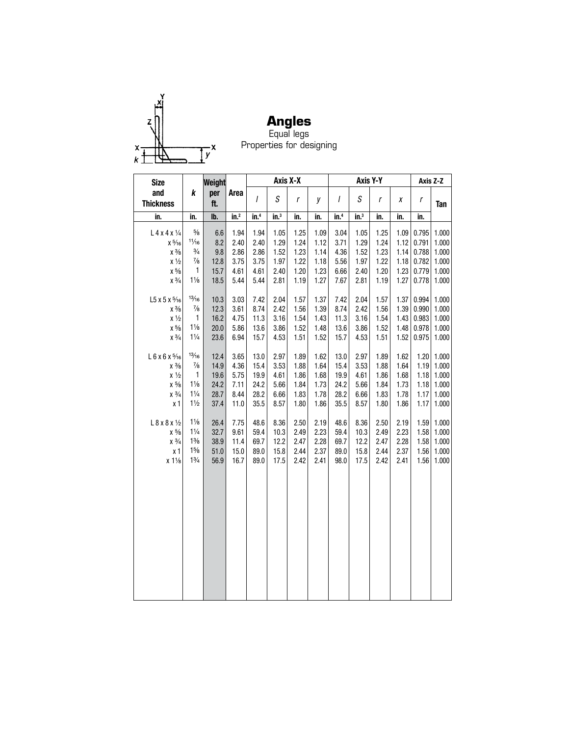

**Angles** Equal legs Properties for designing

| <b>Size</b>               |                | Weight     |                  |                  | Axis X-X        |      |      |                  |         | Axis Y-Y |      |                  | Axis Z-Z |
|---------------------------|----------------|------------|------------------|------------------|-----------------|------|------|------------------|---------|----------|------|------------------|----------|
| and<br><b>Thickness</b>   | k              | per<br>ft. | Area             | $\overline{I}$   | S               | r    | у    | I                | S       | r        | X    | $\boldsymbol{r}$ | Tan      |
| in.                       | in.            | lb.        | in. <sup>2</sup> | in. <sup>4</sup> | $\mathsf{in}^3$ | in.  | in.  | in. <sup>4</sup> | $in.^3$ | in.      | in.  | in.              |          |
| $L$ 4 x 4 x $\frac{1}{4}$ | $5\!/\!_8$     | 6.6        | 1.94             | 1.94             | 1.05            | 1.25 | 1.09 | 3.04             | 1.05    | 1.25     | 1.09 | 0.795            | 1.000    |
| $x\frac{5}{16}$           | 11/16          | 8.2        | 2.40             | 2.40             | 1.29            | 1.24 | 1.12 | 3.71             | 1.29    | 1.24     | 1.12 | 0.791            | 1.000    |
| $\chi$ $\frac{3}{8}$      | $\frac{3}{4}$  | 9.8        | 2.86             | 2.86             | 1.52            | 1.23 | 1.14 | 4.36             | 1.52    | 1.23     | 1.14 | 0.788            | 1.000    |
| $x\frac{1}{2}$            | $\frac{7}{8}$  | 12.8       | 3.75             | 3.75             | 1.97            | 1.22 | 1.18 | 5.56             | 1.97    | 1.22     | 1.18 | 0.782            | 1.000    |
| $\chi$ $^{5}\!\!/\!\!s$   | 1              | 15.7       | 4.61             | 4.61             | 2.40            | 1.20 | 1.23 | 6.66             | 2.40    | 1.20     | 1.23 | 0.779            | 1.000    |
| $\chi$ $3\!/\!$           | $1\frac{1}{8}$ | 18.5       | 5.44             | 5.44             | 2.81            | 1.19 | 1.27 | 7.67             | 2.81    | 1.19     | 1.27 | 0.778            | 1.000    |
| L5 x 5 x 5/16             | 13/16          | 10.3       | 3.03             | 7.42             | 2.04            | 1.57 | 1.37 | 7.42             | 2.04    | 1.57     | 1.37 | 0.994            | 1.000    |
| $\chi$ $\frac{3}{8}$      | $\frac{7}{8}$  | 12.3       | 3.61             | 8.74             | 2.42            | 1.56 | 1.39 | 8.74             | 2.42    | 1.56     | 1.39 | 0.990            | 1.000    |
| $x\frac{1}{2}$            | $\mathbf{1}$   | 16.2       | 4.75             | 11.3             | 3.16            | 1.54 | 1.43 | 11.3             | 3.16    | 1.54     | 1.43 | 0.983            | 1.000    |
| $\chi$ $^{5}\!\!/\!\!s$   | $1\frac{1}{8}$ | 20.0       | 5.86             | 13.6             | 3.86            | 1.52 | 1.48 | 13.6             | 3.86    | 1.52     | 1.48 | 0.978            | 1.000    |
| $\chi$ $3\!/\!$           | $1\frac{1}{4}$ | 23.6       | 6.94             | 15.7             | 4.53            | 1.51 | 1.52 | 15.7             | 4.53    | 1.51     | 1.52 | 0.975            | 1.000    |
| L 6 x 6 x 5/16            | 13/16          | 12.4       | 3.65             | 13.0             | 2.97            | 1.89 | 1.62 | 13.0             | 2.97    | 1.89     | 1.62 | 1.20             | 1.000    |
| $x\frac{3}{8}$            | $\frac{7}{8}$  | 14.9       | 4.36             | 15.4             | 3.53            | 1.88 | 1.64 | 15.4             | 3.53    | 1.88     | 1.64 | 1.19             | 1.000    |
| $x\frac{1}{2}$            | $\mathbf{1}$   | 19.6       | 5.75             | 19.9             | 4.61            | 1.86 | 1.68 | 19.9             | 4.61    | 1.86     | 1.68 | 1.18             | 1.000    |
| $x\frac{5}{8}$            | $1\frac{1}{8}$ | 24.2       | 7.11             | 24.2             | 5.66            | 1.84 | 1.73 | 24.2             | 5.66    | 1.84     | 1.73 | 1.18             | 1.000    |
| $x\frac{3}{4}$            | $1\frac{1}{4}$ | 28.7       | 8.44             | 28.2             | 6.66            | 1.83 | 1.78 | 28.2             | 6.66    | 1.83     | 1.78 | 1.17             | 1.000    |
| x <sub>1</sub>            | $1\frac{1}{2}$ | 37.4       | 11.0             | 35.5             | 8.57            | 1.80 | 1.86 | 35.5             | 8.57    | 1.80     | 1.86 | 1.17             | 1.000    |
| L 8 x 8 x 1/2             | $1\frac{1}{8}$ | 26.4       | 7.75             | 48.6             | 8.36            | 2.50 | 2.19 | 48.6             | 8.36    | 2.50     | 2.19 | 1.59             | 1.000    |
| $x\frac{5}{8}$            | $1\frac{1}{4}$ | 32.7       | 9.61             | 59.4             | 10.3            | 2.49 | 2.23 | 59.4             | 10.3    | 2.49     | 2.23 | 1.58             | 1.000    |
| $x \frac{3}{4}$           | $1\frac{3}{8}$ | 38.9       | 11.4             | 69.7             | 12.2            | 2.47 | 2.28 | 69.7             | 12.2    | 2.47     | 2.28 | 1.58             | 1.000    |
| x <sub>1</sub>            | $1\frac{5}{8}$ | 51.0       | 15.0             | 89.0             | 15.8            | 2.44 | 2.37 | 89.0             | 15.8    | 2.44     | 2.37 | 1.56             | 1.000    |
| $x 1\frac{1}{8}$          | $1\frac{3}{4}$ | 56.9       | 16.7             | 89.0             | 17.5            | 2.42 | 2.41 | 98.0             | 17.5    | 2.42     | 2.41 | 1.56             | 1.000    |
|                           |                |            |                  |                  |                 |      |      |                  |         |          |      |                  |          |
|                           |                |            |                  |                  |                 |      |      |                  |         |          |      |                  |          |
|                           |                |            |                  |                  |                 |      |      |                  |         |          |      |                  |          |
|                           |                |            |                  |                  |                 |      |      |                  |         |          |      |                  |          |
|                           |                |            |                  |                  |                 |      |      |                  |         |          |      |                  |          |
|                           |                |            |                  |                  |                 |      |      |                  |         |          |      |                  |          |
|                           |                |            |                  |                  |                 |      |      |                  |         |          |      |                  |          |
|                           |                |            |                  |                  |                 |      |      |                  |         |          |      |                  |          |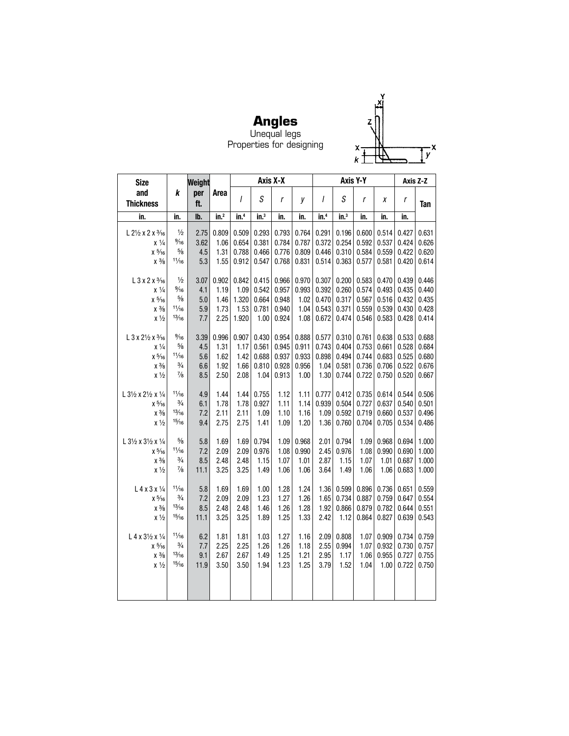

**Angles** Unequal legs Properties for designing

| <b>Size</b>                                       |                        | Weight     |                  |                  |                  | Axis X-X     |              |                  |                  | Axis Y-Y       |                |                | Axis Z-Z       |
|---------------------------------------------------|------------------------|------------|------------------|------------------|------------------|--------------|--------------|------------------|------------------|----------------|----------------|----------------|----------------|
| and<br><b>Thickness</b>                           | k                      | per<br>ft. | Area             | $\overline{I}$   | S                | r            | у            | I                | S                | $\mathsf{r}$   | χ              | r              | Tan            |
| in.                                               | in.                    | lb.        | in. <sup>2</sup> | in. <sup>4</sup> | in. <sup>3</sup> | in.          | in.          | in. <sup>4</sup> | in. <sup>3</sup> | in.            | in.            | in.            |                |
| $L 2\frac{1}{2}$ x 2 x $\frac{3}{16}$             | $\frac{1}{2}$          | 2.75       | 0.809            | 0.509            | 0.293            | 0.793        | 0.764        | 0.291            | 0.196            | 0.600          | 0.514          | 0.427          | 0.631          |
| $x\frac{1}{4}$                                    | $\frac{9}{16}$         | 3.62       | 1.06             | 0.654            | 0.381            | 0.784        | 0.787        | 0.372            | 0.254            | 0.592          | 0.537          | 0.424          | 0.626          |
| $x\frac{5}{16}$                                   | $\frac{5}{8}$          | 4.5        | 1.31             | 0.788            | 0.466            | 0.776        | 0.809        | 0.446            | 0.310            | 0.584          | 0.559          | 0.422          | 0.620          |
| $x\frac{3}{8}$                                    | 11/16                  | 5.3        | 1.55             | 0.912            | 0.547            | 0.768        | 0.831        | 0.514            | 0.363            | 0.577          | 0.581          | 0.420          | 0.614          |
|                                                   |                        |            |                  |                  |                  |              |              |                  |                  |                |                |                |                |
| $L$ 3 x 2 x $\frac{3}{16}$                        | $\frac{1}{2}$          | 3.07       | 0.902            | 0.842            | 0.415            | 0.966        | 0.970        | 0.307            | 0.200            | 0.583          | 0.470          | 0.439          | 0.446          |
| $x\frac{1}{4}$                                    | $\frac{9}{16}$         | 4.1        | 1.19             | 1.09             | 0.542            | 0.957        | 0.993        | 0.392            | 0.260            | 0.574          | 0.493          | 0.435          | 0.440          |
| $x\frac{5}{16}$                                   | $\frac{5}{8}$          | 5.0        | 1.46             | 1.320            | 0.664            | 0.948        | 1.02         | 0.470            | 0.317            | 0.567          | 0.516          | 0.432          | 0.435          |
| $x\frac{3}{8}$                                    | 11/16<br>13/16         | 5.9        | 1.73             | 1.53             | 0.781            | 0.940        | 1.04         | 0.543            | 0.371            | 0.559          | 0.539          | 0.430          | 0.428          |
| $x\frac{1}{2}$                                    |                        | 7.7        | 2.25             | 1.920            | 1.00             | 0.924        | 1.08         | 0.672            | 0.474            | 0.546          | 0.583          | 0.428          | 0.414          |
| L 3 x 21/2 x 3/16                                 | $\frac{9}{16}$         | 3.39       | 0.996            | 0.907            | 0.430            | 0.954        | 0.888        | 0.577            | 0.310            | 0.761          | 0.638          | 0.533          | 0.688          |
| $x\frac{1}{4}$                                    | $\frac{5}{8}$          | 4.5        | 1.31             | 1.17             | 0.561            | 0.945        | 0.911        | 0.743            | 0.404            | 0.753          | 0.661          | 0.528          | 0.684          |
| $x\frac{5}{16}$                                   | 11/16                  | 5.6        | 1.62             | 1.42             | 0.688            | 0.937        | 0.933        | 0.898            | 0.494            | 0.744          | 0.683          | 0.525          | 0.680          |
| $\chi$ $\frac{3}{8}$                              | $\frac{3}{4}$          | 6.6        | 1.92             | 1.66             | 0.810            | 0.928        | 0.956        | 1.04             | 0.581            | 0.736          | 0.706          | 0.522          | 0.676          |
| $x\frac{1}{2}$                                    | $\frac{7}{8}$          | 8.5        | 2.50             | 2.08             | 1.04             | 0.913        | 1.00         | 1.30             | 0.744            | 0.722          | 0.750          | 0.520          | 0.667          |
|                                                   |                        |            |                  |                  |                  |              |              |                  |                  |                |                |                |                |
| L 31/2 x 21/2 x 1/4                               | 11/16<br>$\frac{3}{4}$ | 4.9        | 1.44             | 1.44             | 0.755<br>0.927   | 1.12<br>1.11 | 1.11<br>1.14 | 0.777<br>0.939   | 0.412<br>0.504   | 0.735<br>0.727 | 0.614<br>0.637 | 0.544<br>0.540 | 0.506          |
| $x\frac{5}{16}$<br>$x\frac{3}{8}$                 | 13/16                  | 6.1<br>7.2 | 1.78<br>2.11     | 1.78<br>2.11     | 1.09             | 1.10         | 1.16         | 1.09             | 0.592            | 0.719          | 0.660          | 0.537          | 0.501<br>0.496 |
| $x\frac{1}{2}$                                    | 15/16                  | 9.4        | 2.75             | 2.75             | 1.41             | 1.09         | 1.20         | 1.36             | 0.760            | 0.704          | 0.705          | 0.534          | 0.486          |
|                                                   |                        |            |                  |                  |                  |              |              |                  |                  |                |                |                |                |
| L $3\frac{1}{2}$ x $3\frac{1}{2}$ x $\frac{1}{4}$ | $\frac{5}{8}$          | 5.8        | 1.69             | 1.69             | 0.794            | 1.09         | 0.968        | 2.01             | 0.794            | 1.09           | 0.968          | 0.694          | 1.000          |
| $x\frac{5}{16}$                                   | 11/16                  | 7.2        | 2.09             | 2.09             | 0.976            | 1.08         | 0.990        | 2.45             | 0.976            | 1.08           | 0.990          | 0.690          | 1.000          |
| $x\frac{3}{8}$                                    | $\frac{3}{4}$          | 8.5        | 2.48             | 2.48             | 1.15             | 1.07         | 1.01         | 2.87             | 1.15             | 1.07           | 1.01           | 0.687          | 1.000          |
| $x\frac{1}{2}$                                    | $\frac{7}{8}$          | 11.1       | 3.25             | 3.25             | 1.49             | 1.06         | 1.06         | 3.64             | 1.49             | 1.06           | 1.06           | 0.683          | 1.000          |
|                                                   | 11/16                  |            |                  |                  |                  |              |              |                  |                  |                |                |                |                |
| L 4 x 3 x 1/4<br>$x\frac{5}{16}$                  | $\frac{3}{4}$          | 5.8<br>7.2 | 1.69<br>2.09     | 1.69<br>2.09     | 1.00<br>1.23     | 1.28<br>1.27 | 1.24<br>1.26 | 1.36<br>1.65     | 0.599<br>0.734   | 0.896<br>0.887 | 0.736<br>0.759 | 0.651<br>0.647 | 0.559<br>0.554 |
| $x\frac{3}{8}$                                    | 13/16                  | 8.5        | 2.48             | 2.48             | 1.46             | 1.26         | 1.28         | 1.92             | 0.866            | 0.879          | 0.782          | 0.644          | 0.551          |
| $x\frac{1}{2}$                                    | 15/16                  | 11.1       | 3.25             | 3.25             | 1.89             | 1.25         | 1.33         | 2.42             | 1.12             | 0.864          | 0.827          | 0.639          | 0.543          |
|                                                   |                        |            |                  |                  |                  |              |              |                  |                  |                |                |                |                |
| $L 4 x 3\frac{1}{2} x \frac{1}{4}$                | 11/16                  | 6.2        | 1.81             | 1.81             | 1.03             | 1.27         | 1.16         | 2.09             | 0.808            | 1.07           | 0.909          | 0.734          | 0.759          |
| $x\frac{5}{16}$                                   | $\frac{3}{4}$          | 7.7        | 2.25             | 2.25             | 1.26             | 1.26         | 1.18         | 2.55             | 0.994            | 1.07           | 0.932          | 0.730          | 0.757          |
| $\chi~3\!/\!s$                                    | 13/16                  | 9.1        | 2.67             | 2.67             | 1.49             | 1.25         | 1.21         | 2.95             | 1.17             | 1.06           | 0.955          | 0.727          | 0.755          |
| $x\frac{1}{2}$                                    | 15/16                  | 11.9       | 3.50             | 3.50             | 1.94             | 1.23         | 1.25         | 3.79             | 1.52             | 1.04           | 1.00           | 0.722          | 0.750          |
|                                                   |                        |            |                  |                  |                  |              |              |                  |                  |                |                |                |                |
|                                                   |                        |            |                  |                  |                  |              |              |                  |                  |                |                |                |                |
|                                                   |                        |            |                  |                  |                  |              |              |                  |                  |                |                |                |                |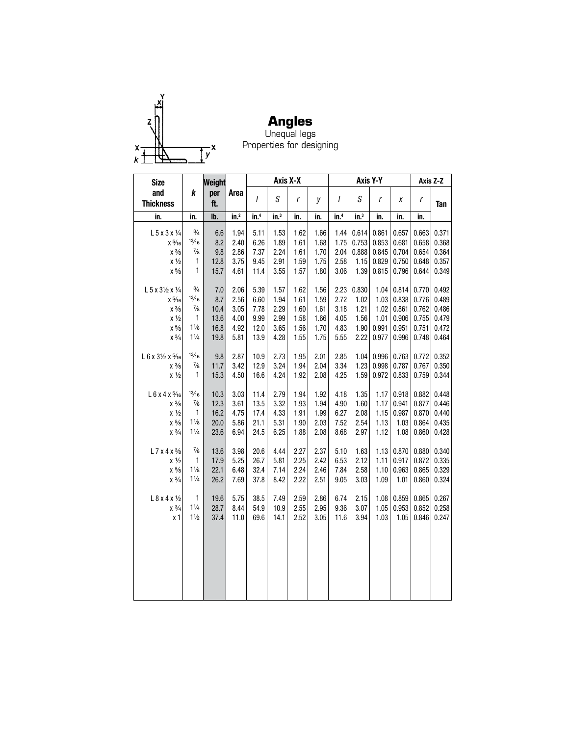

**Angles** Unequal legs Properties for designing

| <b>Size</b>                          |                | Weight     |                  |                 | Axis X-X        |      |      |                  |                  | Axis Y-Y |       |       | Axis Z-Z   |
|--------------------------------------|----------------|------------|------------------|-----------------|-----------------|------|------|------------------|------------------|----------|-------|-------|------------|
| and<br><b>Thickness</b>              | k              | per<br>ft. | Area             | $\overline{I}$  | S               | r    | y    | I                | S                | r        | X     | r     | <b>Tan</b> |
| in.                                  | in.            | Ib.        | in. <sup>2</sup> | in <sup>4</sup> | $\mathsf{in}^3$ | in.  | in.  | in. <sup>4</sup> | $\mathsf{in.}^3$ | in.      | in.   | in.   |            |
| $L$ 5 x 3 x $\frac{1}{4}$            | $\frac{3}{4}$  | 6.6        | 1.94             | 5.11            | 1.53            | 1.62 | 1.66 | 1.44             | 0.614            | 0.861    | 0.657 | 0.663 | 0.371      |
| $x\frac{5}{16}$                      | 13/16          | 8.2        | 2.40             | 6.26            | 1.89            | 1.61 | 1.68 | 1.75             | 0.753            | 0.853    | 0.681 | 0.658 | 0.368      |
| $x\frac{3}{8}$                       | $\frac{7}{8}$  | 9.8        | 2.86             | 7.37            | 2.24            | 1.61 | 1.70 | 2.04             | 0.888            | 0.845    | 0.704 | 0.654 | 0.364      |
| $x\frac{1}{2}$                       | 1              | 12.8       | 3.75             | 9.45            | 2.91            | 1.59 | 1.75 | 2.58             | 1.15             | 0.829    | 0.750 | 0.648 | 0.357      |
| $\times$ $^{5}\!\!/\!\!{}_{8}$       | $\mathbf{1}$   | 15.7       | 4.61             | 11.4            | 3.55            | 1.57 | 1.80 | 3.06             | 1.39             | 0.815    | 0.796 | 0.644 | 0.349      |
| L 5 x 31/2 x 1/4                     | $\frac{3}{4}$  | 7.0        | 2.06             | 5.39            | 1.57            | 1.62 | 1.56 | 2.23             | 0.830            | 1.04     | 0.814 | 0.770 | 0.492      |
| $\chi$ $^{5}\!\!/\!\!\!\!\gamma_6$   | 13/16          | 8.7        | 2.56             | 6.60            | 1.94            | 1.61 | 1.59 | 2.72             | 1.02             | 1.03     | 0.838 | 0.776 | 0.489      |
| $\chi$ $\frac{3}{8}$                 | $\frac{7}{8}$  | 10.4       | 3.05             | 7.78            | 2.29            | 1.60 | 1.61 | 3.18             | 1.21             | 1.02     | 0.861 | 0.762 | 0.486      |
| $x\frac{1}{2}$                       | 1              | 13.6       | 4.00             | 9.99            | 2.99            | 1.58 | 1.66 | 4.05             | 1.56             | 1.01     | 0.906 | 0.755 | 0.479      |
| $\times$ $^{5}\!\!/\!\!{}_{8}$       | $1\frac{1}{8}$ | 16.8       | 4.92             | 12.0            | 3.65            | 1.56 | 1.70 | 4.83             | 1.90             | 0.991    | 0.951 | 0.751 | 0.472      |
| $\chi$ $3\!/\!$                      | $1\frac{1}{4}$ | 19.8       | 5.81             | 13.9            | 4.28            | 1.55 | 1.75 | 5.55             | 2.22             | 0.977    | 0.996 | 0.748 | 0.464      |
| $L 6 x 3\frac{1}{2} x 5\frac{1}{16}$ | 13/16          | 9.8        | 2.87             | 10.9            | 2.73            | 1.95 | 2.01 | 2.85             | 1.04             | 0.996    | 0.763 | 0.772 | 0.352      |
| $x\frac{3}{8}$                       | $\frac{7}{8}$  | 11.7       | 3.42             | 12.9            | 3.24            | 1.94 | 2.04 | 3.34             | 1.23             | 0.998    | 0.787 | 0.767 | 0.350      |
| $x\frac{1}{2}$                       | 1              | 15.3       | 4.50             | 16.6            | 4.24            | 1.92 | 2.08 | 4.25             | 1.59             | 0.972    | 0.833 | 0.759 | 0.344      |
| L 6 x 4 x 5/16                       | 13/16          | 10.3       | 3.03             | 11.4            | 2.79            | 1.94 | 1.92 | 4.18             | 1.35             | 1.17     | 0.918 | 0.882 | 0.448      |
| $x\frac{3}{8}$                       | $\frac{7}{8}$  | 12.3       | 3.61             | 13.5            | 3.32            | 1.93 | 1.94 | 4.90             | 1.60             | 1.17     | 0.941 | 0.877 | 0.446      |
| $x\frac{1}{2}$                       | $\mathbf{1}$   | 16.2       | 4.75             | 17.4            | 4.33            | 1.91 | 1.99 | 6.27             | 2.08             | 1.15     | 0.987 | 0.870 | 0.440      |
| $\times$ $^{5}\!\!/\!\!s$            | $1\frac{1}{8}$ | 20.0       | 5.86             | 21.1            | 5.31            | 1.90 | 2.03 | 7.52             | 2.54             | 1.13     | 1.03  | 0.864 | 0.435      |
| $x \frac{3}{4}$                      | $1\frac{1}{4}$ | 23.6       | 6.94             | 24.5            | 6.25            | 1.88 | 2.08 | 8.68             | 2.97             | 1.12     | 1.08  | 0.860 | 0.428      |
| $L$ 7 x 4 x $\frac{3}{8}$            | $\frac{7}{8}$  | 13.6       | 3.98             | 20.6            | 4.44            | 2.27 | 2.37 | 5.10             | 1.63             | 1.13     | 0.870 | 0.880 | 0.340      |
| $x\frac{1}{2}$                       | 1              | 17.9       | 5.25             | 26.7            | 5.81            | 2.25 | 2.42 | 6.53             | 2.12             | 1.11     | 0.917 | 0.872 | 0.335      |
| $x\frac{5}{8}$                       | $1\frac{1}{8}$ | 22.1       | 6.48             | 32.4            | 7.14            | 2.24 | 2.46 | 7.84             | 2.58             | 1.10     | 0.963 | 0.865 | 0.329      |
| $\chi~3\!/_{\!4}$                    | $1\frac{1}{4}$ | 26.2       | 7.69             | 37.8            | 8.42            | 2.22 | 2.51 | 9.05             | 3.03             | 1.09     | 1.01  | 0.860 | 0.324      |
| $L 8x 4x \frac{1}{2}$                | $\mathbf{1}$   | 19.6       | 5.75             | 38.5            | 7.49            | 2.59 | 2.86 | 6.74             | 2.15             | 1.08     | 0.859 | 0.865 | 0.267      |
| $x \frac{3}{4}$                      | $1\frac{1}{4}$ | 28.7       | 8.44             | 54.9            | 10.9            | 2.55 | 2.95 | 9.36             | 3.07             | 1.05     | 0.953 | 0.852 | 0.258      |
| x <sub>1</sub>                       | $1\frac{1}{2}$ | 37.4       | 11.0             | 69.6            | 14.1            | 2.52 | 3.05 | 11.6             | 3.94             | 1.03     | 1.05  | 0.846 | 0.247      |
|                                      |                |            |                  |                 |                 |      |      |                  |                  |          |       |       |            |
|                                      |                |            |                  |                 |                 |      |      |                  |                  |          |       |       |            |
|                                      |                |            |                  |                 |                 |      |      |                  |                  |          |       |       |            |
|                                      |                |            |                  |                 |                 |      |      |                  |                  |          |       |       |            |
|                                      |                |            |                  |                 |                 |      |      |                  |                  |          |       |       |            |
|                                      |                |            |                  |                 |                 |      |      |                  |                  |          |       |       |            |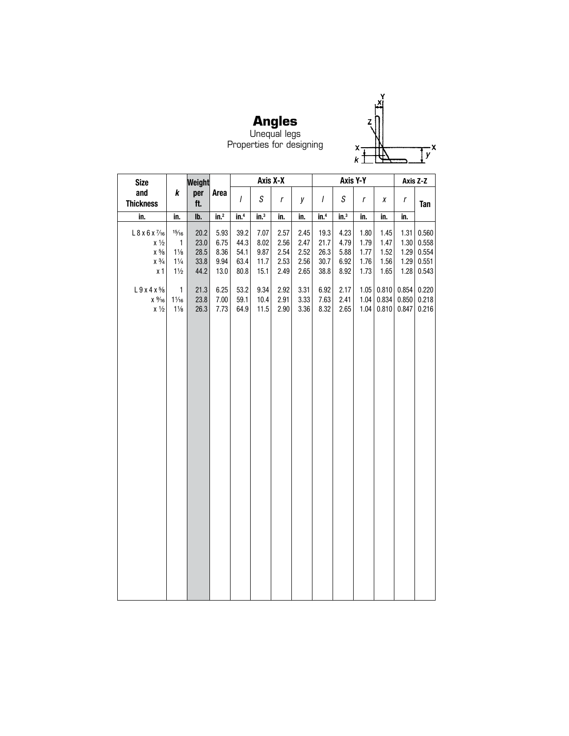

**Angles** Unequal legs Properties for designing

| <b>Size</b>                |                 | Weight       |              |                |                  | Axis X-X     |              |                  |                  | Axis Y-Y     |       | Axis Z-Z |       |
|----------------------------|-----------------|--------------|--------------|----------------|------------------|--------------|--------------|------------------|------------------|--------------|-------|----------|-------|
| and<br><b>Thickness</b>    | k               | per<br>ft.   | Area         | $\overline{I}$ | $\boldsymbol{S}$ | $\mathsf{r}$ | у            | $\overline{I}$   | S                | r            | X     | r        | Tan   |
| in.                        | in.             | lb.          | $in.^2$      | in.4           | $\mathsf{in}^3$  | in.          | in.          | in. <sup>4</sup> | $\mathsf{in.}^3$ | in.          | in.   | in.      |       |
| $L$ 8 x 6 x $\frac{7}{16}$ | 15/16           | 20.2         | 5.93         | 39.2           | 7.07             | 2.57         | 2.45         | 19.3             | 4.23             | 1.80         | 1.45  | 1.31     | 0.560 |
| $x\frac{1}{2}$             | $\mathbf{1}$    | 23.0         | 6.75         | 44.3           | 8.02             | 2.56         | 2.47         | 21.7             | 4.79             | 1.79         | 1.47  | 1.30     | 0.558 |
| $\chi~5\!/_{\!8}$          | $1\frac{1}{8}$  | 28.5         | 8.36         | 54.1           | 9.87             | 2.54         | 2.52         | 26.3             | 5.88             | 1.77         | 1.52  | 1.29     | 0.554 |
| $x \frac{3}{4}$            | $1\frac{1}{4}$  | 33.8         | 9.94         | 63.4           | 11.7             | 2.53         | 2.56         | 30.7             | 6.92             | 1.76         | 1.56  | 1.29     | 0.551 |
| x <sub>1</sub>             | $1\frac{1}{2}$  | 44.2         | 13.0         | 80.8           | 15.1             | 2.49         | 2.65         | 38.8             | 8.92             | 1.73         | 1.65  | 1.28     | 0.543 |
| $L9x4x\frac{5}{8}$         | 1               |              |              | 53.2           | 9.34             | 2.92         |              | 6.92             |                  |              | 0.810 | 0.854    | 0.220 |
| $x\frac{9}{16}$            | $1\frac{1}{16}$ | 21.3<br>23.8 | 6.25<br>7.00 | 59.1           | 10.4             | 2.91         | 3.31<br>3.33 | 7.63             | 2.17<br>2.41     | 1.05<br>1.04 | 0.834 | 0.850    | 0.218 |
| $x\frac{1}{2}$             | $1\frac{1}{8}$  | 26.3         | 7.73         | 64.9           | 11.5             | 2.90         | 3.36         | 8.32             | 2.65             | 1.04         | 0.810 | 0.847    | 0.216 |
|                            |                 |              |              |                |                  |              |              |                  |                  |              |       |          |       |
|                            |                 |              |              |                |                  |              |              |                  |                  |              |       |          |       |
|                            |                 |              |              |                |                  |              |              |                  |                  |              |       |          |       |
|                            |                 |              |              |                |                  |              |              |                  |                  |              |       |          |       |
|                            |                 |              |              |                |                  |              |              |                  |                  |              |       |          |       |
|                            |                 |              |              |                |                  |              |              |                  |                  |              |       |          |       |
|                            |                 |              |              |                |                  |              |              |                  |                  |              |       |          |       |
|                            |                 |              |              |                |                  |              |              |                  |                  |              |       |          |       |
|                            |                 |              |              |                |                  |              |              |                  |                  |              |       |          |       |
|                            |                 |              |              |                |                  |              |              |                  |                  |              |       |          |       |
|                            |                 |              |              |                |                  |              |              |                  |                  |              |       |          |       |
|                            |                 |              |              |                |                  |              |              |                  |                  |              |       |          |       |
|                            |                 |              |              |                |                  |              |              |                  |                  |              |       |          |       |
|                            |                 |              |              |                |                  |              |              |                  |                  |              |       |          |       |
|                            |                 |              |              |                |                  |              |              |                  |                  |              |       |          |       |
|                            |                 |              |              |                |                  |              |              |                  |                  |              |       |          |       |
|                            |                 |              |              |                |                  |              |              |                  |                  |              |       |          |       |
|                            |                 |              |              |                |                  |              |              |                  |                  |              |       |          |       |
|                            |                 |              |              |                |                  |              |              |                  |                  |              |       |          |       |
|                            |                 |              |              |                |                  |              |              |                  |                  |              |       |          |       |
|                            |                 |              |              |                |                  |              |              |                  |                  |              |       |          |       |
|                            |                 |              |              |                |                  |              |              |                  |                  |              |       |          |       |
|                            |                 |              |              |                |                  |              |              |                  |                  |              |       |          |       |
|                            |                 |              |              |                |                  |              |              |                  |                  |              |       |          |       |
|                            |                 |              |              |                |                  |              |              |                  |                  |              |       |          |       |
|                            |                 |              |              |                |                  |              |              |                  |                  |              |       |          |       |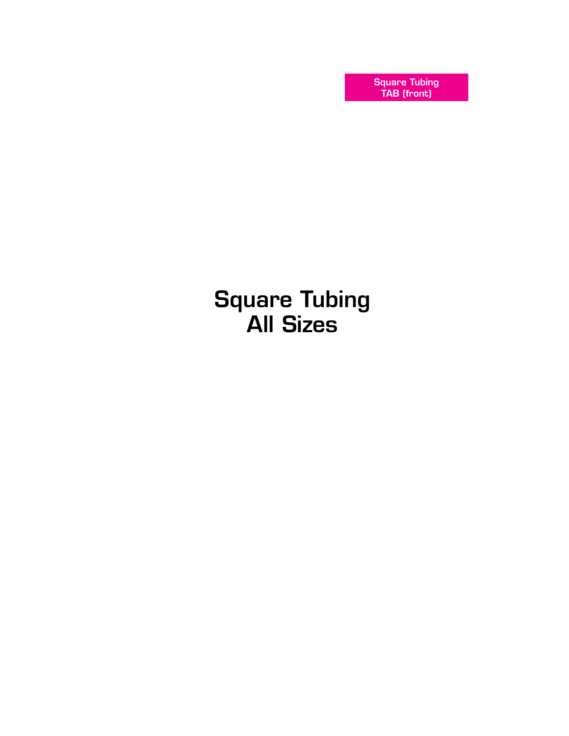Square Tubing TAB (front)

Square Tubing All Sizes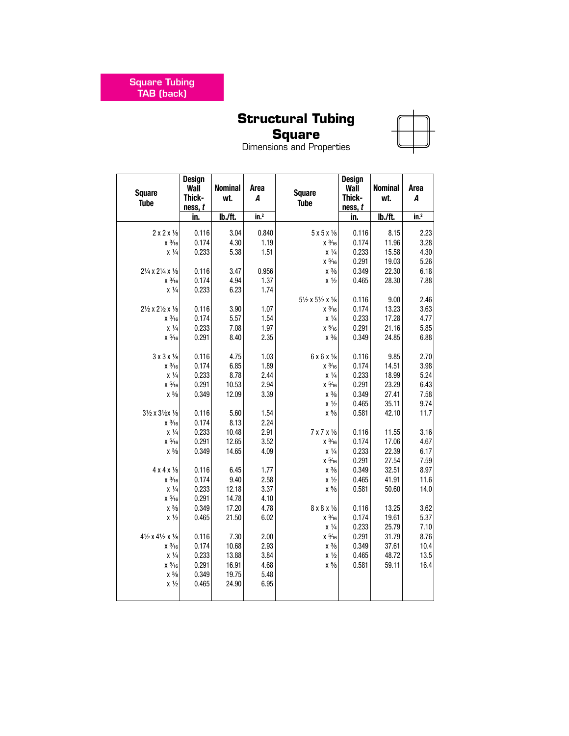Square Tubing TAB (back)

## **Structural Tubing**

## **Square**

| <b>Square</b><br><b>Tube</b>                    | Design<br>Wall<br>Thick-<br>ness, t | <b>Nominal</b><br>wt. | Area<br>A                 | <b>Square</b><br><b>Tube</b>                    | Design<br>Wall<br>Thick-<br>ness, t | <b>Nominal</b><br>wt. | Area<br>A                 |
|-------------------------------------------------|-------------------------------------|-----------------------|---------------------------|-------------------------------------------------|-------------------------------------|-----------------------|---------------------------|
|                                                 | in.                                 | lb./ft.               | $\overline{\text{in.}^2}$ |                                                 | in.                                 | lb./ft.               | $\overline{\text{in.}^2}$ |
| 2x2x1/8                                         | 0.116                               | 3.04                  | 0.840                     | $5x5x\frac{1}{8}$                               | 0.116                               | 8.15                  | 2.23                      |
| $x \frac{3}{16}$                                | 0.174                               | 4.30                  | 1.19                      | $x \frac{3}{16}$                                | 0.174                               | 11.96                 | 3.28                      |
| $x\frac{1}{4}$                                  | 0.233                               | 5.38                  | 1.51                      | $x\frac{1}{4}$                                  | 0.233                               | 15.58                 | 4.30                      |
|                                                 |                                     |                       |                           | $x\frac{5}{16}$                                 | 0.291                               | 19.03                 | 5.26                      |
| 21/4 x 21/4 x 1/8                               | 0.116                               | 3.47                  | 0.956                     | $x\frac{3}{8}$                                  | 0.349                               | 22.30                 | 6.18                      |
| $x \frac{3}{16}$                                | 0.174                               | 4.94                  | 1.37                      | $x\frac{1}{2}$                                  | 0.465                               | 28.30                 | 7.88                      |
| $x\frac{1}{4}$                                  | 0.233                               | 6.23                  | 1.74                      |                                                 |                                     |                       |                           |
|                                                 |                                     |                       |                           | $5\frac{1}{2}$ x $5\frac{1}{2}$ x $\frac{1}{8}$ | 0.116                               | 9.00                  | 2.46                      |
| 21/2 x 21/2 x 1/8                               | 0.116                               | 3.90                  | 1.07                      | $x \frac{3}{16}$                                | 0.174                               | 13.23                 | 3.63                      |
| $x \frac{3}{16}$                                | 0.174                               | 5.57                  | 1.54                      | $x \frac{1}{4}$                                 | 0.233                               | 17.28                 | 4.77                      |
| $\chi~\frac{1}{4}$                              | 0.233                               | 7.08                  | 1.97                      | $x\frac{5}{16}$                                 | 0.291                               | 21.16                 | 5.85                      |
| $x\frac{5}{16}$                                 | 0.291                               | 8.40                  | 2.35                      | $x\frac{3}{8}$                                  | 0.349                               | 24.85                 | 6.88                      |
| $3 \times 3 \times \frac{1}{8}$                 | 0.116                               | 4.75                  | 1.03                      | $6x6x\frac{1}{8}$                               | 0.116                               | 9.85                  | 2.70                      |
| $x \frac{3}{16}$                                | 0.174                               | 6.85                  | 1.89                      | $x \frac{3}{16}$                                | 0.174                               | 14.51                 | 3.98                      |
| $\chi~\frac{1}{4}$                              | 0.233                               | 8.78                  | 2.44                      | $x\frac{1}{4}$                                  | 0.233                               | 18.99                 | 5.24                      |
| $x\frac{5}{16}$                                 | 0.291                               | 10.53                 | 2.94                      | $x\frac{5}{16}$                                 | 0.291                               | 23.29                 | 6.43                      |
| $x\frac{3}{8}$                                  | 0.349                               | 12.09                 | 3.39                      | $x\frac{3}{8}$                                  | 0.349                               | 27.41                 | 7.58                      |
|                                                 |                                     |                       |                           | $x\frac{1}{2}$                                  | 0.465                               | 35.11                 | 9.74                      |
| 31/2 x 31/2x 1/8                                | 0.116                               | 5.60                  | 1.54                      | $x\frac{5}{8}$                                  | 0.581                               | 42.10                 | 11.7                      |
| $x \frac{3}{16}$                                | 0.174                               | 8.13                  | 2.24                      |                                                 |                                     |                       |                           |
| $x \frac{1}{4}$                                 | 0.233                               | 10.48                 | 2.91                      | $7 \times 7 \times \frac{1}{8}$                 | 0.116                               | 11.55                 | 3.16                      |
| $\times$ $^{5}\!\!/\!\!\!$ 16                   | 0.291                               | 12.65                 | 3.52                      | $x \frac{3}{16}$                                | 0.174                               | 17.06                 | 4.67                      |
| $x\frac{3}{8}$                                  | 0.349                               | 14.65                 | 4.09                      | $x \frac{1}{4}$                                 | 0.233                               | 22.39                 | 6.17                      |
|                                                 |                                     |                       |                           | $\times$ $^{5}\!\!/\!\!\!{}_{16}$               | 0.291                               | 27.54                 | 7.59                      |
| $4 \times 4 \times \frac{1}{8}$                 | 0.116                               | 6.45                  | 1.77                      | $x\frac{3}{8}$                                  | 0.349                               | 32.51                 | 8.97                      |
| $x \frac{3}{16}$<br>$x \frac{1}{4}$             | 0.174<br>0.233                      | 9.40<br>12.18         | 2.58<br>3.37              | $x\frac{1}{2}$<br>$\times$ $^{5}\!\!/\!\!s$     | 0.465<br>0.581                      | 41.91<br>50.60        | 11.6<br>14.0              |
| $x\frac{5}{16}$                                 | 0.291                               | 14.78                 | 4.10                      |                                                 |                                     |                       |                           |
| $x\frac{3}{8}$                                  | 0.349                               | 17.20                 | 4.78                      | $8 \times 8 \times \frac{1}{8}$                 | 0.116                               | 13.25                 | 3.62                      |
| $x\frac{1}{2}$                                  | 0.465                               | 21.50                 | 6.02                      | $x \frac{3}{16}$                                | 0.174                               | 19.61                 | 5.37                      |
|                                                 |                                     |                       |                           | $x\frac{1}{4}$                                  | 0.233                               | 25.79                 | 7.10                      |
| $4\frac{1}{2}$ x $4\frac{1}{2}$ x $\frac{1}{8}$ | 0.116                               | 7.30                  | 2.00                      | $x\frac{5}{16}$                                 | 0.291                               | 31.79                 | 8.76                      |
| $x \frac{3}{16}$                                | 0.174                               | 10.68                 | 2.93                      | $x\frac{3}{8}$                                  | 0.349                               | 37.61                 | 10.4                      |
| $\chi~\frac{1}{4}$                              | 0.233                               | 13.88                 | 3.84                      | $x\frac{1}{2}$                                  | 0.465                               | 48.72                 | 13.5                      |
| $x\frac{5}{16}$                                 | 0.291                               | 16.91                 | 4.68                      | $x\frac{5}{8}$                                  | 0.581                               | 59.11                 | 16.4                      |
| $x\frac{3}{8}$                                  | 0.349                               | 19.75                 | 5.48                      |                                                 |                                     |                       |                           |
| $x\frac{1}{2}$                                  | 0.465                               | 24.90                 | 6.95                      |                                                 |                                     |                       |                           |
|                                                 |                                     |                       |                           |                                                 |                                     |                       |                           |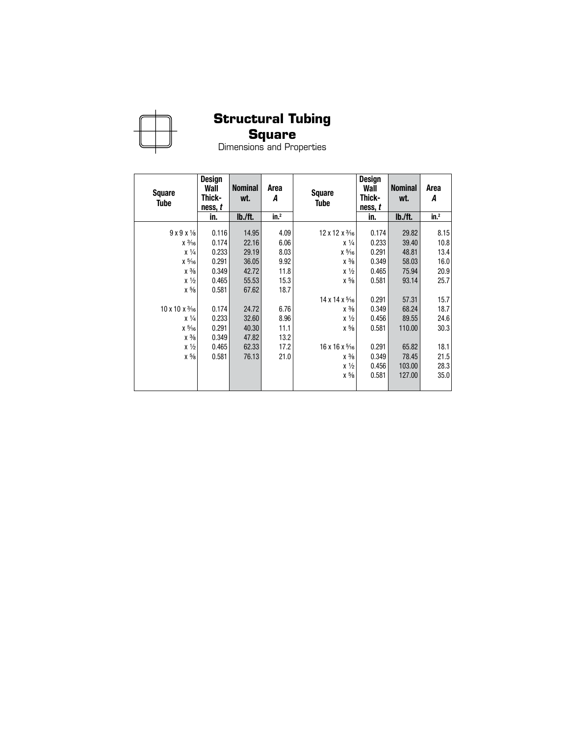

## **Square**

| <b>Square</b><br>Tube              | Design<br>Wall<br>Thick-<br>ness, t | <b>Nominal</b><br>wt. | Area<br>А       | <b>Square</b><br>Tube              | <b>Design</b><br>Wall<br>Thick-<br>ness, t | <b>Nominal</b><br>wt. | Area<br>А        |
|------------------------------------|-------------------------------------|-----------------------|-----------------|------------------------------------|--------------------------------------------|-----------------------|------------------|
|                                    | in.                                 | lb./ft.               | in <sup>2</sup> |                                    | in.                                        | lb./ft.               | in. <sup>2</sup> |
| $9x9x\frac{1}{8}$                  | 0.116                               | 14.95                 | 4.09            | $12 \times 12 \times \frac{3}{16}$ | 0.174                                      | 29.82                 | 8.15             |
| $x \frac{3}{16}$                   | 0.174                               | 22.16                 | 6.06            | $x\frac{1}{4}$                     | 0.233                                      | 39.40                 | 10.8             |
| $x\frac{1}{4}$                     | 0.233                               | 29.19                 | 8.03            | $x\frac{5}{16}$                    | 0.291                                      | 48.81                 | 13.4             |
| $x\frac{5}{16}$                    | 0.291                               | 36.05                 | 9.92            | $x\frac{3}{8}$                     | 0.349                                      | 58.03                 | 16.0             |
| $x\frac{3}{8}$                     | 0.349                               | 42.72                 | 11.8            | $x\frac{1}{2}$                     | 0.465                                      | 75.94                 | 20.9             |
| $x\frac{1}{2}$                     | 0.465                               | 55.53                 | 15.3            | $x\frac{5}{8}$                     | 0.581                                      | 93.14                 | 25.7             |
| $x\frac{5}{8}$                     | 0.581                               | 67.62                 | 18.7            |                                    |                                            |                       |                  |
|                                    |                                     |                       |                 | $14 \times 14 \times \frac{5}{16}$ | 0.291                                      | 57.31                 | 15.7             |
| $10 \times 10 \times \frac{3}{16}$ | 0.174                               | 24.72                 | 6.76            | $x\frac{3}{8}$                     | 0.349                                      | 68.24                 | 18.7             |
| $x\frac{1}{4}$                     | 0.233                               | 32.60                 | 8.96            | $x\frac{1}{2}$                     | 0.456                                      | 89.55                 | 24.6             |
| $x\frac{5}{16}$                    | 0.291                               | 40.30                 | 11.1            | $x\frac{5}{8}$                     | 0.581                                      | 110.00                | 30.3             |
| $x\frac{3}{8}$                     | 0.349                               | 47.82                 | 13.2            |                                    |                                            |                       |                  |
| $x\frac{1}{2}$                     | 0.465                               | 62.33                 | 17.2            | $16 \times 16 \times \frac{5}{16}$ | 0.291                                      | 65.82                 | 18.1             |
| $x\frac{5}{8}$                     | 0.581                               | 76.13                 | 21.0            | $x\frac{3}{8}$                     | 0.349                                      | 78.45                 | 21.5             |
|                                    |                                     |                       |                 | $x\frac{1}{2}$                     | 0.456                                      | 103.00                | 28.3             |
|                                    |                                     |                       |                 | $x\frac{5}{8}$                     | 0.581                                      | 127.00                | 35.0             |
|                                    |                                     |                       |                 |                                    |                                            |                       |                  |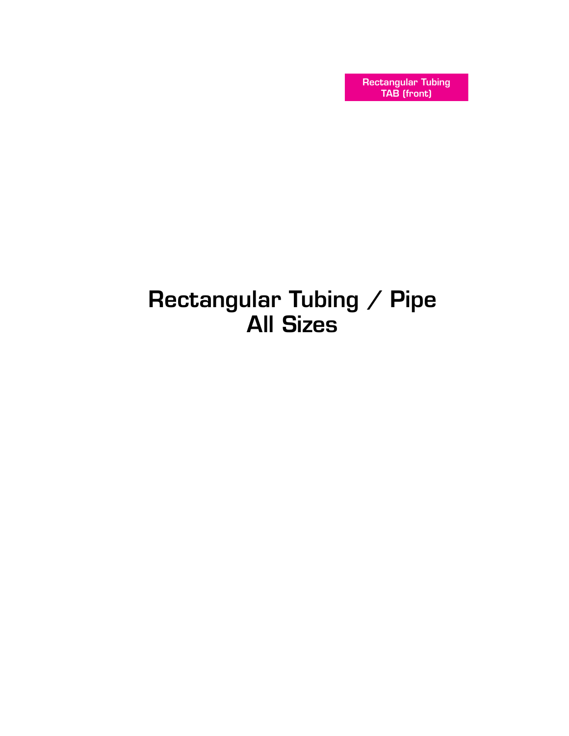Rectangular Tubing TAB (front)

# Rectangular Tubing / Pipe All Sizes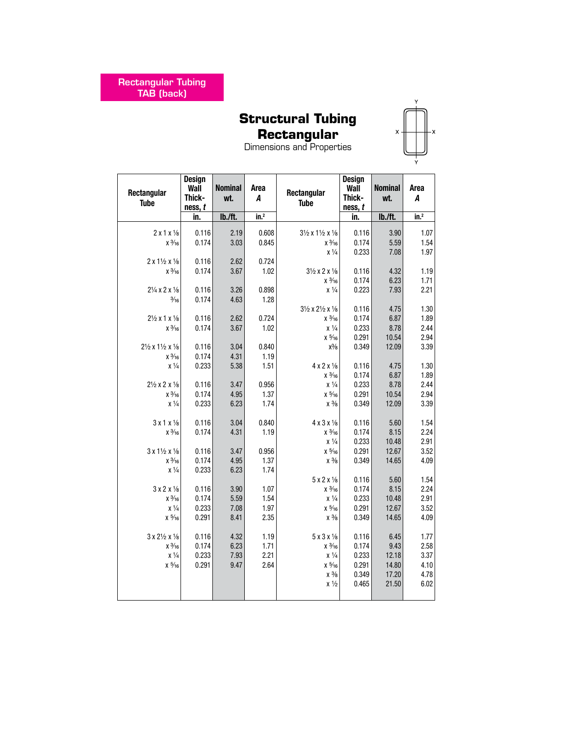## **Rectangular**

| Rectangular<br><b>Tube</b>                 | Design<br>Wall<br>Thick-<br>ness, t | <b>Nominal</b><br>wt. | Area<br>A<br>in. <sup>2</sup> | Rectangular<br><b>Tube</b>                      | Design<br>Wall<br>Thick-<br>ness, t | <b>Nominal</b><br>wt. | Area<br>A        |
|--------------------------------------------|-------------------------------------|-----------------------|-------------------------------|-------------------------------------------------|-------------------------------------|-----------------------|------------------|
|                                            | in.                                 | lb./ft.               |                               |                                                 | in.                                 | lb./ft.               | in. <sup>2</sup> |
| $2 \times 1 \times \frac{1}{8}$            | 0.116                               | 2.19                  | 0.608                         | $3\frac{1}{2}$ x $1\frac{1}{2}$ x $\frac{1}{8}$ | 0.116                               | 3.90                  | 1.07             |
| $x \frac{3}{16}$                           | 0.174                               | 3.03                  | 0.845                         | $x\frac{3}{16}$                                 | 0.174                               | 5.59                  | 1.54             |
|                                            |                                     |                       |                               | $x\frac{1}{4}$                                  | 0.233                               | 7.08                  | 1.97             |
| $2 \times 1\frac{1}{2} \times \frac{1}{8}$ | 0.116                               | 2.62                  | 0.724                         |                                                 |                                     |                       |                  |
| $x\frac{3}{16}$                            | 0.174                               | 3.67                  | 1.02                          | $3\frac{1}{2}$ x 2 x $\frac{1}{8}$              | 0.116                               | 4.32                  | 1.19             |
|                                            |                                     |                       |                               | $x \frac{3}{16}$                                | 0.174                               | 6.23                  | 1.71             |
| $2\frac{1}{4}$ x 2 x $\frac{1}{8}$         | 0.116                               | 3.26                  | 0.898                         | $\chi~\frac{1}{4}$                              | 0.223                               | 7.93                  | 2.21             |
| $\frac{3}{16}$                             | 0.174                               | 4.63                  | 1.28                          |                                                 |                                     |                       |                  |
| $2\frac{1}{2}$ x 1 x $\frac{1}{8}$         | 0.116                               | 2.62                  | 0.724                         | $3\frac{1}{2}$ x $2\frac{1}{2}$ x $\frac{1}{8}$ | 0.116<br>0.174                      | 4.75<br>6.87          | 1.30<br>1.89     |
| $x \frac{3}{16}$                           | 0.174                               | 3.67                  | 1.02                          | $x \frac{3}{16}$<br>$x\frac{1}{4}$              | 0.233                               | 8.78                  | 2.44             |
|                                            |                                     |                       |                               | $x\frac{5}{16}$                                 | 0.291                               | 10.54                 | 2.94             |
| 21/2 x 11/2 x 1/8                          | 0.116                               | 3.04                  | 0.840                         | $x\frac{3}{8}$                                  | 0.349                               | 12.09                 | 3.39             |
| $x\frac{3}{16}$                            | 0.174                               | 4.31                  | 1.19                          |                                                 |                                     |                       |                  |
| $x\frac{1}{4}$                             | 0.233                               | 5.38                  | 1.51                          | 4 x 2 x 1/8                                     | 0.116                               | 4.75                  | 1.30             |
|                                            |                                     |                       |                               | $x \frac{3}{16}$                                | 0.174                               | 6.87                  | 1.89             |
| $2\frac{1}{2}$ x 2 x $\frac{1}{8}$         | 0.116                               | 3.47                  | 0.956                         | $x\frac{1}{4}$                                  | 0.233                               | 8.78                  | 2.44             |
| $x\frac{3}{16}$                            | 0.174                               | 4.95                  | 1.37                          | $x\frac{5}{16}$                                 | 0.291                               | 10.54                 | 2.94             |
| $x\frac{1}{4}$                             | 0.233                               | 6.23                  | 1.74                          | $x\frac{3}{8}$                                  | 0.349                               | 12.09                 | 3.39             |
|                                            |                                     |                       |                               |                                                 |                                     |                       |                  |
| 3x1x1/8                                    | 0.116                               | 3.04                  | 0.840                         | 4 x 3 x 1/8                                     | 0.116                               | 5.60                  | 1.54             |
| $x \frac{3}{16}$                           | 0.174                               | 4.31                  | 1.19                          | $x \frac{3}{16}$                                | 0.174                               | 8.15                  | 2.24             |
|                                            |                                     |                       |                               | $x\frac{1}{4}$                                  | 0.233                               | 10.48                 | 2.91             |
| $3x1\frac{1}{2}x\frac{1}{8}$               | 0.116                               | 3.47<br>4.95          | 0.956                         | $x\frac{5}{16}$                                 | 0.291                               | 12.67                 | 3.52             |
| $x \frac{3}{16}$<br>$x\frac{1}{4}$         | 0.174<br>0.233                      | 6.23                  | 1.37<br>1.74                  | $x\frac{3}{8}$                                  | 0.349                               | 14.65                 | 4.09             |
|                                            |                                     |                       |                               | 5 x 2 x 1/8                                     | 0.116                               | 5.60                  | 1.54             |
| $3x2x\frac{1}{8}$                          | 0.116                               | 3.90                  | 1.07                          | $x \frac{3}{16}$                                | 0.174                               | 8.15                  | 2.24             |
| $x \frac{3}{16}$                           | 0.174                               | 5.59                  | 1.54                          | $x\frac{1}{4}$                                  | 0.233                               | 10.48                 | 2.91             |
| $x\frac{1}{4}$                             | 0.233                               | 7.08                  | 1.97                          | $x\frac{5}{16}$                                 | 0.291                               | 12.67                 | 3.52             |
| $x\frac{5}{16}$                            | 0.291                               | 8.41                  | 2.35                          | $x\frac{3}{8}$                                  | 0.349                               | 14.65                 | 4.09             |
|                                            |                                     |                       |                               |                                                 |                                     |                       |                  |
| $3 \times 2\frac{1}{2} \times \frac{1}{8}$ | 0.116                               | 4.32                  | 1.19                          | $5x3x\frac{1}{8}$                               | 0.116                               | 6.45                  | 1.77             |
| $x \frac{3}{16}$                           | 0.174                               | 6.23                  | 1.71                          | $x \frac{3}{16}$                                | 0.174                               | 9.43                  | 2.58             |
| $x\frac{1}{4}$                             | 0.233                               | 7.93                  | 2.21                          | $x\frac{1}{4}$                                  | 0.233                               | 12.18                 | 3.37             |
| $x\frac{5}{16}$                            | 0.291                               | 9.47                  | 2.64                          | $x\frac{5}{16}$                                 | 0.291                               | 14.80                 | 4.10             |
|                                            |                                     |                       |                               | $x\frac{3}{8}$                                  | 0.349                               | 17.20                 | 4.78             |
|                                            |                                     |                       |                               | $x\frac{1}{2}$                                  | 0.465                               | 21.50                 | 6.02             |
|                                            |                                     |                       |                               |                                                 |                                     |                       |                  |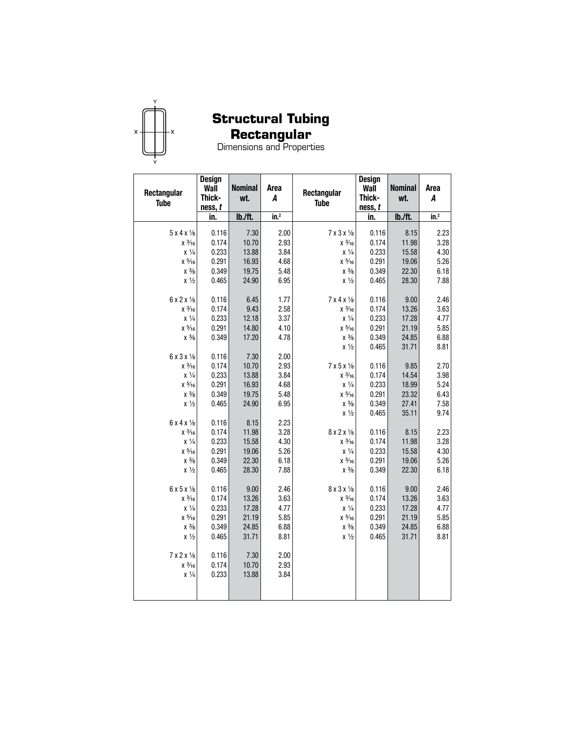

## **Rectangular**

| Rectangular<br><b>Tube</b>            | <b>Design</b><br>Wall<br>Thick-<br>ness, t | <b>Nominal</b><br>wt. | Area<br>A        | Rectangular<br><b>Tube</b> | <b>Design</b><br>Wall<br>Thick-<br>ness, t | <b>Nominal</b><br>wt. | Area<br>A        |
|---------------------------------------|--------------------------------------------|-----------------------|------------------|----------------------------|--------------------------------------------|-----------------------|------------------|
|                                       | in.                                        | lb./ft.               | in. <sup>2</sup> |                            | in.                                        | lb./ft.               | in. <sup>2</sup> |
| $5x4x\frac{1}{8}$                     | 0.116                                      | 7.30                  | 2.00             | 7 x 3 x 1/8                | 0.116                                      | 8.15                  | 2.23             |
| $x \frac{3}{16}$                      | 0.174                                      | 10.70                 | 2.93             | $x \frac{3}{16}$           | 0.174                                      | 11.98                 | 3.28             |
| $x\frac{1}{4}$                        | 0.233                                      | 13.88                 | 3.84             | $x\frac{1}{4}$             | 0.233                                      | 15.58                 | 4.30             |
| $x\frac{5}{16}$                       | 0.291                                      | 16.93                 | 4.68             | $x\frac{5}{16}$            | 0.291                                      | 19.06                 | 5.26             |
| $x\frac{3}{8}$                        | 0.349                                      | 19.75                 | 5.48             | $x\frac{3}{8}$             | 0.349                                      | 22.30                 | 6.18             |
| $x\frac{1}{2}$                        | 0.465                                      | 24.90                 | 6.95             | $x\frac{1}{2}$             | 0.465                                      | 28.30                 | 7.88             |
| 6 x 2 x 1/8                           | 0.116                                      | 6.45                  | 1.77             | 7 x 4 x 1/8                | 0.116                                      | 9.00                  | 2.46             |
| $x \frac{3}{16}$                      | 0.174                                      | 9.43                  | 2.58             | $x \frac{3}{16}$           | 0.174                                      | 13.26                 | 3.63             |
| $x\frac{1}{4}$                        | 0.233                                      | 12.18                 | 3.37             | $x\frac{1}{4}$             | 0.233                                      | 17.28                 | 4.77             |
| $x\frac{5}{16}$                       | 0.291                                      | 14.80                 | 4.10             | $x\frac{5}{16}$            | 0.291                                      | 21.19                 | 5.85             |
| $x\frac{3}{8}$                        | 0.349                                      | 17.20                 | 4.78             | $x\frac{3}{8}$             | 0.349                                      | 24.85                 | 6.88             |
|                                       |                                            |                       |                  | $x\frac{1}{2}$             | 0.465                                      | 31.71                 | 8.81             |
| 6 x 3 x 1/8                           | 0.116                                      | 7.30                  | 2.00             |                            |                                            |                       |                  |
| $x \frac{3}{16}$                      | 0.174                                      | 10.70                 | 2.93             | $7x5x\frac{1}{8}$          | 0.116                                      | 9.85                  | 2.70             |
| $\chi~\frac{1}{4}$                    | 0.233                                      | 13.88                 | 3.84             | $x\frac{3}{16}$            | 0.174                                      | 14.54                 | 3.98             |
| $\times$ $^{5}\!\!/\!\!\!$ 16         | 0.291                                      | 16.93                 | 4.68             | $x\frac{1}{4}$             | 0.233                                      | 18.99                 | 5.24             |
| $x\frac{3}{8}$                        | 0.349                                      | 19.75                 | 5.48             | $x\frac{5}{16}$            | 0.291                                      | 23.32                 | 6.43             |
| $x\frac{1}{2}$                        | 0.465                                      | 24.90                 | 6.95             | $x\frac{3}{8}$             | 0.349                                      | 27.41                 | 7.58             |
|                                       |                                            |                       |                  | $x\frac{1}{2}$             | 0.465                                      | 35.11                 | 9.74             |
| $6x4x\frac{1}{8}$<br>$x \frac{3}{16}$ | 0.116<br>0.174                             | 8.15<br>11.98         | 2.23<br>3.28     | 8 x 2 x 1/8                | 0.116                                      | 8.15                  | 2.23             |
| $x\frac{1}{4}$                        | 0.233                                      | 15.58                 | 4.30             | $x \frac{3}{16}$           | 0.174                                      | 11.98                 | 3.28             |
| $x\frac{5}{16}$                       | 0.291                                      | 19.06                 | 5.26             | $x\frac{1}{4}$             | 0.233                                      | 15.58                 | 4.30             |
| $x\frac{3}{8}$                        | 0.349                                      | 22.30                 | 6.18             | $x\frac{5}{16}$            | 0.291                                      | 19.06                 | 5.26             |
| $x\frac{1}{2}$                        | 0.465                                      | 28.30                 | 7.88             | $x\frac{3}{8}$             | 0.349                                      | 22.30                 | 6.18             |
|                                       |                                            |                       |                  |                            |                                            |                       |                  |
| $6x5x\frac{1}{8}$                     | 0.116                                      | 9.00                  | 2.46             | 8 x 3 x 1/8                | 0.116                                      | 9.00                  | 2.46             |
| $x \frac{3}{16}$                      | 0.174                                      | 13.26                 | 3.63             | $x \frac{3}{16}$           | 0.174                                      | 13.26                 | 3.63             |
| $x\frac{1}{4}$                        | 0.233                                      | 17.28                 | 4.77             | $x\frac{1}{4}$             | 0.233                                      | 17.28                 | 4.77             |
| $x\frac{5}{16}$                       | 0.291                                      | 21.19                 | 5.85             | $x\frac{5}{16}$            | 0.291                                      | 21.19                 | 5.85             |
| $x\frac{3}{8}$                        | 0.349                                      | 24.85                 | 6.88             | $x\frac{3}{8}$             | 0.349                                      | 24.85                 | 6.88             |
| $x\frac{1}{2}$                        | 0.465                                      | 31.71                 | 8.81             | $x\frac{1}{2}$             | 0.465                                      | 31.71                 | 8.81             |
| 7 x 2 x 1/8                           | 0.116                                      | 7.30                  | 2.00             |                            |                                            |                       |                  |
| $x \frac{3}{16}$                      | 0.174                                      | 10.70                 | 2.93             |                            |                                            |                       |                  |
| $x\frac{1}{4}$                        | 0.233                                      | 13.88                 | 3.84             |                            |                                            |                       |                  |
|                                       |                                            |                       |                  |                            |                                            |                       |                  |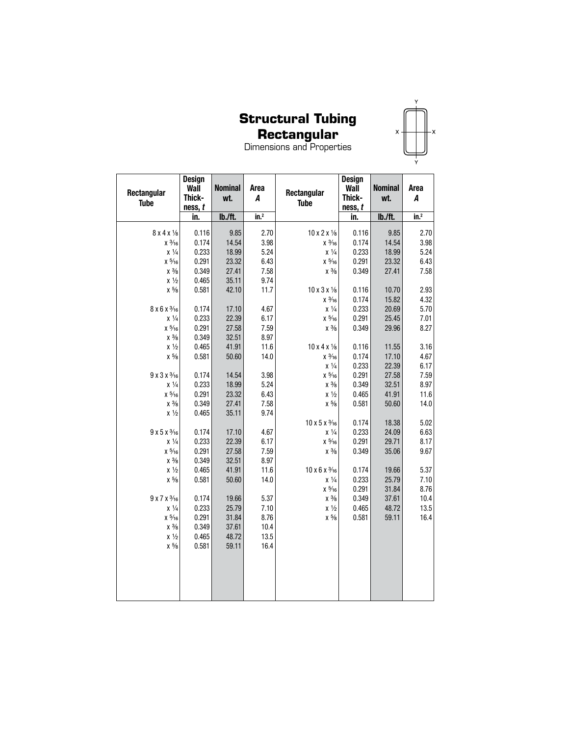## **Rectangular**

|   |   | Ÿ |   |
|---|---|---|---|
|   |   |   |   |
| X |   |   | x |
|   | Ý |   |   |
|   |   |   |   |

| Rectangular<br><b>Tube</b>                       | Design<br>Wall<br>Thick-<br>ness, t | <b>Nominal</b><br>wt. | Area<br>A       | Rectangular<br><b>Tube</b>            | Design<br>Wall<br>Thick-<br>ness, t | <b>Nominal</b><br>wt. | Area<br>Α    |
|--------------------------------------------------|-------------------------------------|-----------------------|-----------------|---------------------------------------|-------------------------------------|-----------------------|--------------|
|                                                  | in.                                 | lb./ft.               | $\mathsf{in}^2$ |                                       | in.                                 | lb./ft.               | $in.^2$      |
| $8x4x\frac{1}{8}$                                | 0.116                               | 9.85                  | 2.70            | $10 \times 2 \times \frac{1}{8}$      | 0.116                               | 9.85                  | 2.70         |
| $x \frac{3}{16}$                                 | 0.174                               | 14.54                 | 3.98            | $x\frac{3}{16}$                       | 0.174                               | 14.54                 | 3.98         |
| $x\frac{1}{4}$                                   | 0.233                               | 18.99                 | 5.24            | $x\frac{1}{4}$                        | 0.233                               | 18.99                 | 5.24         |
| $x\frac{5}{16}$                                  | 0.291                               | 23.32                 | 6.43            | $x\frac{5}{16}$                       | 0.291                               | 23.32                 | 6.43         |
| $x\frac{3}{8}$                                   | 0.349                               | 27.41                 | 7.58            | $\chi~3\!/\!s$                        | 0.349                               | 27.41                 | 7.58         |
| $x\frac{1}{2}$                                   | 0.465                               | 35.11                 | 9.74            |                                       |                                     |                       |              |
| $\times$ $^{5}\!\!/\!\!s$                        | 0.581                               | 42.10                 | 11.7            | $10 \times 3 \times \frac{1}{8}$      | 0.116                               | 10.70                 | 2.93         |
|                                                  |                                     |                       |                 | $x \frac{3}{16}$                      | 0.174                               | 15.82                 | 4.32         |
| 8 x 6 x 3/16                                     | 0.174                               | 17.10                 | 4.67            | $\chi~\frac{1}{4}$                    | 0.233                               | 20.69                 | 5.70         |
| $x\frac{1}{4}$                                   | 0.233                               | 22.39                 | 6.17            | $x\frac{5}{16}$                       | 0.291                               | 25.45                 | 7.01         |
| $x\frac{5}{16}$                                  | 0.291                               | 27.58                 | 7.59            | $\chi$ $^{3}\!\!/\!\!s$               | 0.349                               | 29.96                 | 8.27         |
| $x\frac{3}{8}$                                   | 0.349                               | 32.51                 | 8.97            |                                       |                                     |                       |              |
| $x\frac{1}{2}$                                   | 0.465                               | 41.91                 | 11.6            | $10 \times 4 \times \frac{1}{8}$      | 0.116                               | 11.55                 | 3.16         |
| $\times$ $^{5}\!\!/\!\!{}_{8}$                   | 0.581                               | 50.60                 | 14.0            | $x\frac{3}{16}$<br>$\chi~\frac{1}{4}$ | 0.174<br>0.233                      | 17.10<br>22.39        | 4.67<br>6.17 |
| $9x3x\frac{3}{16}$                               | 0.174                               | 14.54                 | 3.98            | $x\frac{5}{16}$                       | 0.291                               | 27.58                 | 7.59         |
| $x\frac{1}{4}$                                   | 0.233                               | 18.99                 | 5.24            | $x\frac{3}{8}$                        | 0.349                               | 32.51                 | 8.97         |
| $x\frac{5}{16}$                                  | 0.291                               | 23.32                 | 6.43            | $x\frac{1}{2}$                        | 0.465                               | 41.91                 | 11.6         |
| $x\frac{3}{8}$                                   | 0.349                               | 27.41                 | 7.58            | $\chi~5\!/_{\!8}$                     | 0.581                               | 50.60                 | 14.0         |
| $x\frac{1}{2}$                                   | 0.465                               | 35.11                 | 9.74            |                                       |                                     |                       |              |
|                                                  |                                     |                       |                 | $10 \times 5 \times \frac{3}{16}$     | 0.174                               | 18.38                 | 5.02         |
| $9x5x\frac{3}{16}$                               | 0.174                               | 17.10                 | 4.67            | X 1/4                                 | 0.233                               | 24.09                 | 6.63         |
| $\chi~\frac{1}{4}$                               | 0.233                               | 22.39                 | 6.17            | $\times$ $^{5}\!\!/\!\!\!{}_{16}$     | 0.291                               | 29.71                 | 8.17         |
| $x\frac{5}{16}$                                  | 0.291                               | 27.58                 | 7.59            | $x\frac{3}{8}$                        | 0.349                               | 35.06                 | 9.67         |
| $x\frac{3}{8}$                                   | 0.349                               | 32.51                 | 8.97            |                                       |                                     |                       |              |
| $x\frac{1}{2}$                                   | 0.465                               | 41.91                 | 11.6            | $10 \times 6 \times \frac{3}{16}$     | 0.174                               | 19.66                 | 5.37         |
| $\times$ $^{5}\!\!/\!\!s$                        | 0.581                               | 50.60                 | 14.0            | $x\frac{1}{4}$                        | 0.233                               | 25.79                 | 7.10         |
|                                                  |                                     |                       |                 | $x\frac{5}{16}$                       | 0.291                               | 31.84                 | 8.76         |
| $9x7x\frac{3}{16}$                               | 0.174                               | 19.66                 | 5.37            | $x\frac{3}{8}$                        | 0.349                               | 37.61                 | 10.4         |
| $x\frac{1}{4}$                                   | 0.233                               | 25.79                 | 7.10            | $x\frac{1}{2}$                        | 0.465                               | 48.72                 | 13.5         |
| $x\frac{5}{16}$                                  | 0.291                               | 31.84                 | 8.76            | $x\frac{5}{8}$                        | 0.581                               | 59.11                 | 16.4         |
| $x\frac{3}{8}$                                   | 0.349                               | 37.61                 | 10.4            |                                       |                                     |                       |              |
| $x\frac{1}{2}$<br>$\times$ $^{5}\!\!/\!\!{}_{8}$ | 0.465<br>0.581                      | 48.72<br>59.11        | 13.5<br>16.4    |                                       |                                     |                       |              |
|                                                  |                                     |                       |                 |                                       |                                     |                       |              |
|                                                  |                                     |                       |                 |                                       |                                     |                       |              |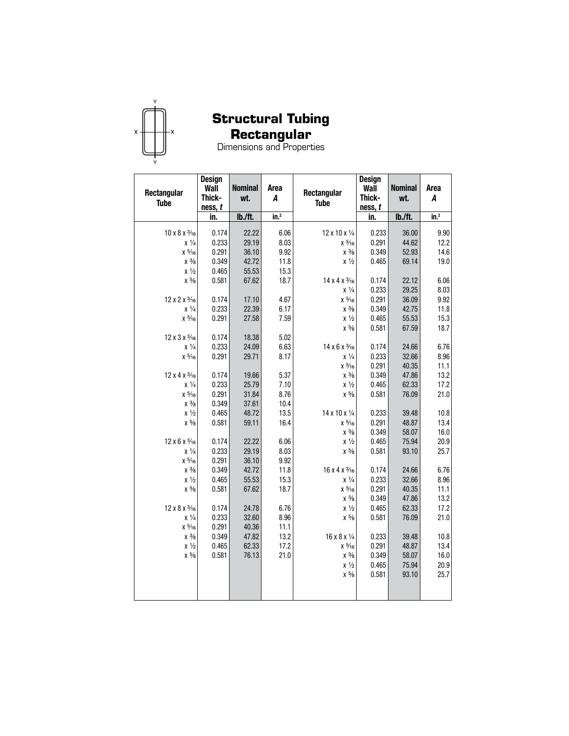

## **Rectangular**

| Rectangular<br><b>Tube</b>                 | <b>Design</b><br>Wall<br>Thick-<br>ness, t | <b>Nominal</b><br>wt. | Area<br>A        | <b>Design</b><br>Wall<br>Rectangular<br>Thick-<br><b>Tube</b><br>ness, t |                | <b>Nominal</b><br>wt. | Area<br>A        |
|--------------------------------------------|--------------------------------------------|-----------------------|------------------|--------------------------------------------------------------------------|----------------|-----------------------|------------------|
|                                            | in.                                        | lb./ft.               | in. <sup>2</sup> |                                                                          | in.            | lb./ft.               | in. <sup>2</sup> |
|                                            |                                            |                       |                  |                                                                          |                |                       |                  |
| $10 \times 8 \times \frac{3}{16}$<br>X 1/4 | 0.174<br>0.233                             | 22.22<br>29.19        | 6.06<br>8.03     | $12 \times 10 \times \frac{1}{4}$<br>$x\frac{5}{16}$                     | 0.233<br>0.291 | 36.00<br>44.62        | 9.90<br>12.2     |
| $x\frac{5}{16}$                            | 0.291                                      | 36.10                 | 9.92             | $x\frac{3}{8}$                                                           | 0.349          | 52.93                 | 14.6             |
| $x\frac{3}{8}$                             | 0.349                                      | 42.72                 | 11.8             | $x\frac{1}{2}$                                                           | 0.465          | 69.14                 | 19.0             |
| $x\frac{1}{2}$                             | 0.465                                      | 55.53                 | 15.3             |                                                                          |                |                       |                  |
| $x\frac{5}{8}$                             | 0.581                                      | 67.62                 | 18.7             | 14 x 4 x 3/16                                                            | 0.174          | 22.12                 | 6.06             |
|                                            |                                            |                       |                  | $x\frac{1}{4}$                                                           | 0.233          | 29.25                 | 8.03             |
| 12 x 2 x 3/16                              | 0.174                                      | 17.10                 | 4.67             | $\times$ $^{5}\!\!/\!\!\!\!\!\!\!$ 16                                    | 0.291          | 36.09                 | 9.92             |
| $x\frac{1}{4}$                             | 0.233                                      | 22.39                 | 6.17             | $x\frac{3}{8}$                                                           | 0.349          | 42.75                 | 11.8             |
| $x\frac{5}{16}$                            | 0.291                                      | 27.58                 | 7.59             | $x\frac{1}{2}$                                                           | 0.465          | 55.53                 | 15.3             |
|                                            |                                            |                       |                  | $x\frac{5}{8}$                                                           | 0.581          | 67.59                 | 18.7             |
| 12 x 3 x 3/16                              | 0.174                                      | 18.38                 | 5.02             |                                                                          |                |                       |                  |
| $x\frac{1}{4}$                             | 0.233                                      | 24.09                 | 6.63             | 14 x 6 x 3/16                                                            | 0.174          | 24.66                 | 6.76             |
| $\times$ $^{5}\!\!/\!\!\!{}_{16}$          | 0.291                                      | 29.71                 | 8.17             | $x\frac{1}{4}$                                                           | 0.233          | 32.66                 | 8.96             |
|                                            |                                            |                       |                  | $x\frac{5}{16}$                                                          | 0.291          | 40.35                 | 11.1             |
| 12 x 4 x 3/16                              | 0.174                                      | 19.66                 | 5.37             | $x\frac{3}{8}$                                                           | 0.349          | 47.86                 | 13.2             |
| $x\frac{1}{4}$                             | 0.233                                      | 25.79                 | 7.10             | $x\frac{1}{2}$                                                           | 0.465          | 62.33                 | 17.2             |
| $x\frac{5}{16}$                            | 0.291                                      | 31.84                 | 8.76             | $\times$ $^{5}\!\!/\!\!s$                                                | 0.581          | 76.09                 | 21.0             |
| $x\frac{3}{8}$                             | 0.349                                      | 37.61                 | 10.4             |                                                                          |                |                       |                  |
| $x\frac{1}{2}$                             | 0.465                                      | 48.72                 | 13.5             | 14 x 10 x 1/4                                                            | 0.233          | 39.48                 | 10.8             |
| $x\frac{5}{8}$                             | 0.581                                      | 59.11                 | 16.4             | $x\frac{5}{16}$                                                          | 0.291          | 48.87                 | 13.4             |
|                                            |                                            |                       |                  | $x\frac{3}{8}$                                                           | 0.349          | 58.07                 | 16.0             |
| 12 x 6 x 3/16                              | 0.174                                      | 22.22                 | 6.06             | $x\frac{1}{2}$                                                           | 0.465          | 75.94                 | 20.9             |
| $x\frac{1}{4}$                             | 0.233                                      | 29.19                 | 8.03             | $x\frac{5}{8}$                                                           | 0.581          | 93.10                 | 25.7             |
| $x\frac{5}{16}$                            | 0.291                                      | 36.10                 | 9.92             |                                                                          |                |                       |                  |
| $x\frac{3}{8}$                             | 0.349                                      | 42.72                 | 11.8             | $16 \times 4 \times \frac{3}{16}$                                        | 0.174          | 24.66                 | 6.76             |
| $x\frac{1}{2}$                             | 0.465                                      | 55.53                 | 15.3             | $x\frac{1}{4}$                                                           | 0.233          | 32.66                 | 8.96             |
| $\times$ $^{5}\!\!/\!\!s$                  | 0.581                                      | 67.62                 | 18.7             | $\times$ $^{5}\!\!/\!\!\!$ 16                                            | 0.291          | 40.35                 | 11.1             |
|                                            |                                            |                       |                  | $x\frac{3}{8}$                                                           | 0.349          | 47.86                 | 13.2             |
| 12 x 8 x 3/16                              | 0.174                                      | 24.78                 | 6.76             | $x\frac{1}{2}$                                                           | 0.465          | 62.33                 | 17.2             |
| $x\frac{1}{4}$                             | 0.233                                      | 32.60                 | 8.96             | $x\frac{5}{8}$                                                           | 0.581          | 76.09                 | 21.0             |
| $x\frac{5}{16}$                            | 0.291                                      | 40.36                 | 11.1             |                                                                          |                |                       |                  |
| $x\frac{3}{8}$                             | 0.349                                      | 47.82                 | 13.2             | 16 x 8 x 1/4                                                             | 0.233          | 39.48                 | 10.8             |
| $x\frac{1}{2}$                             | 0.465                                      | 62.33                 | 17.2             | $x\frac{5}{16}$                                                          | 0.291          | 48.87                 | 13.4             |
| $\times$ $^{5}\!\!/\!\!s$                  | 0.581                                      | 76.13                 | 21.0             | $x\frac{3}{8}$                                                           | 0.349          | 58.07                 | 16.0             |
|                                            |                                            |                       |                  | $x\frac{1}{2}$                                                           | 0.465          | 75.94                 | 20.9             |
|                                            |                                            |                       |                  | $x\frac{5}{8}$                                                           | 0.581          | 93.10                 | 25.7             |
|                                            |                                            |                       |                  |                                                                          |                |                       |                  |
|                                            |                                            |                       |                  |                                                                          |                |                       |                  |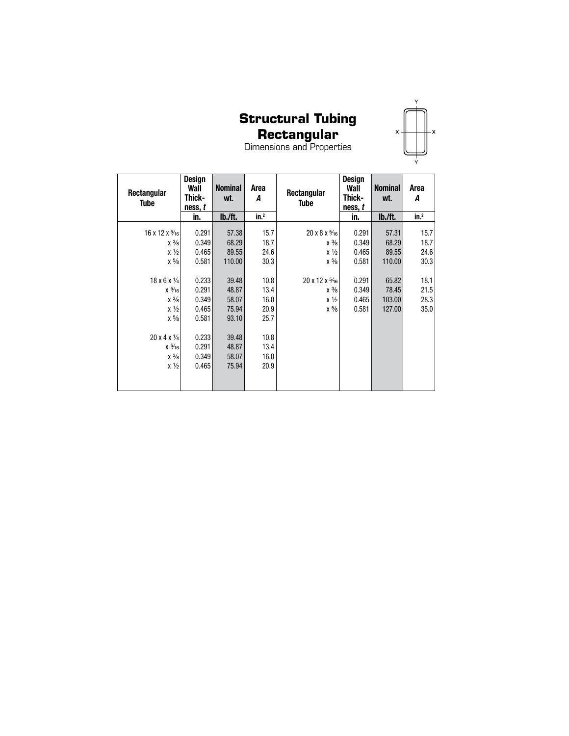# X

**Rectangular** Dimensions and Properties

| Rectangular<br><b>Tube</b>         | Design<br>Wall<br>Thick-<br>ness, t | <b>Nominal</b><br>wt. | Area<br>A        | Rectangular<br><b>Tube</b>         |       | <b>Nominal</b><br>wt. | Area<br>A       |
|------------------------------------|-------------------------------------|-----------------------|------------------|------------------------------------|-------|-----------------------|-----------------|
|                                    | in.                                 | lb./ft.               | in. <sup>2</sup> |                                    | in.   | lb./ft.               | in <sup>2</sup> |
| $16 \times 12 \times \frac{5}{16}$ | 0.291                               | 57.38                 | 15.7             | $20 \times 8 \times \frac{5}{16}$  | 0.291 | 57.31                 | 15.7            |
| $x\frac{3}{8}$                     | 0.349                               | 68.29                 | 18.7             | $x\frac{3}{8}$                     | 0.349 | 68.29                 | 18.7            |
| $x\frac{1}{2}$                     | 0.465                               | 89.55                 | 24.6             | $x\frac{1}{2}$                     | 0.465 | 89.55                 | 24.6            |
| $x\frac{5}{8}$                     | 0.581                               | 110.00                | 30.3             | $x\frac{5}{8}$                     | 0.581 | 110.00                | 30.3            |
|                                    |                                     |                       |                  |                                    |       |                       |                 |
| $18 \times 6 \times \frac{1}{4}$   | 0.233                               | 39.48                 | 10.8             | $20 \times 12 \times \frac{5}{16}$ | 0.291 | 65.82                 | 18.1            |
| $x\frac{5}{16}$                    | 0.291                               | 48.87                 | 13.4             | $x\frac{3}{8}$                     | 0.349 | 78.45                 | 21.5            |
| $x\frac{3}{8}$                     | 0.349                               | 58.07                 | 16.0             | $x\frac{1}{2}$                     | 0.465 | 103.00                | 28.3            |
| $x\frac{1}{2}$                     | 0.465                               | 75.94                 | 20.9             | $x\frac{5}{8}$                     | 0.581 | 127.00                | 35.0            |
| $x\frac{5}{8}$                     | 0.581                               | 93.10                 | 25.7             |                                    |       |                       |                 |
|                                    |                                     |                       |                  |                                    |       |                       |                 |
| $20 \times 4 \times \frac{1}{4}$   | 0.233                               | 39.48                 | 10.8             |                                    |       |                       |                 |
| $x\frac{5}{16}$                    | 0.291                               | 48.87                 | 13.4             |                                    |       |                       |                 |
| $x\frac{3}{8}$                     | 0.349                               | 58.07                 | 16.0             |                                    |       |                       |                 |
| $x\frac{1}{2}$                     | 0.465                               | 75.94                 | 20.9             |                                    |       |                       |                 |
|                                    |                                     |                       |                  |                                    |       |                       |                 |
|                                    |                                     |                       |                  |                                    |       |                       |                 |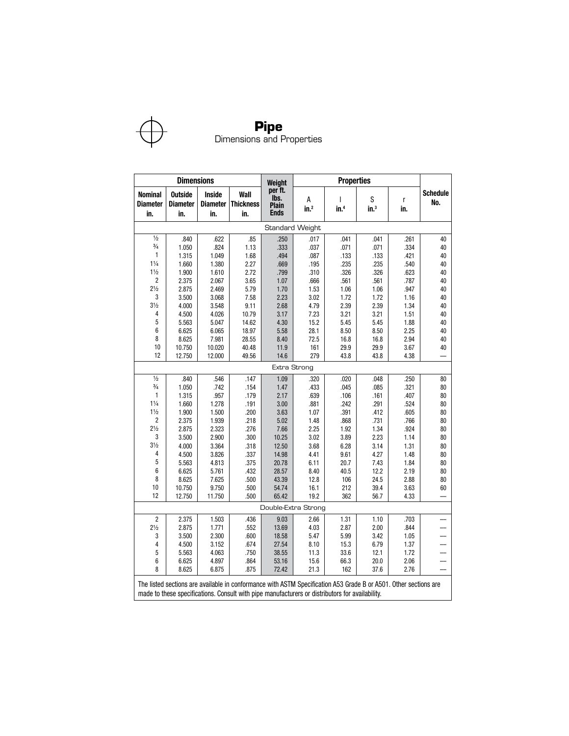

|                                          | <b>Dimensions</b>                 |                                         |                                                                                                                                                                                                                     | Weight                                  | <b>Properties</b>     |                                  |                       |              |                        |  |  |
|------------------------------------------|-----------------------------------|-----------------------------------------|---------------------------------------------------------------------------------------------------------------------------------------------------------------------------------------------------------------------|-----------------------------------------|-----------------------|----------------------------------|-----------------------|--------------|------------------------|--|--|
| <b>Nominal</b><br><b>Diameter</b><br>in. | <b>Outside</b><br>Diameter<br>in. | <b>Inside</b><br><b>Diameter</b><br>in. | Wall<br><b>Thickness</b><br>in.                                                                                                                                                                                     | per ft.<br>lbs.<br>Plain<br><b>Ends</b> | А<br>in. <sup>2</sup> | $\mathsf{I}$<br>in. <sup>4</sup> | S<br>$\mathsf{in.}^3$ | r<br>in.     | <b>Schedule</b><br>No. |  |  |
|                                          |                                   |                                         |                                                                                                                                                                                                                     |                                         | Standard Weight       |                                  |                       |              |                        |  |  |
| $\frac{1}{2}$                            | .840                              | .622                                    | .85                                                                                                                                                                                                                 | .250                                    | .017                  | .041                             | .041                  | .261         | 40                     |  |  |
| $\frac{3}{4}$                            | 1.050                             | .824                                    | 1.13                                                                                                                                                                                                                | .333                                    | .037                  | .071                             | .071                  | .334         | 40                     |  |  |
| 1                                        | 1.315                             | 1.049                                   | 1.68                                                                                                                                                                                                                | .494                                    | .087                  | .133                             | .133                  | .421         | 40                     |  |  |
| $1\frac{1}{4}$                           | 1.660                             | 1.380                                   | 2.27                                                                                                                                                                                                                | .669                                    | .195                  | .235                             | .235                  | .540         | 40                     |  |  |
| $1\frac{1}{2}$                           | 1.900                             | 1.610                                   | 2.72                                                                                                                                                                                                                | .799                                    | .310                  | .326                             | .326                  | .623         | 40                     |  |  |
| 2                                        | 2.375                             | 2.067                                   | 3.65                                                                                                                                                                                                                | 1.07                                    | .666                  | .561                             | .561                  | .787         | 40                     |  |  |
| $2\frac{1}{2}$                           | 2.875                             | 2.469                                   | 5.79                                                                                                                                                                                                                | 1.70                                    | 1.53                  | 1.06                             | 1.06                  | .947         | 40                     |  |  |
| 3                                        | 3.500                             | 3.068                                   | 7.58                                                                                                                                                                                                                | 2.23                                    | 3.02                  | 1.72                             | 1.72                  | 1.16         | 40                     |  |  |
| $3\frac{1}{2}$                           | 4.000                             | 3.548                                   | 9.11                                                                                                                                                                                                                | 2.68                                    | 4.79                  | 2.39                             | 2.39                  | 1.34         | 40                     |  |  |
| 4                                        | 4.500                             | 4.026                                   | 10.79                                                                                                                                                                                                               | 3.17                                    | 7.23                  | 3.21                             | 3.21                  | 1.51         | 40                     |  |  |
| 5                                        | 5.563                             | 5.047                                   | 14.62                                                                                                                                                                                                               | 4.30                                    | 15.2                  | 5.45                             | 5.45                  | 1.88         | 40                     |  |  |
| 6<br>8                                   | 6.625                             | 6.065                                   | 18.97                                                                                                                                                                                                               | 5.58                                    | 28.1                  | 8.50                             | 8.50                  | 2.25         | 40                     |  |  |
| 10                                       | 8.625                             | 7.981                                   | 28.55                                                                                                                                                                                                               | 8.40                                    | 72.5                  | 16.8                             | 16.8<br>29.9          | 2.94         | 40                     |  |  |
| 12                                       | 10.750<br>12.750                  | 10.020<br>12.000                        | 40.48<br>49.56                                                                                                                                                                                                      | 11.9<br>14.6                            | 161<br>279            | 29.9<br>43.8                     | 43.8                  | 3.67<br>4.38 | 40                     |  |  |
| Extra Strong                             |                                   |                                         |                                                                                                                                                                                                                     |                                         |                       |                                  |                       |              |                        |  |  |
| $\frac{1}{2}$                            |                                   |                                         |                                                                                                                                                                                                                     |                                         |                       |                                  |                       |              |                        |  |  |
| $\frac{3}{4}$                            | .840<br>1.050                     | .546<br>.742                            | .147<br>.154                                                                                                                                                                                                        | 1.09<br>1.47                            | .320<br>.433          | .020<br>.045                     | .048<br>.085          | .250<br>.321 | 80<br>80               |  |  |
| 1                                        | 1.315                             | .957                                    | .179                                                                                                                                                                                                                | 2.17                                    | .639                  | .106                             | .161                  | .407         | 80                     |  |  |
| $1\frac{1}{4}$                           | 1.660                             | 1.278                                   | .191                                                                                                                                                                                                                | 3.00                                    | .881                  | .242                             | .291                  | .524         | 80                     |  |  |
| $1\frac{1}{2}$                           | 1.900                             | 1.500                                   | .200                                                                                                                                                                                                                | 3.63                                    | 1.07                  | .391                             | .412                  | .605         | 80                     |  |  |
| 2                                        | 2.375                             | 1.939                                   | .218                                                                                                                                                                                                                | 5.02                                    | 1.48                  | .868                             | .731                  | .766         | 80                     |  |  |
| $2\frac{1}{2}$                           | 2.875                             | 2.323                                   | .276                                                                                                                                                                                                                | 7.66                                    | 2.25                  | 1.92                             | 1.34                  | .924         | 80                     |  |  |
| 3                                        | 3.500                             | 2.900                                   | .300                                                                                                                                                                                                                | 10.25                                   | 3.02                  | 3.89                             | 2.23                  | 1.14         | 80                     |  |  |
| $3\frac{1}{2}$                           | 4.000                             | 3.364                                   | .318                                                                                                                                                                                                                | 12.50                                   | 3.68                  | 6.28                             | 3.14                  | 1.31         | 80                     |  |  |
| 4                                        | 4.500                             | 3.826                                   | .337                                                                                                                                                                                                                | 14.98                                   | 4.41                  | 9.61                             | 4.27                  | 1.48         | 80                     |  |  |
| 5                                        | 5.563                             | 4.813                                   | .375                                                                                                                                                                                                                | 20.78                                   | 6.11                  | 20.7                             | 7.43                  | 1.84         | 80                     |  |  |
| 6                                        | 6.625                             | 5.761                                   | .432                                                                                                                                                                                                                | 28.57                                   | 8.40                  | 40.5                             | 12.2                  | 2.19         | 80                     |  |  |
| 8                                        | 8.625                             | 7.625                                   | .500                                                                                                                                                                                                                | 43.39                                   | 12.8                  | 106                              | 24.5                  | 2.88         | 80                     |  |  |
| 10                                       | 10.750                            | 9.750                                   | .500                                                                                                                                                                                                                | 54.74                                   | 16.1                  | 212                              | 39.4                  | 3.63         | 60                     |  |  |
| 12                                       | 12.750                            | 11.750                                  | .500                                                                                                                                                                                                                | 65.42                                   | 19.2                  | 362                              | 56.7                  | 4.33         |                        |  |  |
|                                          |                                   |                                         |                                                                                                                                                                                                                     |                                         | Double-Extra Strong   |                                  |                       |              |                        |  |  |
| 2                                        | 2.375                             | 1.503                                   | .436                                                                                                                                                                                                                | 9.03                                    | 2.66                  | 1.31                             | 1.10                  | .703         |                        |  |  |
| $2\frac{1}{2}$                           | 2.875                             | 1.771                                   | .552                                                                                                                                                                                                                | 13.69                                   | 4.03                  | 2.87                             | 2.00                  | .844         |                        |  |  |
| 3                                        | 3.500                             | 2.300                                   | .600                                                                                                                                                                                                                | 18.58                                   | 5.47                  | 5.99                             | 3.42                  | 1.05         |                        |  |  |
| 4                                        | 4.500                             | 3.152                                   | .674                                                                                                                                                                                                                | 27.54                                   | 8.10                  | 15.3                             | 6.79                  | 1.37         |                        |  |  |
| 5                                        | 5.563                             | 4.063                                   | .750                                                                                                                                                                                                                | 38.55                                   | 11.3                  | 33.6                             | 12.1                  | 1.72         |                        |  |  |
| 6                                        | 6.625                             | 4.897                                   | .864                                                                                                                                                                                                                | 53.16                                   | 15.6                  | 66.3                             | 20.0                  | 2.06         |                        |  |  |
| 8                                        | 8.625                             | 6.875                                   | .875                                                                                                                                                                                                                | 72.42                                   | 21.3                  | 162                              | 37.6                  | 2.76         |                        |  |  |
|                                          |                                   |                                         | The listed sections are available in conformance with ASTM Specification A53 Grade B or A501. Other sections are<br>made to these specifications. Consult with pipe manufacturers or distributors for availability. |                                         |                       |                                  |                       |              |                        |  |  |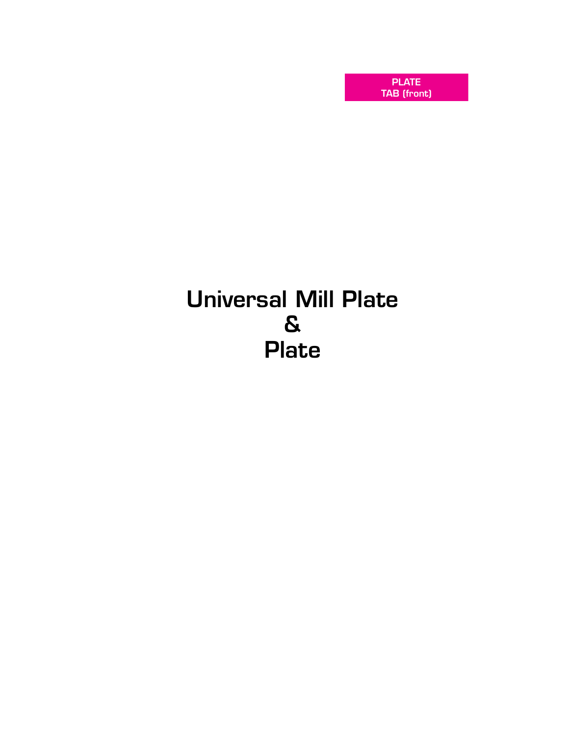PLATE TAB (front)

# Universal Mill Plate & Plate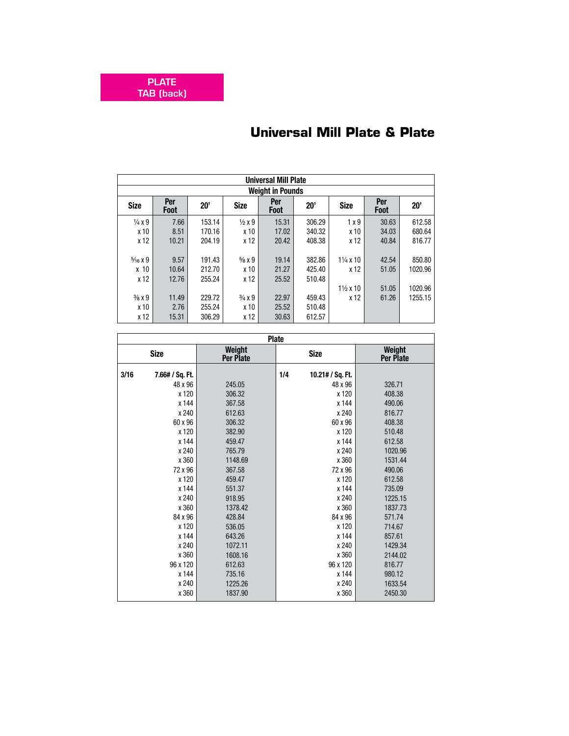|                         | <b>Universal Mill Plate</b> |        |                        |                    |        |                     |                    |         |  |  |  |  |  |
|-------------------------|-----------------------------|--------|------------------------|--------------------|--------|---------------------|--------------------|---------|--|--|--|--|--|
| <b>Weight in Pounds</b> |                             |        |                        |                    |        |                     |                    |         |  |  |  |  |  |
| <b>Size</b>             | Per<br><b>Foot</b>          | 20'    | <b>Size</b>            | Per<br><b>Foot</b> | 20'    | <b>Size</b>         | Per<br><b>Foot</b> | 20'     |  |  |  |  |  |
| $\frac{1}{4}x9$         | 7.66                        | 153.14 | $\frac{1}{2}x9$        | 15.31              | 306.29 | 1x9                 | 30.63              | 612.58  |  |  |  |  |  |
| x 10                    | 8.51                        | 170.16 | x 10                   | 17.02              | 340.32 | x 10                | 34.03              | 680.64  |  |  |  |  |  |
| x 12                    | 10.21                       | 204.19 | x 12                   | 20.42              | 408.38 | x 12                | 40.84              | 816.77  |  |  |  |  |  |
|                         |                             |        |                        |                    |        |                     |                    |         |  |  |  |  |  |
| $\frac{5}{16}$ X 9      | 9.57                        | 191.43 | $\frac{5}{8}$ x 9      | 19.14              | 382.86 | $1\frac{1}{4}$ x 10 | 42.54              | 850.80  |  |  |  |  |  |
| x <sub>10</sub>         | 10.64                       | 212.70 | x 10                   | 21.27              | 425.40 | x 12                | 51.05              | 1020.96 |  |  |  |  |  |
| x 12                    | 12.76                       | 255.24 | x 12                   | 25.52              | 510.48 |                     |                    |         |  |  |  |  |  |
|                         |                             |        |                        |                    |        | $1\frac{1}{2}$ x 10 | 51.05              | 1020.96 |  |  |  |  |  |
| $\frac{3}{8}$ x 9       | 11.49                       | 229.72 | $\frac{3}{4} \times 9$ | 22.97              | 459.43 | x 12                | 61.26              | 1255.15 |  |  |  |  |  |
| x 10                    | 2.76                        | 255.24 | x 10                   | 25.52              | 510.48 |                     |                    |         |  |  |  |  |  |
| x 12                    | 15.31                       | 306.29 | x 12                   | 30.63              | 612.57 |                     |                    |         |  |  |  |  |  |

## **Universal Mill Plate & Plate**

|      | <b>Plate</b>    |                     |     |                  |                     |  |  |  |  |  |  |  |  |
|------|-----------------|---------------------|-----|------------------|---------------------|--|--|--|--|--|--|--|--|
|      | <b>Size</b>     | Weight<br>Per Plate |     | <b>Size</b>      | Weight<br>Per Plate |  |  |  |  |  |  |  |  |
| 3/16 | 7.66# / Sq. Ft. |                     | 1/4 | 10.21# / Sq. Ft. |                     |  |  |  |  |  |  |  |  |
|      | 48 x 96         | 245.05              |     | 48 x 96          | 326.71              |  |  |  |  |  |  |  |  |
|      | x 120           | 306.32              |     | x 120            | 408.38              |  |  |  |  |  |  |  |  |
|      | x 144           | 367.58              |     | x 144            | 490.06              |  |  |  |  |  |  |  |  |
|      | x 240           | 612.63              |     | x 240            | 816.77              |  |  |  |  |  |  |  |  |
|      | 60 x 96         | 306.32              |     | 60 x 96          | 408.38              |  |  |  |  |  |  |  |  |
|      | x 120           | 382.90              |     | x 120            | 510.48              |  |  |  |  |  |  |  |  |
|      | x 144           | 459.47              |     | x 144            | 612.58              |  |  |  |  |  |  |  |  |
|      | x 240           | 765.79              |     | x 240            | 1020.96             |  |  |  |  |  |  |  |  |
|      | x 360           | 1148.69             |     | x 360            | 1531.44             |  |  |  |  |  |  |  |  |
|      | 72 x 96         | 367.58              |     | 72 x 96          | 490.06              |  |  |  |  |  |  |  |  |
|      | x 120           | 459.47              |     | x 120            | 612.58              |  |  |  |  |  |  |  |  |
|      | x 144           | 551.37              |     | x 144            | 735.09              |  |  |  |  |  |  |  |  |
|      | x 240           | 918.95              |     | x 240            | 1225.15             |  |  |  |  |  |  |  |  |
|      | x 360           | 1378.42             |     | x 360            | 1837.73             |  |  |  |  |  |  |  |  |
|      | 84 x 96         | 428.84              |     | 84 x 96          | 571.74              |  |  |  |  |  |  |  |  |
|      | x 120           | 536.05              |     | x 120            | 714.67              |  |  |  |  |  |  |  |  |
|      | x 144           | 643.26              |     | x 144            | 857.61              |  |  |  |  |  |  |  |  |
|      | x 240           | 1072.11             |     | x 240            | 1429.34             |  |  |  |  |  |  |  |  |
|      | x 360           | 1608.16             |     | x 360            | 2144.02             |  |  |  |  |  |  |  |  |
|      | 96 x 120        | 612.63              |     | 96 x 120         | 816.77              |  |  |  |  |  |  |  |  |
|      | x 144           | 735.16              |     | x 144            | 980.12              |  |  |  |  |  |  |  |  |
|      | x 240           | 1225.26             |     | x 240            | 1633.54             |  |  |  |  |  |  |  |  |
|      | x 360           | 1837.90             |     | x 360            | 2450.30             |  |  |  |  |  |  |  |  |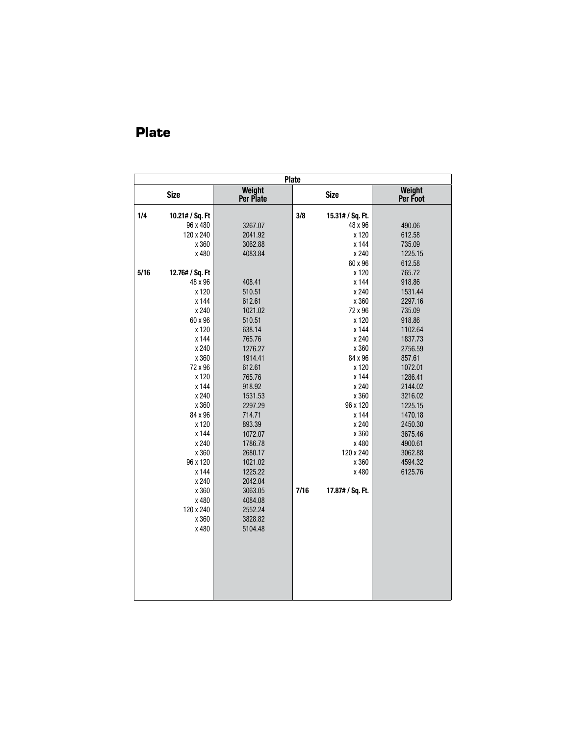|      | <b>Plate</b>    |                     |      |                  |                    |  |  |  |  |  |  |  |  |
|------|-----------------|---------------------|------|------------------|--------------------|--|--|--|--|--|--|--|--|
|      | <b>Size</b>     | Weight<br>Per Plate |      | <b>Size</b>      | Weight<br>Per Foot |  |  |  |  |  |  |  |  |
| 1/4  | 10.21# / Sq. Ft |                     | 3/8  | 15.31# / Sq. Ft. |                    |  |  |  |  |  |  |  |  |
|      | 96 x 480        | 3267.07             |      | 48 x 96          | 490.06             |  |  |  |  |  |  |  |  |
|      | 120 x 240       | 2041.92             |      | x 120            | 612.58             |  |  |  |  |  |  |  |  |
|      | x 360           | 3062.88             |      | x 144            | 735.09             |  |  |  |  |  |  |  |  |
|      | x 480           | 4083.84             |      | x 240            | 1225.15            |  |  |  |  |  |  |  |  |
|      |                 |                     |      | 60 x 96          | 612.58             |  |  |  |  |  |  |  |  |
| 5/16 | 12.76# / Sq. Ft |                     |      | x 120            | 765.72             |  |  |  |  |  |  |  |  |
|      | 48 x 96         | 408.41              |      | x 144            | 918.86             |  |  |  |  |  |  |  |  |
|      | x 120           | 510.51              |      | x 240            | 1531.44            |  |  |  |  |  |  |  |  |
|      | x 144           | 612.61              |      | x 360            | 2297.16            |  |  |  |  |  |  |  |  |
|      | x 240           | 1021.02             |      | 72 x 96          | 735.09             |  |  |  |  |  |  |  |  |
|      | 60 x 96         | 510.51              |      | x 120            | 918.86             |  |  |  |  |  |  |  |  |
|      | x 120           | 638.14              |      | x 144            | 1102.64            |  |  |  |  |  |  |  |  |
|      | x 144           | 765.76              |      | x 240            | 1837.73            |  |  |  |  |  |  |  |  |
|      | x 240           | 1276.27             |      | x 360            | 2756.59            |  |  |  |  |  |  |  |  |
|      | x 360           | 1914.41             |      | 84 x 96          | 857.61             |  |  |  |  |  |  |  |  |
|      | 72 x 96         | 612.61              |      | x 120            | 1072.01            |  |  |  |  |  |  |  |  |
|      | x 120           | 765.76              |      | x 144            | 1286.41            |  |  |  |  |  |  |  |  |
|      | x 144           | 918.92              |      | x 240            | 2144.02            |  |  |  |  |  |  |  |  |
|      | x 240           | 1531.53             |      | x 360            | 3216.02            |  |  |  |  |  |  |  |  |
|      | x 360           | 2297.29             |      | 96 x 120         | 1225.15            |  |  |  |  |  |  |  |  |
|      | 84 x 96         | 714.71              |      | x 144            | 1470.18            |  |  |  |  |  |  |  |  |
|      | x 120           | 893.39              |      | x 240            | 2450.30            |  |  |  |  |  |  |  |  |
|      | x 144           | 1072.07             |      | x 360            | 3675.46            |  |  |  |  |  |  |  |  |
|      | x 240           | 1786.78             |      | x 480            | 4900.61            |  |  |  |  |  |  |  |  |
|      | x 360           | 2680.17             |      | 120 x 240        | 3062.88            |  |  |  |  |  |  |  |  |
|      | 96 x 120        | 1021.02             |      | x 360            | 4594.32            |  |  |  |  |  |  |  |  |
|      | x 144           | 1225.22             |      | x 480            | 6125.76            |  |  |  |  |  |  |  |  |
|      | x 240           | 2042.04             |      |                  |                    |  |  |  |  |  |  |  |  |
|      | x 360           | 3063.05             | 7/16 | 17.87# / Sq. Ft. |                    |  |  |  |  |  |  |  |  |
|      | x 480           | 4084.08             |      |                  |                    |  |  |  |  |  |  |  |  |
|      | 120 x 240       | 2552.24             |      |                  |                    |  |  |  |  |  |  |  |  |
|      | x 360           | 3828.82             |      |                  |                    |  |  |  |  |  |  |  |  |
|      | x 480           | 5104.48             |      |                  |                    |  |  |  |  |  |  |  |  |
|      |                 |                     |      |                  |                    |  |  |  |  |  |  |  |  |
|      |                 |                     |      |                  |                    |  |  |  |  |  |  |  |  |
|      |                 |                     |      |                  |                    |  |  |  |  |  |  |  |  |
|      |                 |                     |      |                  |                    |  |  |  |  |  |  |  |  |
|      |                 |                     |      |                  |                    |  |  |  |  |  |  |  |  |
|      |                 |                     |      |                  |                    |  |  |  |  |  |  |  |  |
|      |                 |                     |      |                  |                    |  |  |  |  |  |  |  |  |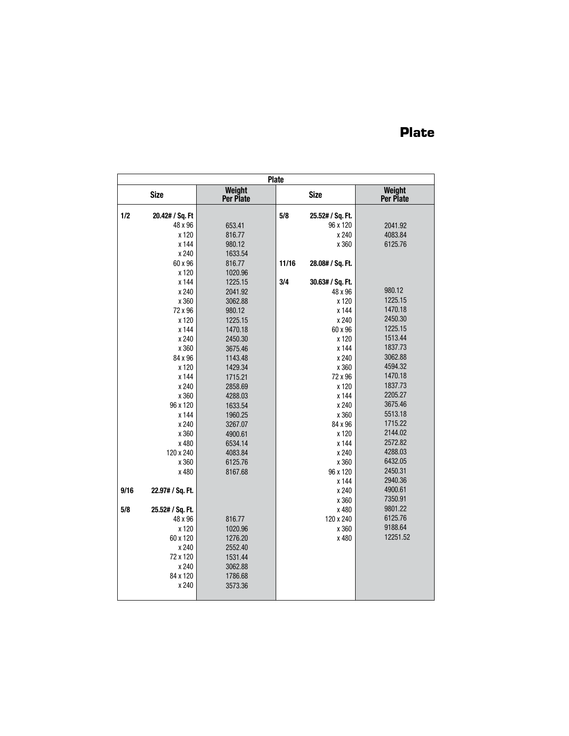|      | <b>Plate</b>     |                     |       |                  |                     |  |  |  |  |  |  |  |
|------|------------------|---------------------|-------|------------------|---------------------|--|--|--|--|--|--|--|
|      | <b>Size</b>      | Weight<br>Per Plate |       | <b>Size</b>      | Weight<br>Per Plate |  |  |  |  |  |  |  |
| 1/2  | 20.42# / Sq. Ft  |                     | 5/8   | 25.52# / Sq. Ft. |                     |  |  |  |  |  |  |  |
|      | 48 x 96          | 653.41              |       | 96 x 120         | 2041.92             |  |  |  |  |  |  |  |
|      | x 120            | 816.77              |       | x 240            | 4083.84             |  |  |  |  |  |  |  |
|      | x 144            | 980.12              |       | x 360            | 6125.76             |  |  |  |  |  |  |  |
|      | x 240            | 1633.54             |       |                  |                     |  |  |  |  |  |  |  |
|      | 60 x 96          | 816.77              | 11/16 | 28.08# / Sq. Ft. |                     |  |  |  |  |  |  |  |
|      | x 120            | 1020.96             |       |                  |                     |  |  |  |  |  |  |  |
|      | x 144            | 1225.15             | 3/4   | 30.63# / Sq. Ft. |                     |  |  |  |  |  |  |  |
|      | x 240            | 2041.92             |       | 48 x 96          | 980.12              |  |  |  |  |  |  |  |
|      | x 360            | 3062.88             |       | x 120            | 1225.15             |  |  |  |  |  |  |  |
|      | 72 x 96          | 980.12              |       | x 144            | 1470.18             |  |  |  |  |  |  |  |
|      | x 120            | 1225.15             |       | x 240            | 2450.30             |  |  |  |  |  |  |  |
|      | x 144            | 1470.18             |       | 60 x 96          | 1225.15             |  |  |  |  |  |  |  |
|      | x 240            | 2450.30             |       | x 120            | 1513.44             |  |  |  |  |  |  |  |
|      | x 360            | 3675.46             |       | x 144            | 1837.73             |  |  |  |  |  |  |  |
|      | 84 x 96          | 1143.48             |       | x 240            | 3062.88             |  |  |  |  |  |  |  |
|      | x 120            | 1429.34             |       | x 360            | 4594.32             |  |  |  |  |  |  |  |
|      | x 144            | 1715.21             |       | 72 x 96          | 1470.18             |  |  |  |  |  |  |  |
|      | x 240            | 2858.69             |       | x 120            | 1837.73             |  |  |  |  |  |  |  |
|      | x 360            | 4288.03             |       | x 144            | 2205.27             |  |  |  |  |  |  |  |
|      | 96 x 120         | 1633.54             |       | x 240            | 3675.46             |  |  |  |  |  |  |  |
|      | x 144            | 1960.25             |       | x 360            | 5513.18             |  |  |  |  |  |  |  |
|      | x 240            | 3267.07             |       | 84 x 96          | 1715.22             |  |  |  |  |  |  |  |
|      | x 360            | 4900.61             |       | x 120            | 2144.02             |  |  |  |  |  |  |  |
|      | x 480            | 6534.14             |       | x 144            | 2572.82             |  |  |  |  |  |  |  |
|      | 120 x 240        | 4083.84             |       | x 240            | 4288.03             |  |  |  |  |  |  |  |
|      | x 360            | 6125.76             |       | x 360            | 6432.05             |  |  |  |  |  |  |  |
|      | x 480            | 8167.68             |       | 96 x 120         | 2450.31             |  |  |  |  |  |  |  |
|      |                  |                     |       | x 144            | 2940.36             |  |  |  |  |  |  |  |
| 9/16 | 22.97# / Sq. Ft. |                     |       | x 240            | 4900.61             |  |  |  |  |  |  |  |
|      |                  |                     |       | x 360            | 7350.91             |  |  |  |  |  |  |  |
| 5/8  | 25.52# / Sq. Ft. |                     |       | x 480            | 9801.22             |  |  |  |  |  |  |  |
|      | 48 x 96          | 816.77              |       | 120 x 240        | 6125.76             |  |  |  |  |  |  |  |
|      | x 120            | 1020.96             |       | x 360            | 9188.64             |  |  |  |  |  |  |  |
|      | 60 x 120         | 1276.20             |       | x 480            | 12251.52            |  |  |  |  |  |  |  |
|      | x 240            | 2552.40             |       |                  |                     |  |  |  |  |  |  |  |
|      | 72 x 120         | 1531.44             |       |                  |                     |  |  |  |  |  |  |  |
|      | x 240            | 3062.88             |       |                  |                     |  |  |  |  |  |  |  |
|      | 84 x 120         | 1786.68             |       |                  |                     |  |  |  |  |  |  |  |
|      | x 240            | 3573.36             |       |                  |                     |  |  |  |  |  |  |  |
|      |                  |                     |       |                  |                     |  |  |  |  |  |  |  |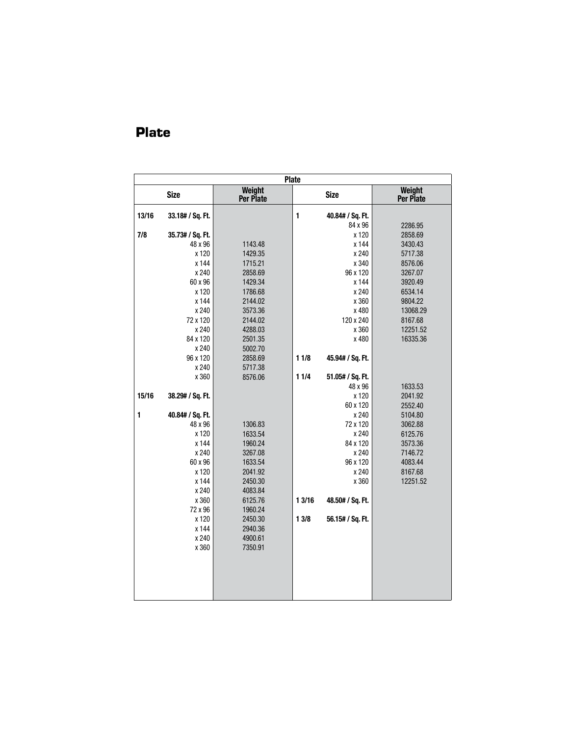|       | <b>Plate</b>     |                     |              |                  |                     |  |  |  |  |  |  |  |  |
|-------|------------------|---------------------|--------------|------------------|---------------------|--|--|--|--|--|--|--|--|
|       | <b>Size</b>      | Weight<br>Per Plate |              | <b>Size</b>      | Weight<br>Per Plate |  |  |  |  |  |  |  |  |
| 13/16 | 33.18# / Sq. Ft. |                     | $\mathbf{1}$ | 40.84# / Sq. Ft. |                     |  |  |  |  |  |  |  |  |
|       |                  |                     |              | 84 x 96          | 2286.95             |  |  |  |  |  |  |  |  |
| 7/8   | 35.73# / Sq. Ft. |                     |              | x 120            | 2858.69             |  |  |  |  |  |  |  |  |
|       | 48 x 96          | 1143.48             |              | x 144            | 3430.43             |  |  |  |  |  |  |  |  |
|       | x 120            | 1429.35             |              | x 240            | 5717.38             |  |  |  |  |  |  |  |  |
|       | x 144            | 1715.21             |              | x 340            | 8576.06             |  |  |  |  |  |  |  |  |
|       | x 240            | 2858.69             |              | 96 x 120         | 3267.07             |  |  |  |  |  |  |  |  |
|       | 60 x 96          | 1429.34             |              | x 144            | 3920.49             |  |  |  |  |  |  |  |  |
|       | x 120            | 1786.68             |              | x 240            | 6534.14             |  |  |  |  |  |  |  |  |
|       | x 144            | 2144.02             |              | x 360            | 9804.22             |  |  |  |  |  |  |  |  |
|       | x 240            | 3573.36             |              | x 480            | 13068.29            |  |  |  |  |  |  |  |  |
|       | 72 x 120         | 2144.02             |              | 120 x 240        | 8167.68             |  |  |  |  |  |  |  |  |
|       | x 240            | 4288.03             |              | x 360            | 12251.52            |  |  |  |  |  |  |  |  |
|       | 84 x 120         | 2501.35             |              | x 480            | 16335.36            |  |  |  |  |  |  |  |  |
|       | x 240            | 5002.70             |              |                  |                     |  |  |  |  |  |  |  |  |
|       | 96 x 120         | 2858.69             | 11/8         | 45.94# / Sq. Ft. |                     |  |  |  |  |  |  |  |  |
|       | x 240            | 5717.38             |              |                  |                     |  |  |  |  |  |  |  |  |
|       | x 360            | 8576.06             | 11/4         | 51.05# / Sq. Ft. |                     |  |  |  |  |  |  |  |  |
|       |                  |                     |              | 48 x 96          | 1633.53             |  |  |  |  |  |  |  |  |
| 15/16 | 38.29# / Sq. Ft. |                     |              | x 120            | 2041.92             |  |  |  |  |  |  |  |  |
|       |                  |                     |              | 60 x 120         | 2552.40             |  |  |  |  |  |  |  |  |
| 1     | 40.84# / Sq. Ft. |                     |              | x 240            | 5104.80             |  |  |  |  |  |  |  |  |
|       | 48 x 96          | 1306.83             |              | 72 x 120         | 3062.88             |  |  |  |  |  |  |  |  |
|       | x 120            | 1633.54             |              | x 240            | 6125.76             |  |  |  |  |  |  |  |  |
|       | x 144            | 1960.24             |              | 84 x 120         | 3573.36             |  |  |  |  |  |  |  |  |
|       | x 240            | 3267.08             |              | x 240            | 7146.72             |  |  |  |  |  |  |  |  |
|       | 60 x 96          | 1633.54             |              | 96 x 120         | 4083.44             |  |  |  |  |  |  |  |  |
|       | x 120            | 2041.92             |              | x 240            | 8167.68             |  |  |  |  |  |  |  |  |
|       | x 144            | 2450.30             |              | x 360            | 12251.52            |  |  |  |  |  |  |  |  |
|       | x 240            | 4083.84             |              |                  |                     |  |  |  |  |  |  |  |  |
|       | x 360            | 6125.76             | 13/16        | 48.50# / Sq. Ft. |                     |  |  |  |  |  |  |  |  |
|       | 72 x 96          | 1960.24             |              |                  |                     |  |  |  |  |  |  |  |  |
|       | x 120            | 2450.30             | 13/8         | 56.15# / Sq. Ft. |                     |  |  |  |  |  |  |  |  |
|       | x 144            | 2940.36             |              |                  |                     |  |  |  |  |  |  |  |  |
|       | x 240            | 4900.61             |              |                  |                     |  |  |  |  |  |  |  |  |
|       | x 360            | 7350.91             |              |                  |                     |  |  |  |  |  |  |  |  |
|       |                  |                     |              |                  |                     |  |  |  |  |  |  |  |  |
|       |                  |                     |              |                  |                     |  |  |  |  |  |  |  |  |
|       |                  |                     |              |                  |                     |  |  |  |  |  |  |  |  |
|       |                  |                     |              |                  |                     |  |  |  |  |  |  |  |  |
|       |                  |                     |              |                  |                     |  |  |  |  |  |  |  |  |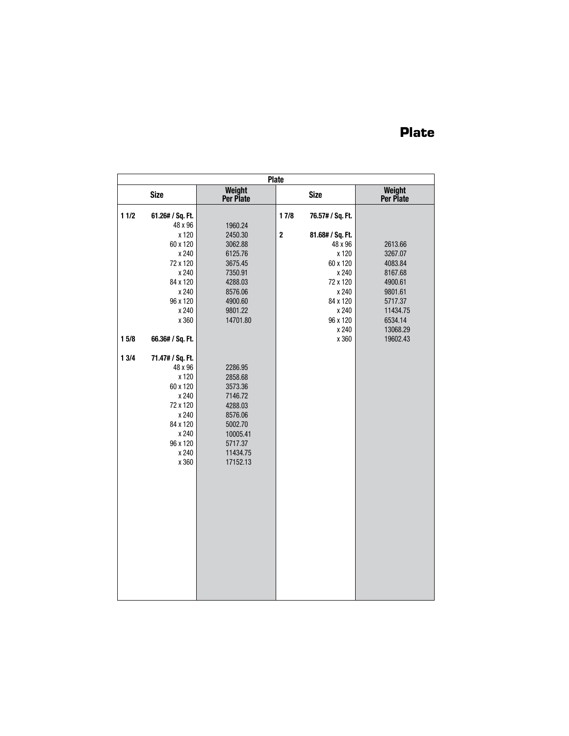|       | <b>Plate</b>     |                     |         |                  |                     |  |  |  |  |  |  |  |
|-------|------------------|---------------------|---------|------------------|---------------------|--|--|--|--|--|--|--|
|       | <b>Size</b>      | Weight<br>Per Plate |         | <b>Size</b>      | Weight<br>Per Plate |  |  |  |  |  |  |  |
| 11/2  | 61.26# / Sq. Ft. |                     | 17/8    | 76.57# / Sq. Ft. |                     |  |  |  |  |  |  |  |
|       | 48 x 96          | 1960.24             |         |                  |                     |  |  |  |  |  |  |  |
|       | x 120            | 2450.30             | $\bf 2$ | 81.68# / Sq. Ft. |                     |  |  |  |  |  |  |  |
|       | 60 x 120         | 3062.88             |         | 48 x 96          | 2613.66             |  |  |  |  |  |  |  |
|       | x 240            | 6125.76             |         | x 120            | 3267.07             |  |  |  |  |  |  |  |
|       | 72 x 120         | 3675.45             |         | 60 x 120         | 4083.84             |  |  |  |  |  |  |  |
|       | x 240            | 7350.91             |         | x 240            | 8167.68             |  |  |  |  |  |  |  |
|       | 84 x 120         | 4288.03             |         | 72 x 120         | 4900.61             |  |  |  |  |  |  |  |
|       | x 240            | 8576.06             |         | x 240            | 9801.61             |  |  |  |  |  |  |  |
|       | 96 x 120         | 4900.60             |         | 84 x 120         | 5717.37             |  |  |  |  |  |  |  |
|       | x 240            | 9801.22             |         | x 240            | 11434.75            |  |  |  |  |  |  |  |
|       | x 360            | 14701.80            |         | 96 x 120         | 6534.14             |  |  |  |  |  |  |  |
|       |                  |                     |         | x 240            | 13068.29            |  |  |  |  |  |  |  |
| 15/8  | 66.36# / Sq. Ft. |                     |         | x 360            | 19602.43            |  |  |  |  |  |  |  |
| 1 3/4 | 71.47# / Sq. Ft. |                     |         |                  |                     |  |  |  |  |  |  |  |
|       | 48 x 96          | 2286.95             |         |                  |                     |  |  |  |  |  |  |  |
|       | x 120            | 2858.68             |         |                  |                     |  |  |  |  |  |  |  |
|       | 60 x 120         | 3573.36             |         |                  |                     |  |  |  |  |  |  |  |
|       | x 240            | 7146.72             |         |                  |                     |  |  |  |  |  |  |  |
|       | 72 x 120         | 4288.03             |         |                  |                     |  |  |  |  |  |  |  |
|       | x 240            | 8576.06             |         |                  |                     |  |  |  |  |  |  |  |
|       | 84 x 120         | 5002.70             |         |                  |                     |  |  |  |  |  |  |  |
|       | x 240            | 10005.41            |         |                  |                     |  |  |  |  |  |  |  |
|       | 96 x 120         | 5717.37             |         |                  |                     |  |  |  |  |  |  |  |
|       | x 240            | 11434.75            |         |                  |                     |  |  |  |  |  |  |  |
|       | x 360            | 17152.13            |         |                  |                     |  |  |  |  |  |  |  |
|       |                  |                     |         |                  |                     |  |  |  |  |  |  |  |
|       |                  |                     |         |                  |                     |  |  |  |  |  |  |  |
|       |                  |                     |         |                  |                     |  |  |  |  |  |  |  |
|       |                  |                     |         |                  |                     |  |  |  |  |  |  |  |
|       |                  |                     |         |                  |                     |  |  |  |  |  |  |  |
|       |                  |                     |         |                  |                     |  |  |  |  |  |  |  |
|       |                  |                     |         |                  |                     |  |  |  |  |  |  |  |
|       |                  |                     |         |                  |                     |  |  |  |  |  |  |  |
|       |                  |                     |         |                  |                     |  |  |  |  |  |  |  |
|       |                  |                     |         |                  |                     |  |  |  |  |  |  |  |
|       |                  |                     |         |                  |                     |  |  |  |  |  |  |  |
|       |                  |                     |         |                  |                     |  |  |  |  |  |  |  |
|       |                  |                     |         |                  |                     |  |  |  |  |  |  |  |
|       |                  |                     |         |                  |                     |  |  |  |  |  |  |  |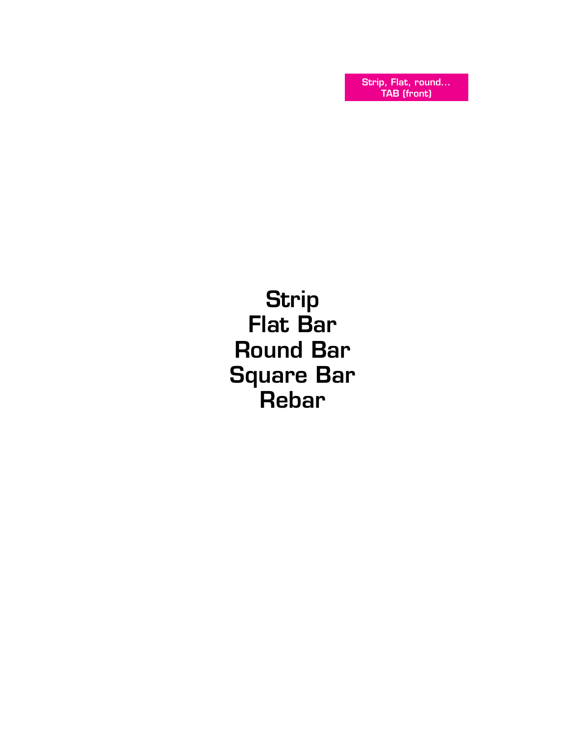Strip, Flat, round... TAB (front)

**Strip** Flat Bar Round Bar Square Bar Rebar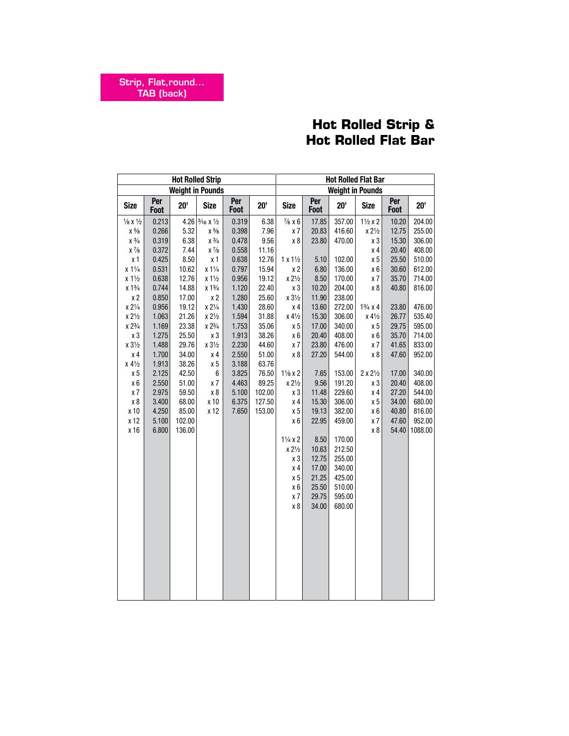## **Hot Rolled Strip & Hot Rolled Flat Bar**

|                               | <b>Hot Rolled Strip</b> |        |                                     |             |        |                   | <b>Hot Rolled Flat Bar</b> |                         |                         |             |         |
|-------------------------------|-------------------------|--------|-------------------------------------|-------------|--------|-------------------|----------------------------|-------------------------|-------------------------|-------------|---------|
|                               |                         |        | <b>Weight in Pounds</b>             |             |        |                   |                            | <b>Weight in Pounds</b> |                         |             |         |
| <b>Size</b>                   | Per<br>Foot             | 20'    | <b>Size</b>                         | Per<br>Foot | 20'    | <b>Size</b>       | Per<br>Foot                | 20'                     | <b>Size</b>             | Per<br>Foot | 20'     |
| $\frac{1}{8}$ X $\frac{1}{2}$ | 0.213                   |        | 4.26 $\frac{3}{16}$ X $\frac{1}{2}$ | 0.319       | 6.38   | $\frac{7}{8}$ x 6 | 17.85                      | 357.00                  | $1\frac{1}{2}x2$        | 10.20       | 204.00  |
| $\chi~5\!/_{\!8}$             | 0.266                   | 5.32   | $\times$ $^{5}\!\!/\!\!{}_{8}$      | 0.398       | 7.96   | x7                | 20.83                      | 416.60                  | $x 2\frac{1}{2}$        | 12.75       | 255.00  |
| $\chi$ $3\!/\!$               | 0.319                   | 6.38   | $x\frac{3}{4}$                      | 0.478       | 9.56   | x 8               | 23.80                      | 470.00                  | x <sub>3</sub>          | 15.30       | 306.00  |
| $\chi$ $\frac{7}{8}$          | 0.372                   | 7.44   | $x\frac{7}{8}$                      | 0.558       | 11.16  |                   |                            |                         | x 4                     | 20.40       | 408.00  |
| x <sub>1</sub>                | 0.425                   | 8.50   | $\times$ 1                          | 0.638       | 12.76  | $1x1\frac{1}{2}$  | 5.10                       | 102.00                  | x <sub>5</sub>          | 25.50       | 510.00  |
| $x 1\frac{1}{4}$              | 0.531                   | 10.62  | $x 1\frac{1}{4}$                    | 0.797       | 15.94  | $\times 2$        | 6.80                       | 136.00                  | х6                      | 30.60       | 612.00  |
| $x 1\frac{1}{2}$              | 0.638                   | 12.76  | $x 1\frac{1}{2}$                    | 0.956       | 19.12  | $x 2\frac{1}{2}$  | 8.50                       | 170.00                  | x7                      | 35.70       | 714.00  |
| $x 1\frac{3}{4}$              | 0.744                   | 14.88  | $x 1\frac{3}{4}$                    | 1.120       | 22.40  | $\times\,3$       | 10.20                      | 204.00                  | x 8                     | 40.80       | 816.00  |
| x <sub>2</sub>                | 0.850                   | 17.00  | x 2                                 | 1.280       | 25.60  | $x 3\frac{1}{2}$  | 11.90                      | 238.00                  |                         |             |         |
| $x 2\frac{1}{4}$              | 0.956                   | 19.12  | $x 2\frac{1}{4}$                    | 1.430       | 28.60  | x 4               | 13.60                      | 272.00                  | $1\frac{3}{4}x4$        | 23.80       | 476.00  |
| $x 2\frac{1}{2}$              | 1.063                   | 21.26  | $x 2\frac{1}{2}$                    | 1.594       | 31.88  | $x 4\frac{1}{2}$  | 15.30                      | 306.00                  | $x 4\frac{1}{2}$        | 26.77       | 535.40  |
| $\times$ 23/4                 | 1.169                   | 23.38  | $x 2\frac{3}{4}$                    | 1.753       | 35.06  | $\times 5$        | 17.00                      | 340.00                  | $\times$ 5              | 29.75       | 595.00  |
| $x_3$                         | 1.275                   | 25.50  | х3                                  | 1.913       | 38.26  | x 6               | 20.40                      | 408.00                  | x 6                     | 35.70       | 714.00  |
| $x 3\frac{1}{2}$              | 1.488                   | 29.76  | $x 3\frac{1}{2}$                    | 2.230       | 44.60  | x 7               | 23.80                      | 476.00                  | x 7                     | 41.65       | 833.00  |
| x <sub>4</sub>                | 1.700                   | 34.00  | x <sub>4</sub>                      | 2.550       | 51.00  | x 8               | 27.20                      | 544.00                  | x 8                     | 47.60       | 952.00  |
| $x 4\frac{1}{2}$              | 1.913                   | 38.26  | x <sub>5</sub>                      | 3.188       | 63.76  |                   |                            |                         |                         |             |         |
| x <sub>5</sub>                | 2.125                   | 42.50  | 6                                   | 3.825       | 76.50  | $1\frac{1}{8}x2$  | 7.65                       | 153.00                  | $2 \times 2\frac{1}{2}$ | 17.00       | 340.00  |
| x 6                           | 2.550                   | 51.00  | x7                                  | 4.463       | 89.25  | $x 2\frac{1}{2}$  | 9.56                       | 191.20                  | х3                      | 20.40       | 408.00  |
| x7                            | 2.975                   | 59.50  | x 8                                 | 5.100       | 102.00 | x 3               | 11.48                      | 229.60                  | x <sub>4</sub>          | 27.20       | 544.00  |
| x8                            | 3.400                   | 68.00  | x 10                                | 6.375       | 127.50 | x 4               | 15.30                      | 306.00                  | x <sub>5</sub>          | 34.00       | 680.00  |
| x 10                          | 4.250                   | 85.00  | x 12                                | 7.650       | 153.00 | x <sub>5</sub>    | 19.13                      | 382.00                  | x 6                     | 40.80       | 816.00  |
| x 12                          | 5.100                   | 102.00 |                                     |             |        | x 6               | 22.95                      | 459.00                  | $\times 7$              | 47.60       | 952.00  |
| x 16                          | 6.800                   | 136.00 |                                     |             |        |                   |                            |                         | x 8                     | 54.40       | 1088.00 |
|                               |                         |        |                                     |             |        | $1\frac{1}{4}x2$  | 8.50                       | 170.00                  |                         |             |         |
|                               |                         |        |                                     |             |        | $x 2\frac{1}{2}$  | 10.63                      | 212.50                  |                         |             |         |
|                               |                         |        |                                     |             |        | x3                | 12.75                      | 255.00                  |                         |             |         |
|                               |                         |        |                                     |             |        | x 4               | 17.00                      | 340.00                  |                         |             |         |
|                               |                         |        |                                     |             |        | x 5               | 21.25                      | 425.00                  |                         |             |         |
|                               |                         |        |                                     |             |        | x 6<br>x 7        | 25.50<br>29.75             | 510.00<br>595.00        |                         |             |         |
|                               |                         |        |                                     |             |        |                   |                            |                         |                         |             |         |
|                               |                         |        |                                     |             |        | x 8               | 34.00                      | 680.00                  |                         |             |         |
|                               |                         |        |                                     |             |        |                   |                            |                         |                         |             |         |
|                               |                         |        |                                     |             |        |                   |                            |                         |                         |             |         |
|                               |                         |        |                                     |             |        |                   |                            |                         |                         |             |         |
|                               |                         |        |                                     |             |        |                   |                            |                         |                         |             |         |
|                               |                         |        |                                     |             |        |                   |                            |                         |                         |             |         |
|                               |                         |        |                                     |             |        |                   |                            |                         |                         |             |         |
|                               |                         |        |                                     |             |        |                   |                            |                         |                         |             |         |
|                               |                         |        |                                     |             |        |                   |                            |                         |                         |             |         |
|                               |                         |        |                                     |             |        |                   |                            |                         |                         |             |         |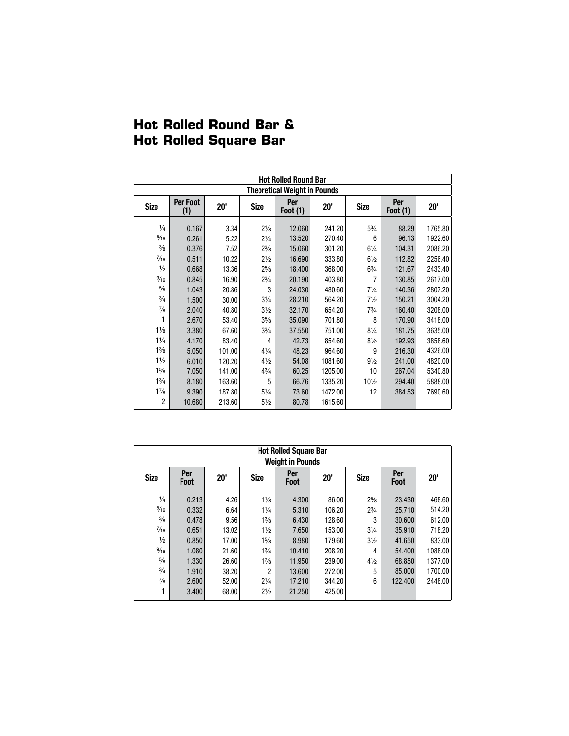|  | <b>Hot Rolled Round Bar &amp;</b> |  |
|--|-----------------------------------|--|
|  | <b>Hot Rolled Square Bar</b>      |  |
|  |                                   |  |

|                                 |                 |        |                | <b>Hot Rolled Round Bar</b>         |         |                 |                        |         |
|---------------------------------|-----------------|--------|----------------|-------------------------------------|---------|-----------------|------------------------|---------|
|                                 |                 |        |                | <b>Theoretical Weight in Pounds</b> |         |                 |                        |         |
| <b>Size</b>                     | Per Foot<br>(1) | 20'    | Size           | Per<br><b>Foot (1)</b>              | 20'     | <b>Size</b>     | Per<br><b>Foot (1)</b> | 20'     |
| $\frac{1}{4}$<br>$\frac{5}{16}$ | 0.167           | 3.34   | $2\frac{1}{8}$ | 12.060                              | 241.20  | $5\frac{3}{4}$  | 88.29                  | 1765.80 |
| $\frac{3}{8}$                   | 0.261           | 5.22   | $2\frac{1}{4}$ | 13.520                              | 270.40  | 6               | 96.13                  | 1922.60 |
|                                 | 0.376           | 7.52   | $2\frac{3}{8}$ | 15.060                              | 301.20  | $6\frac{1}{4}$  | 104.31                 | 2086.20 |
| $\frac{7}{16}$                  | 0.511           | 10.22  | $2\frac{1}{2}$ | 16.690                              | 333.80  | $6\frac{1}{2}$  | 112.82                 | 2256.40 |
| $\frac{1}{2}$                   | 0.668           | 13.36  | $2\frac{5}{8}$ | 18.400                              | 368.00  | $6\frac{3}{4}$  | 121.67                 | 2433.40 |
| $\frac{9}{16}$                  | 0.845           | 16.90  | $2\frac{3}{4}$ | 20.190                              | 403.80  | 7               | 130.85                 | 2617.00 |
| $\frac{5}{8}$                   | 1.043           | 20.86  | 3              | 24.030                              | 480.60  | $7\frac{1}{4}$  | 140.36                 | 2807.20 |
| $\frac{3}{4}$                   | 1.500           | 30.00  | $3\frac{1}{4}$ | 28.210                              | 564.20  | $7\frac{1}{2}$  | 150.21                 | 3004.20 |
| $\frac{7}{8}$                   | 2.040           | 40.80  | $3\frac{1}{2}$ | 32.170                              | 654.20  | $7\frac{3}{4}$  | 160.40                 | 3208.00 |
| $1\frac{1}{8}$                  | 2.670           | 53.40  | $3\frac{5}{8}$ | 35.090                              | 701.80  | 8               | 170.90                 | 3418.00 |
|                                 | 3.380           | 67.60  | $3\frac{3}{4}$ | 37.550                              | 751.00  | $8\frac{1}{4}$  | 181.75                 | 3635.00 |
| $1\frac{1}{4}$                  | 4.170           | 83.40  | 4              | 42.73                               | 854.60  | $8\frac{1}{2}$  | 192.93                 | 3858.60 |
| $1\frac{3}{8}$                  | 5.050           | 101.00 | $4\frac{1}{4}$ | 48.23                               | 964.60  | 9               | 216.30                 | 4326.00 |
| $1\frac{1}{2}$                  | 6.010           | 120.20 | $4\frac{1}{2}$ | 54.08                               | 1081.60 | $9\frac{1}{2}$  | 241.00                 | 4820.00 |
| $1\frac{5}{8}$                  | 7.050           | 141.00 | $4\frac{3}{4}$ | 60.25                               | 1205.00 | 10              | 267.04                 | 5340.80 |
| $1\frac{3}{4}$                  | 8.180           | 163.60 | 5              | 66.76                               | 1335.20 | $10\frac{1}{2}$ | 294.40                 | 5888.00 |
| $1\frac{7}{8}$                  | 9.390           | 187.80 | $5\frac{1}{4}$ | 73.60                               | 1472.00 | 12              | 384.53                 | 7690.60 |
| $\overline{c}$                  | 10.680          | 213.60 | $5\frac{1}{2}$ | 80.78                               | 1615.60 |                 |                        |         |

|                |                    |       |                | <b>Hot Rolled Square Bar</b> |        |                |                    |         |
|----------------|--------------------|-------|----------------|------------------------------|--------|----------------|--------------------|---------|
|                |                    |       |                | <b>Weight in Pounds</b>      |        |                |                    |         |
| <b>Size</b>    | Per<br><b>Foot</b> | 20'   | <b>Size</b>    | Per<br><b>Foot</b>           | 20'    | <b>Size</b>    | Per<br><b>Foot</b> | 20'     |
| $\frac{1}{4}$  | 0.213              | 4.26  | $1\frac{1}{8}$ | 4.300                        | 86.00  | $2^{5}/8$      | 23.430             | 468.60  |
| $\frac{5}{16}$ | 0.332              | 6.64  | $1\frac{1}{4}$ | 5.310                        | 106.20 | $2^{3}/_{4}$   | 25.710             | 514.20  |
| $\frac{3}{8}$  | 0.478              | 9.56  | $1\frac{3}{8}$ | 6.430                        | 128.60 | 3              | 30.600             | 612.00  |
| $\frac{7}{16}$ | 0.651              | 13.02 | $1\frac{1}{2}$ | 7.650                        | 153.00 | $3\frac{1}{4}$ | 35.910             | 718.20  |
| $\frac{1}{2}$  | 0.850              | 17.00 | $1\frac{5}{8}$ | 8.980                        | 179.60 | $3\frac{1}{2}$ | 41.650             | 833.00  |
| $\frac{9}{16}$ | 1.080              | 21.60 | $1\frac{3}{4}$ | 10.410                       | 208.20 | 4              | 54.400             | 1088.00 |
| $\frac{5}{8}$  | 1.330              | 26.60 | $1\frac{7}{8}$ | 11.950                       | 239.00 | $4\frac{1}{2}$ | 68.850             | 1377.00 |
| $\frac{3}{4}$  | 1.910              | 38.20 | 2              | 13.600                       | 272.00 | 5              | 85,000             | 1700.00 |
| $\frac{7}{8}$  | 2.600              | 52.00 | $2\frac{1}{4}$ | 17.210                       | 344.20 | 6              | 122.400            | 2448.00 |
|                | 3.400              | 68.00 | $2\frac{1}{2}$ | 21.250                       | 425.00 |                |                    |         |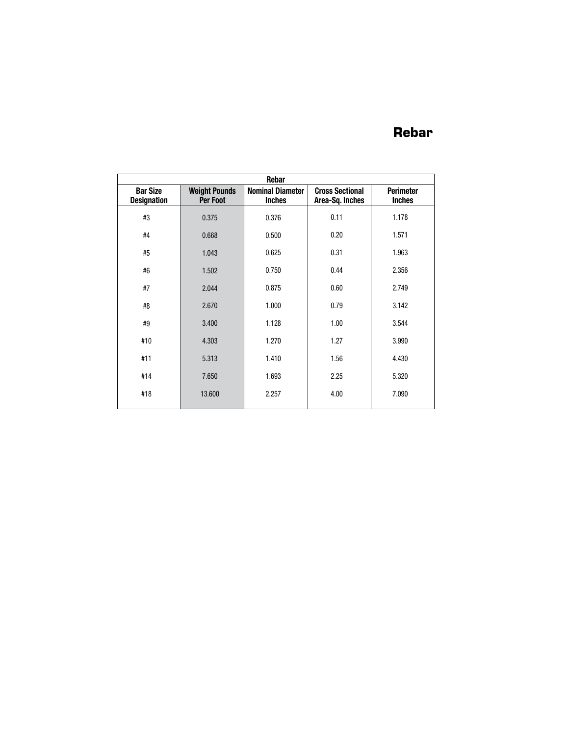## **Rebar**

|                                       |                                  | Rebar                                    |                                           |                                   |
|---------------------------------------|----------------------------------|------------------------------------------|-------------------------------------------|-----------------------------------|
| <b>Bar Size</b><br><b>Designation</b> | <b>Weight Pounds</b><br>Per Foot | <b>Nominal Diameter</b><br><b>Inches</b> | <b>Cross Sectional</b><br>Area-Sq. Inches | <b>Perimeter</b><br><b>Inches</b> |
| #3                                    | 0.375                            | 0.376                                    | 0.11                                      | 1.178                             |
| #4                                    | 0.668                            | 0.500                                    | 0.20                                      | 1.571                             |
| #5                                    | 1.043                            | 0.625                                    | 0.31                                      | 1.963                             |
| #6                                    | 1.502                            | 0.750                                    | 0.44                                      | 2.356                             |
| #7                                    | 2.044                            | 0.875                                    | 0.60                                      | 2.749                             |
| #8                                    | 2.670                            | 1.000                                    | 0.79                                      | 3.142                             |
| #9                                    | 3.400                            | 1.128                                    | 1.00                                      | 3.544                             |
| #10                                   | 4.303                            | 1.270                                    | 1.27                                      | 3.990                             |
| #11                                   | 5.313                            | 1.410                                    | 1.56                                      | 4.430                             |
| #14                                   | 7.650                            | 1.693                                    | 2.25                                      | 5.320                             |
| #18                                   | 13.600                           | 2.257                                    | 4.00                                      | 7.090                             |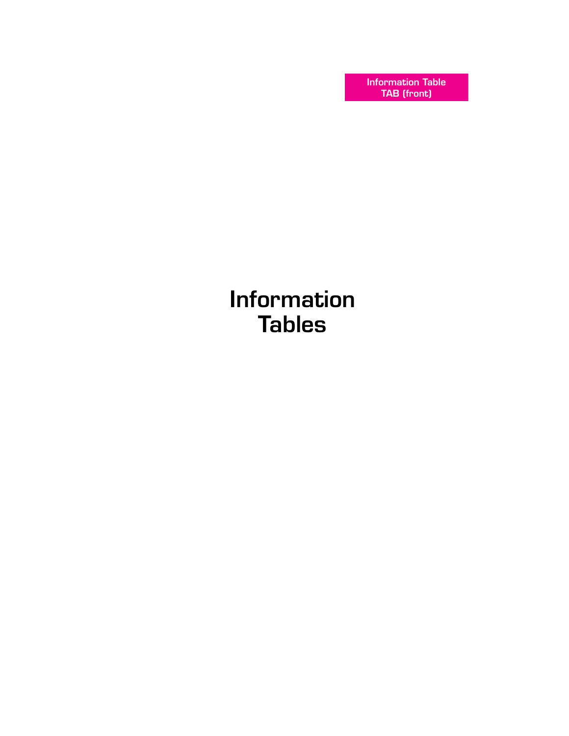Information Table TAB (front)

Information **Tables**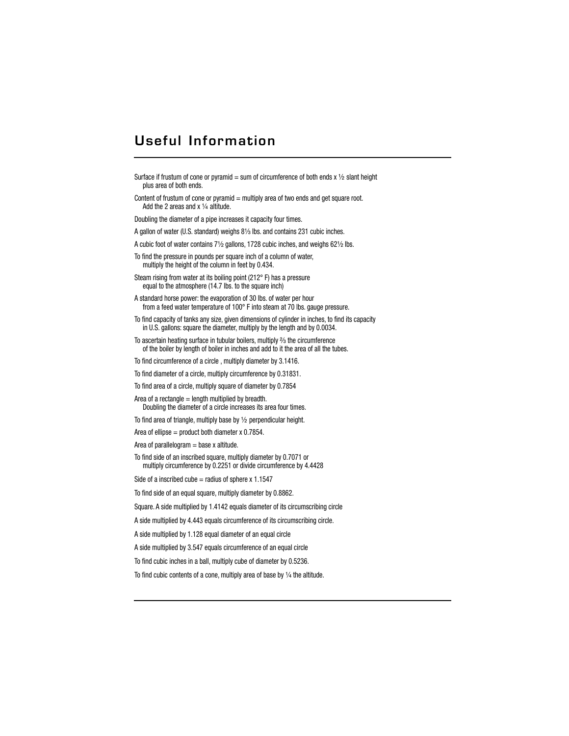## Useful Information

Surface if frustum of cone or pyramid = sum of circumference of both ends  $x \frac{1}{2}$  slant height plus area of both ends.

Content of frustum of cone or pyramid  $=$  multiply area of two ends and get square root. Add the 2 areas and  $x \frac{1}{4}$  altitude.

Doubling the diameter of a pipe increases it capacity four times.

A gallon of water (U.S. standard) weighs 81/3 lbs. and contains 231 cubic inches.

A cubic foot of water contains  $7\frac{1}{2}$  gallons, 1728 cubic inches, and weighs 62 $\frac{1}{2}$  lbs.

To find the pressure in pounds per square inch of a column of water, multiply the height of the column in feet by 0.434.

Steam rising from water at its boiling point (212° F) has a pressure equal to the atmosphere (14.7 lbs. to the square inch)

A standard horse power: the evaporation of 30 lbs. of water per hour from a feed water temperature of 100° F into steam at 70 lbs. gauge pressure.

To find capacity of tanks any size, given dimensions of cylinder in inches, to find its capacity in U.S. gallons: square the diameter, multiply by the length and by 0.0034.

To ascertain heating surface in tubular boilers, multiply  $\frac{2}{3}$  the circumference of the boiler by length of boiler in inches and add to it the area of all the tubes.

To find circumference of a circle , multiply diameter by 3.1416.

To find diameter of a circle, multiply circumference by 0.31831.

To find area of a circle, multiply square of diameter by 0.7854

Area of a rectangle  $=$  length multiplied by breadth. Doubling the diameter of a circle increases its area four times.

To find area of triangle, multiply base by  $1/2$  perpendicular height.

Area of ellipse = product both diameter  $x$  0.7854.

Area of parallelogram  $=$  base x altitude.

To find side of an inscribed square, multiply diameter by 0.7071 or multiply circumference by 0.2251 or divide circumference by 4.4428

Side of a inscribed cube  $=$  radius of sphere x 1.1547

To find side of an equal square, multiply diameter by 0.8862.

Square. A side multiplied by 1.4142 equals diameter of its circumscribing circle

A side multiplied by 4.443 equals circumference of its circumscribing circle.

A side multiplied by 1.128 equal diameter of an equal circle

A side multiplied by 3.547 equals circumference of an equal circle

To find cubic inches in a ball, multiply cube of diameter by 0.5236.

To find cubic contents of a cone, multiply area of base by  $\frac{1}{4}$  the altitude.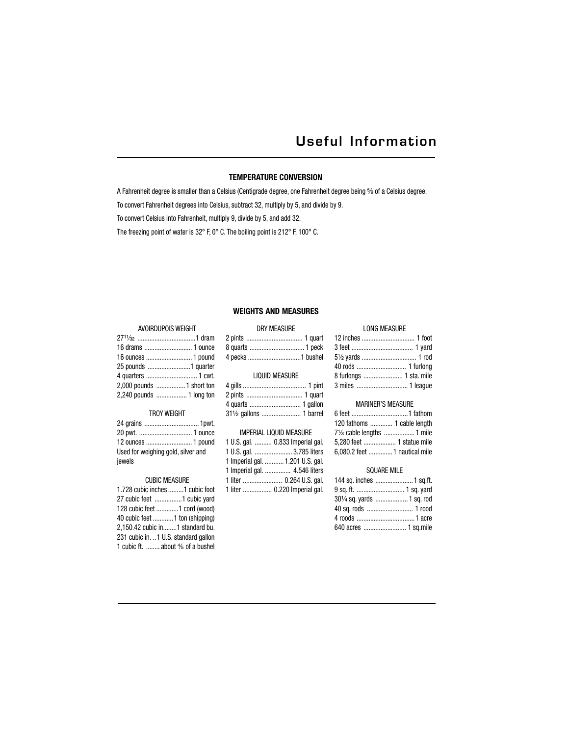## Useful Information

#### **TEMPERATURE CONVERSION**

A Fahrenheit degree is smaller than a Celsius (Centigrade degree, one Fahrenheit degree being 5% of a Celsius degree.

To convert Fahrenheit degrees into Celsius, subtract 32, multiply by 5, and divide by 9.

To convert Celsius into Fahrenheit, multiply 9, divide by 5, and add 32.

The freezing point of water is 32° F, 0° C. The boiling point is 212° F, 100° C.

#### **WEIGHTS AND MEASURES**

#### AVOIRDUPOIS WEIGHT

| 2.000 pounds  1 short ton |  |
|---------------------------|--|
| 2,240 pounds  1 long ton  |  |
|                           |  |

#### TROY WEIGHT

| Used for weighing gold, silver and |  |
|------------------------------------|--|
| jewels                             |  |

#### CUBIC MEASURE

| 1.728 cubic inches 1 cubic foot              |  |
|----------------------------------------------|--|
|                                              |  |
| 128 cubic feet 1 cord (wood)                 |  |
| 40 cubic feet 1 ton (shipping)               |  |
| 2,150.42 cubic in1 standard bu.              |  |
| 231 cubic in. 1 U.S. standard gallon         |  |
| 1 cubic ft.  about $\frac{4}{5}$ of a bushel |  |

|                  | <b>DRY MEASURE</b> |
|------------------|--------------------|
|                  |                    |
| 8 quarts  1 peck |                    |
|                  |                    |
|                  |                    |

|  | <b>LIQUID MEASURE</b> |
|--|-----------------------|
|--|-----------------------|

| 311/2 gallons  1 barrel |  |
|-------------------------|--|

| IMPERIAL LIQUID MEASURE          |
|----------------------------------|
| 1 U.S. gal.  0.833 Imperial gal. |
| 1 U.S. gal.  3.785 liters        |
| 1 Imperial gal.  1.201 U.S. gal. |
| 1 Imperial gal.  4.546 liters    |
| 1 liter  0.264 U.S. gal.         |
| 1 liter  0.220 Imperial gal.     |

## LONG MEASURE

| 51/2 yards  1 rod                             |
|-----------------------------------------------|
|                                               |
|                                               |
| 40 rods  1 furlong<br>8 furlongs  1 sta. mile |
|                                               |

#### MARINER'S MEASURE

| 120 fathoms  1 cable length            |  |
|----------------------------------------|--|
| 71/ <sub>3</sub> cable lengths  1 mile |  |
| 5.280 feet  1 statue mile              |  |
| 6,080.2 feet  1 nautical mile          |  |

#### SQUARE MILE

| 144 sq. inches  1 sq.ft.   |
|----------------------------|
| 9 sq. ft.  1 sq. yard      |
| 301/4 sq. yards  1 sq. rod |
| 40 sq. rods  1 rood        |
|                            |
| 640 acres  1 sq.mile       |